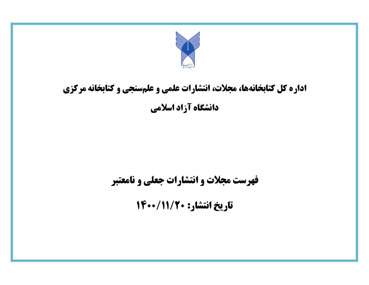

## **اداره کل کتابخانهها، مجالت، انتشارات علمی و علمسنجی و کتابخانه مرکزی دانشگاه آزاد اسالمی**

**فهرست مجالت و انتشارات جعلی و نامعتبر** 

**تاریخ انتشار: 1022/11/02**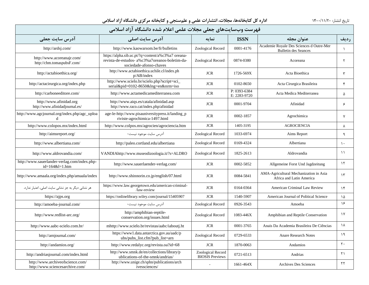| فهرست وبسايتهاى جعلى مجلات علمى اعلام شده دانشگاه آزاد اسلامى         |                                                                                                                                 |                                             |                              |                                                                         |                       |  |  |  |
|-----------------------------------------------------------------------|---------------------------------------------------------------------------------------------------------------------------------|---------------------------------------------|------------------------------|-------------------------------------------------------------------------|-----------------------|--|--|--|
| آدرس سایت جعلی                                                        | آدرس سایت اصلی                                                                                                                  | نمايه                                       | <b>ISSN</b>                  | عنوان مجله                                                              | رديف                  |  |  |  |
| http://ardsj.com/                                                     | http://www.kaowarsom.be/fr/bulletins                                                                                            | Zoological Record                           | 0001-4176                    | Academie Royale Des Sciences d Outre-Mer<br><b>Bulletin des Seances</b> | $\lambda$             |  |  |  |
| http://www.acoreanajr.com/<br>http://chm.tomaspubsF.com/              | https://alpha.sib.uc.pt/?q=content/a%c3%a7 oreana-<br>revista-de-estudos- a%c3%a7oreanos-boletim-da-<br>sociedade-afonso-chaves | Zoological Record                           | 0874-0380                    | Acoreana                                                                | ٢                     |  |  |  |
| http://actabioethica.org/                                             | http://www.actabioethica.uchile.cl/index.ph<br>p/AB/index                                                                       | <b>JCR</b>                                  | 1726-569X                    | Acta Bioethica                                                          | $\mathsf{r}$          |  |  |  |
| http://actacirurgica.org/index.php                                    | http://www.scielo.br/scielo.php?script=sci_<br>serial&pid=0102-8650&lng=en&nrm=iso                                              | <b>JCR</b>                                  | 0102-8650                    | Acta Cirurgica Brasileira                                               | ۴                     |  |  |  |
| http://carboneeditore.com/                                            | http://www.actamedicamediterranea.com                                                                                           | <b>JCR</b>                                  | P: 0393-6384<br>E: 2283-9720 | Acta Medica Mediterranea                                                | ۵                     |  |  |  |
| http://www.afinidad.org<br>http://www.afinidadjournal.es/             | http://www.aiqs.es/catala/afinidad.asp<br>http://www.raco.cat/index.php/afinidad                                                | <b>JCR</b>                                  | 0001-9704                    | Afinidad                                                                | ۶                     |  |  |  |
| http://www.agcjournal.org/index.php/agc_uploa<br>d                    | age-le-http://www.pisauniversitypress.it/landing_p<br>riviste-agrochimica-1497.html                                             | <b>JCR</b>                                  | 0002-1857                    | Agrochimica                                                             | $\mathsf{v}$          |  |  |  |
| http://www.colopos.mx/index.html                                      | http://www.colpos.mx/agrocien/agrociencia.htm                                                                                   | <b>JCR</b>                                  | 1405-3195                    | <b>AGROCIENCIA</b>                                                      | ٨                     |  |  |  |
| http://aimsreport.org/                                                | آدرس سایت موجود نیست-                                                                                                           | Zoological Record                           | 1033-6974                    | Aims Report                                                             | ٩                     |  |  |  |
| http://www.albertiana.com/                                            | http://paleo.cortland.edu/albertiana                                                                                            | <b>Zoological Record</b>                    | 0169-4324                    | Albertiana                                                              | $\lambda$             |  |  |  |
| http://www.aldrovandia.com/                                           | VANDIAhttp://www.museodizoologia.it/?s=ALDRO                                                                                    | Zoological Record                           | 1825-2613                    | Aldrovandia                                                             | $\setminus$           |  |  |  |
| http://www.sauerlander-verlag.com/index.php-<br>$id = 164& l = 1.htm$ | http://www.sauerlaender-verlag.com/                                                                                             | <b>JCR</b>                                  | 0002-5852                    | Allgemeine Forst Und Jagdzeitung                                        | $\lambda$             |  |  |  |
| http://www.amaala.org/index.php/amaala/index                          | http://www.shinnorin.co.jp/english/07.html                                                                                      | <b>JCR</b>                                  | 0084-5841                    | AMA-Agricultural Mechanization in Asia<br>Africa and Latin America      | $\gamma$              |  |  |  |
| هر نشانی دیگر به جز نشانی سایت اصلی، اعتبار ندارد.                    | https://www.law.georgetown.edu/american-criminal-<br>/law-review                                                                | <b>JCR</b>                                  | 0164-0364                    | American Criminal Law Review                                            | $\gamma$              |  |  |  |
| https://ajps.org                                                      | https://onlinelibrary.wiley.com/journal/15405907                                                                                | <b>JCR</b>                                  | 1540-5907                    | American Journal of Political Science                                   | ۱۵                    |  |  |  |
| http://amoeba-journal.com/                                            | آدرس سايت موجود نيست-                                                                                                           | Zoological Record                           | 0926-3543                    | Amoeba                                                                  | ۱۶                    |  |  |  |
| http://www.redlist-arc.org/                                           | http://amphibian-reptile-<br>conservation.org/issues.html                                                                       | Zoological Record                           | 1083-446X                    | Amphibian and Reptile Conservation                                      | $\gamma$              |  |  |  |
| http://www.aabc-scielo.com.br/                                        | mhttp://www.scielo.br/revistas/aabc/iaboutj.ht                                                                                  | <b>JCR</b>                                  | 0001-3765                    | Anais Da Academia Brasileira De Ciências                                | $\lambda$             |  |  |  |
| http://arnjournal.com/                                                | https://www1.data.antarctica.gov.au/aadc/p<br>ubs/pubs_list.cfm?pub_list=arn                                                    | Zoological Record                           | 0729-6533                    | <b>Anare Research Notes</b>                                             | 19                    |  |  |  |
| http://andamios.org/                                                  | http://www.redalyc.org/revista.oa?id=68                                                                                         | <b>JCR</b>                                  | 1870-0063                    | Andamios                                                                | $\mathsf{r}$ .        |  |  |  |
| http://andriasjournal.com/index.html                                  | http://www.smnk.de/en/collections/library/p<br>ublications-of-the-smnk/andrias/                                                 | Zoological Record<br><b>BIOSIS</b> Previews | 0721-6513                    | Andrias                                                                 | $\mathsf{r}\setminus$ |  |  |  |
| http://www.archiveofscience.com/<br>http://www.sciencesarchive.com/   | http://www.unige.ch/sphn/publications/arch<br>ivessciences/                                                                     |                                             | 1661-464X                    | Archives Des Sciences                                                   | ٢٢                    |  |  |  |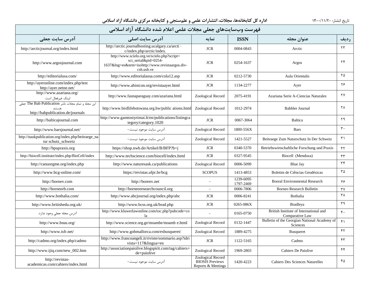| فهرست وبسايتهاى جعلى مجلات علمى اعلام شده دانشگاه آزاد اسلامى                            |                                                                                                                                      |                                                                   |                        |                                                           |                        |  |  |  |
|------------------------------------------------------------------------------------------|--------------------------------------------------------------------------------------------------------------------------------------|-------------------------------------------------------------------|------------------------|-----------------------------------------------------------|------------------------|--|--|--|
| <b>آدرس سایت جعلی</b>                                                                    | آدرس سایت اصلے،                                                                                                                      | نمايه                                                             | <b>ISSN</b>            | عنوان مجله                                                | رديف                   |  |  |  |
| http://arcticjournal.org/index.html                                                      | http://arctic.journalhosting.ucalgary.ca/arcti ·<br>c/index.php/arctic/index.                                                        | <b>JCR</b>                                                        | 0004-0843              | Arctic                                                    | ۲۳                     |  |  |  |
| http://www.argosjournal.com                                                              | http://www.scielo.org.ve/scielo.php?script=<br>sci_serial&pid=0254-<br>1637&lng=es&nrm=isohttp://www.revistaargos.div-<br>csh.usb.ve | <b>JCR</b>                                                        | 0254-1637              | Argos                                                     | $\tau$ ۴               |  |  |  |
| http://editorialusa.com/                                                                 | http://www.editorialausa.com/cola12.asp                                                                                              | <b>JCR</b>                                                        | 0212-5730              | Aula Orientalis                                           | ۲۵                     |  |  |  |
| http://ayeronline.com/index.php/test<br>http://ayer.netne.net/                           | http://www.ahistcon.org/revistaayer.html                                                                                             | <b>JCR</b>                                                        | 1134-2277              | Ayer                                                      | ۲۶                     |  |  |  |
| http://www.azariana.org/<br>لينك غيرفعال است.                                            | http://www.faunaparaguay.com/azariana.html                                                                                           | Zoological Record                                                 | 2075-4191              | Azariana Serie A-Ciencias Naturales                       | ٢٧                     |  |  |  |
| این مجله و تمام مجلات ناشر The Bab Publication جعلی<br>http://babpublication.de/journals | http://www.birdlifebotswana.org.bw/public ations.html                                                                                | Zoological Record                                                 | 1012-2974              | Babbler Journal                                           | ۲۸                     |  |  |  |
| http://balticajournal.com                                                                | http://www.gamtostyrimai.lt/en/publications/listingca<br>tegory/category.1020                                                        | <b>JCR</b>                                                        | 0067-3064              | Baltica                                                   | ٢٩                     |  |  |  |
| http://www.barsjournal.net/                                                              | آدرس سايت موجود نيست.-                                                                                                               | Zoological Record                                                 | 1800-556X              | <b>Bars</b>                                               | $\mathbf{r}$ .         |  |  |  |
| http://naukpublication.org/index.php/beitraege_na<br>tur schutz_schweiz                  | آدرس سایت موجود نیست.-                                                                                                               | Zoological Record                                                 | 1421-5527              | Beitraege Zum Naturschutz In Der Schweiz                  | $\mathsf{r}_1$         |  |  |  |
| http://bpupraxis.org                                                                     | https://shop.nwb.de/Artikel/B/BFP?b=j                                                                                                | <b>JCR</b>                                                        | 0340-5370              | Betriebswirtschaftliche Forschung und Praxis              | $\tau\tau$             |  |  |  |
| http://biocell.institute/index.php/BioCell/index                                         | http://www.techscience.com/biocell/index.html                                                                                        | <b>JCR</b>                                                        | 0327-9545              | Biocell (Mendoza)                                         | $\tau\tau$             |  |  |  |
| http://canuorgme.org/index.php                                                           | http://www.naturesask.ca/publications                                                                                                | Zoological Record                                                 | 0006-5099              | Blue Jay                                                  | ٣۴                     |  |  |  |
| http://www.bcg-online.com/                                                               | https://revistas.ufpr.br/bcg                                                                                                         | <b>SCOPUS</b>                                                     | 1413-4853              | Boletim de Ciências Geodésicas                            | ۳۵                     |  |  |  |
| http://bornev.com                                                                        | http://borenv.net                                                                                                                    |                                                                   | 1239-6095<br>1797-2469 | <b>Boreal Environmental Research</b>                      | ٣۶                     |  |  |  |
| http://borneorb.com                                                                      | http://borneoresearchcouncil.org                                                                                                     | $\omega$                                                          | 0006-7806              | <b>Borneo Research Bulletin</b>                           | $\tau\gamma$           |  |  |  |
| http://www.bothalia.com/                                                                 | http://www.abcjournal.org/index.php/abc                                                                                              | <b>JCR</b>                                                        | 0006-8241              | Bothalia                                                  | ۳۸                     |  |  |  |
| http://www.britishedu.org.uk/                                                            | http://www.bcss.org.uk/brad.php                                                                                                      | <b>JCR</b>                                                        | 0265-086X              | <b>Bradleya</b>                                           | ٣٩                     |  |  |  |
| آدرس مجله جعلی وجود ندارد.                                                               | http://www.kluwerlawonline.com/toc.php?pubcode=co<br>la                                                                              |                                                                   | 0165-0750              | British Institute of International and<br>Comparative Law | $\mathfrak{r}$ .       |  |  |  |
| http://www.bnas.org/                                                                     | http://www.science.org.ge/moambe/moamb e.html                                                                                        | Zoological Record                                                 | 0132-1447              | Bulletin of the Georgian National Academy of<br>Sciences  | f                      |  |  |  |
| http://www.isfr.net/                                                                     | http://www.gobmallorca.com/esbusqueret/                                                                                              | Zoological Record                                                 | 1889-4275              | Busqueret                                                 | $\mathsf{f}\mathsf{r}$ |  |  |  |
| http://cadmo.org/index.php/cadmo                                                         | http://www.francoangeli.it/riviste/sommario.asp?idri<br>vista= $117\&$ lingua=en                                                     | <b>JCR</b>                                                        | 1122-5165              | Cadmo                                                     | $\mathsf{f}\mathsf{r}$ |  |  |  |
| http://www.ijiq.com/new_002.htm                                                          | http://associationpaiolive.blogspirit.com/tag/cahiers+<br>de+paiolive                                                                | Zoological Record                                                 | 1969-2803              | Cahiers De Paiolive                                       | ۴۴                     |  |  |  |
| http://revistas-<br>academicas.com/cahiers/index.html                                    | آدرس سایت موجود نیست.-                                                                                                               | Zoological Record<br><b>BIOSIS</b> Previews<br>Reports & Meetings | 1420-4223              | <b>Cahiers Des Sciences Naturelles</b>                    | ۴۵                     |  |  |  |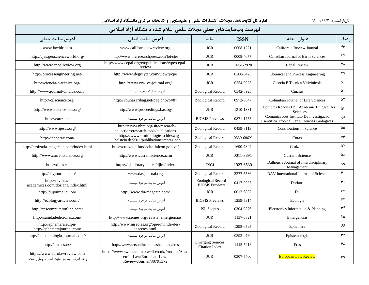| فهرست وبسايتهاي جعلى مجلات علمي اعلام شده دانشگاه آزاد اسلامي          |                                                                                                     |                                             |             |                                                                                         |               |  |  |  |
|------------------------------------------------------------------------|-----------------------------------------------------------------------------------------------------|---------------------------------------------|-------------|-----------------------------------------------------------------------------------------|---------------|--|--|--|
| آدرس سایت جعلی                                                         | آدرس سایت اصلی                                                                                      | نمايه                                       | <b>ISSN</b> | عنوان مجله                                                                              | رديف          |  |  |  |
| www.lawblr.com                                                         | www.californialawreview.org                                                                         | <b>JCR</b>                                  | 0008-1221   | California Review Journal                                                               | ۴۶            |  |  |  |
| http://cjes.geoscienceworld.org/                                       | http://www.nrcresearchpress.com/loi/cjes                                                            | <b>JCR</b>                                  | 0008-4077   | Canadian Journal of Earth Sciences                                                      | ۴٧            |  |  |  |
| http://www.cepalreview.org                                             | http://www.cepal.org/en/publications/type/cepal-<br>review                                          | <b>JCR</b>                                  | 0251-2920   | Cepal Review                                                                            | ۴۸            |  |  |  |
| http://processengineering.net/                                         | http://www.degruyter.com/view/j/cpe                                                                 | <b>JCR</b>                                  | 0208-6425   | Chemical and Process Engineering                                                        | ۴۹            |  |  |  |
| http://ciencia-e-tecnica.org/                                          | http://www.ctv-jve-journal.org/                                                                     | <b>JCR</b>                                  | 0254-0223   | Ciencia E Tecnica Vitivinicola                                                          | ۵٠            |  |  |  |
| http://www.journal-cinclus.com/                                        | آدرس سایت موجود نیست.-                                                                              | Zoological Record                           | 0342-8923   | Cinclus                                                                                 | ۵۱            |  |  |  |
| http://cjlscience.org/                                                 | http://vbuhazaribag.net/pag.php?p=87                                                                | Zoological Record                           | 0972-0847   | Columban Journal of Life Sciences                                                       | ۵۲            |  |  |  |
| http://www.science-bas.org/                                            | http://www.proceedings.bas.bg/                                                                      | <b>JCR</b>                                  | 1310-1331   | Comptes Rendus De l'Académie Bulgare Des<br>Sciences                                    | $\Delta \tau$ |  |  |  |
| http://eartz.net                                                       | آدرس سايت موجود نيست.-                                                                              | <b>BIOSIS</b> Previews                      | 0871-1755   | Comunicacoes Instituto De Investigação<br>Científica Tropical Serie Ciencias Biologicas | ۵۴            |  |  |  |
| http://www.ijescs.org/                                                 | http://www.nhm.org/site/research-<br>collections/research-tools/publications                        | Zoological Record                           | 0459-8113   | Contributions in Science                                                                | ۵۵            |  |  |  |
| http://thecorax.com/                                                   | https://www.ornithologie-schleswig-<br>holstein.de/2011/publikationen/corax.php                     | Zoological Record                           | 0589-686X   | Corax                                                                                   | ۵۶            |  |  |  |
| http://croizatia-magazine.com/index.html                               | http://croizatia.fundacite-falcon.gob.ve/                                                           | Zoological Record                           | 1690-7892   | Croizatia                                                                               | Δ٧            |  |  |  |
| http://www.currentscience.org                                          | http://www.currentscience.ac.in                                                                     | <b>JCR</b>                                  | 0011-3891   | <b>Current Science</b>                                                                  | ۵٨            |  |  |  |
| http://djim.ca                                                         | https://ojs.library.dal.ca/djim/index                                                               | <b>ESCI</b>                                 | 1923-6530   | Dalhousie Journal of Interdisciplinary<br>Management                                    | ۵۹            |  |  |  |
| http://davjournal.com/                                                 | www.davjournal.org                                                                                  | Zoological Record                           | 2277-5536   | DAV International Journal of Science                                                    | ۶۰            |  |  |  |
| http://revistas-<br>academicas.com/doriana/index.html                  | آدرس سایت موجود نیست.-                                                                              | Zoological Record<br><b>BIOSIS</b> Previews | 0417-9927   | Doriana                                                                                 | 51            |  |  |  |
| http://dujournal.eu.pn/                                                | http://www.du-magazin.com/                                                                          | <b>JCR</b>                                  | 0012-6837   | Du                                                                                      | ۶۲            |  |  |  |
| http://ecologyarticles.com/                                            | آدرس سایت موجود نیست.-                                                                              | <b>BIOSIS</b> Previews                      | 1259-5314   | Ecologie                                                                                | ۶۳            |  |  |  |
| http://ccscomputeronline.com/                                          | آدرس سایت موجود نیست.-                                                                              | ISI, Scopus                                 | 0304-9876   | Electronics Information & Planning                                                      | ۶۴            |  |  |  |
| http://sanidadediciones.com/                                           | http://www.semes.org/revista_emergencias                                                            | <b>JCR</b>                                  | 1137-6821   | Emergencias                                                                             | ۶۵            |  |  |  |
| http://ephemera.eu.pn/<br>http://ephemerajournal.com/                  | http://www.insectes.org/opie/monde-des-<br>insectes.html                                            | Zoological Record                           | 1298-0595   | Ephemera                                                                                | ۶۶            |  |  |  |
| http://epistemologia-journal.com//                                     | آدرس سايت موجود نيست.-                                                                              | <b>JCR</b>                                  | 0392-9760   | Epistemologia                                                                           | ۶۷            |  |  |  |
| http://eras.es.cx/                                                     | http://www.artsonline.monash.edu.au/eras                                                            | <b>Emerging Sources</b><br>Citation Index   | 1445-5218   | Eras                                                                                    | ۶۸            |  |  |  |
| https://www.eurolawreview.com<br>و هر آدرسی به جز سایت اصلی، جعلی است. | https://www.sweetandmaxwell.co.uk/Product/Acad<br>emic-Law/European-Law-<br>Review/Journal/30791372 | <b>JCR</b>                                  | 0307-5400   | <b>European Law Review</b>                                                              | ۶۹            |  |  |  |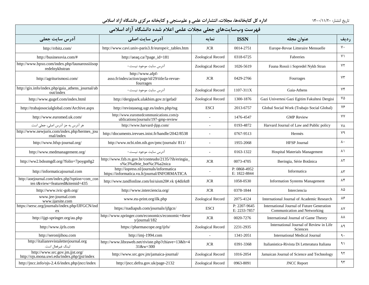| فهرست وبسايتهاى جعلى مجلات علمى اعلام شده دانشگاه آزاد اسلامى                    |                                                                                         |                   |                              |                                                                            |                      |  |  |  |
|----------------------------------------------------------------------------------|-----------------------------------------------------------------------------------------|-------------------|------------------------------|----------------------------------------------------------------------------|----------------------|--|--|--|
| آدرس سايت جعلى                                                                   | آدرس سایت اصلی                                                                          | نما به            | <b>ISSN</b>                  | عنوان مجله                                                                 | <b>رديف</b>          |  |  |  |
| http://rrbitz.com/                                                               | http://www.cavi.univ-paris3.fr/europe/c_tables.htm                                      | <b>JCR</b>        | 0014-2751                    | Europe-Revue Litteraire Mensuelle                                          | $V \cdot$            |  |  |  |
| http://businessvia.com/#                                                         | http://aeaq.ca/?page_id=181                                                             | Zoological Record | 0318-6725                    | Fabreries                                                                  | $Y \setminus$        |  |  |  |
| http://www.bpxo.com/index.php/faunarossiiisop<br>redelnykhstran                  | آدرس سایت موجود نیست.-                                                                  | Zoological Record | 1026-5619                    | Fauna Rossii i Sopredel Nykh Stran                                         | ٧٢                   |  |  |  |
| http://agriturismosi.com/                                                        | http://www.afpf-<br>asso.fr/index/action/page/id/29/title/la-revue-<br>fourrages        | <b>JCR</b>        | 0429-2766                    | Fourrages                                                                  | ٧٣                   |  |  |  |
| http://gix.info/index.php/gaia_athens_journal/ab<br>out/index                    | آدرس سایت موجود نیست.-                                                                  | Zoological Record | $1107 - 311X$                | Gaia-Athens                                                                | ٧۴                   |  |  |  |
| http://www.gugef.com/index.html                                                  | http://dergipark.ulakbim.gov.tr/gefad/                                                  | Zoological Record | 1300-1876                    | Gazi Univertesi Gazi Egitim Fakultesi Dergisi                              | ٧۵                   |  |  |  |
| http://trabajosocialglobal.com/Archive.aspx                                      | http://revistaseug.ugr.es/index.php/tsg                                                 | <b>ESCI</b>       | 2013-6757                    | Global Social Work (Trabajo Social Global)                                 | ٧۶                   |  |  |  |
| http://www.euromed.uk.com/                                                       | http://www.euromedcommunications.com/p<br>ublications/journals/197-gmp-review           | $\overline{a}$    | 1476-4547                    | <b>GMP</b> Review                                                          | <b>YY</b>            |  |  |  |
| هر آدرس به جز آدرس اصلی، جعلی است.                                               | http://www.harvard-jlpp.com/                                                            |                   | 0193-4872                    | Harvard Journal of Law and Public policy                                   | <b>YA</b>            |  |  |  |
| http://www.newjuris.com/index.php/hermes jou<br>rnal/index                       | http://documents.irevues.inist.fr/handle/2042/8538                                      | $\overline{a}$    | 0767-9513                    | Hermès                                                                     | ٧٩                   |  |  |  |
| http://www.hfsp-journal.org/                                                     | http://www.ncbi.nlm.nih.gov/pmc/journals/811/                                           | $\overline{a}$    | 1955-2068                    | <b>HFSP</b> Journal                                                        | $\lambda \cdot$      |  |  |  |
| http://www.medmanagement.org/                                                    | آدرس سایت موجود نیست.-                                                                  |                   | 0163-1322                    | Hospital Materials Management                                              | $\lambda$            |  |  |  |
| http://ww2.bdssmgdl.org/?folio=7poygn0g2                                         | http://www.fzb.rs.gov.br/conteudo/2135/?ih/eringia_<br>s%c3%a9rie_bot%c3%a2nica         | <b>JCR</b>        | 0073-4705                    | Iheringia, Série Botânica                                                  | $\lambda$ ٢          |  |  |  |
| http://informaticajournal.com                                                    | http://iopress.nl/journals/informatica<br>https://informatica.vu.lt/journal/INFORMATICA |                   | P: 0868-4952<br>E: 1822-8844 | Informatica                                                                | $\Lambda \mathsf{r}$ |  |  |  |
| http://aoejournal.com/index.php?option=com_con<br>ten t&view=featured&itemid=435 | http://www.tandfonline.com/loi/uism20#.vk tj4dirkt8                                     | <b>JCR</b>        | 1058-0530                    | <b>Information Systems Management</b>                                      | ۸۴                   |  |  |  |
| http://www.ivic-gob.org/                                                         | http://www.interciencia.org/                                                            | <b>JCR</b>        | 0378-1844                    | Interciencia                                                               | ٨۵                   |  |  |  |
| www.jee-journal.com<br>www.ijarsite.com                                          | www.eu-print.org/ilk.php                                                                | Zoological Record | 2075-4124                    | International Journal of Academic Research                                 | ٨۶                   |  |  |  |
| https://sersc.org/journals/index.php/IJFGCN/ind<br>ex                            | https://nadiapub.com/journals/ijfgcn/                                                   | <b>ESCI</b>       | P: 2207-9645<br>E: 2233-7857 | International Journal of Future Generation<br>Communication and Networking | ٨Y                   |  |  |  |
| http://ijgt-springer.org/au.php                                                  | http://www.springer.com/economics/economic+theor<br>$v$ /journal/182                    | <b>JCR</b>        | 0020-7276                    | International Journal of Game Theory                                       | ΛV                   |  |  |  |
| http://www.ijrls.com                                                             | https://pharmascope.org/ijrls/                                                          | Zoological Record | 2231-2935                    | International Journal of Review in Life<br>Sciences                        | ٨٩                   |  |  |  |
| http://seronijihou.com                                                           | http://imj-1994.com                                                                     |                   | 1341-2051                    | <b>International Medical Journal</b>                                       | $\mathcal{L}$        |  |  |  |
| http://italianrevistaletterjournal.org<br>لينک غيرفعال است.                      | http://www.libraweb.net/riviste.php?chiave=13&h=4<br>$31$ &w=300                        | <b>JCR</b>        | 0391-3368                    | Italianistica-Rivista Di Letteratura Italiana                              | ۹۱                   |  |  |  |
| http://www.src.gov.jm.jjst.org/<br>http://ojs.mona.uwi.edu/index.php/jjst/index  | http://www.src.gov.jm/jamaica-journal/                                                  | Zoological Record | 1016-2054                    | Jamaican Journal of Science and Technology                                 | ۹۲                   |  |  |  |
| http://jncc.info/ojs-2.4.6/index.php/jncc/index                                  | http://jncc.defra.gov.uk/page-2132                                                      | Zoological Record | 0963-8091                    | <b>JNCC Report</b>                                                         | ۹۳                   |  |  |  |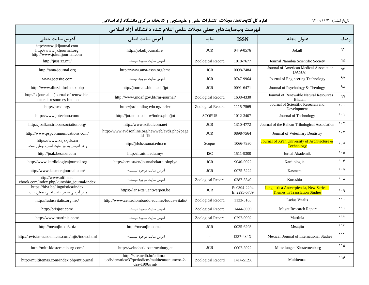| فهرست وبسايتهاي جعلى مجلات علمي اعلام شده دانشگاه آزاد اسلامي                          |                                                                                                  |                   |                              |                                                                                 |                                 |  |  |
|----------------------------------------------------------------------------------------|--------------------------------------------------------------------------------------------------|-------------------|------------------------------|---------------------------------------------------------------------------------|---------------------------------|--|--|
| آدرس سايت جعلى                                                                         | آدرس سایت اصلی                                                                                   | نمايه             | <b>ISSN</b>                  | عنوان مجله                                                                      | <b>رديف</b>                     |  |  |
| http://www.jkljournal.com<br>http://www.jkljournal.org<br>http://www.jokulljournal.com | http://jokulljournal.is/                                                                         | <b>JCR</b>        | 0449-0576                    | Jokull                                                                          | ۹۴                              |  |  |
| http://jnss.zz.mu/                                                                     | آدرس سايت موجود نيست.-                                                                           | Zoological Record | 1018-7677                    | Journal Namibia Scientific Society                                              | ٩۵                              |  |  |
| http://ama-journal.org                                                                 | http://www.ama-assn.org/ama                                                                      | <b>JCR</b>        | 0098-7484                    | Journal of American Medical Association<br>(JAMA)                               | ۹۶                              |  |  |
| www.joetsite.com                                                                       | آدرس سایت موجود نیست.-                                                                           | <b>JCR</b>        | 0747-9964                    | Journal of Engineering Technology                                               | ٩٧                              |  |  |
| http://www.dinz.info/index.php                                                         | http://journals.biola.edu/jpt                                                                    | <b>JCR</b>        | 0091-6471                    | Journal of Psychology & Theology                                                | ٩λ                              |  |  |
| http://acjournal.in/journal-of-renewable-<br>natural-resources-bhutan                  | http://www.moaf.gov.bt/rnr-journal/                                                              | Zoological Record | 1608-4330                    | Journal of Renewable Natural Resources<br><b>Bhutan</b>                         | ۹۹                              |  |  |
| http://jsrad.org/                                                                      | http://jsrd.unilag.edu.ng/index                                                                  | Zoological Record | 1115-7569                    | Journal of Scientific Research and<br>Development                               | $\mathcal{L}$ .                 |  |  |
| http://www.jotechno.com/                                                               | http://jot.ntust.edu.tw/index.php/jot                                                            | <b>SCOPUS</b>     | 1012-3407                    | Journal of Technology                                                           | $\lambda$ . $\lambda$           |  |  |
| http://jbalkan.triboassociation.org/                                                   | http://www.scibulcom.net                                                                         | <b>JCR</b>        | 1310-4772                    | Journal of the Balkan Tribological Association                                  | $\mathcal{N} \cdot \mathcal{N}$ |  |  |
| http://www.pspcommunications.com/                                                      | http://www.avdsonline.org/newweb/avds.php?page<br>$Id=19$                                        | <b>JCR</b>        | 0898-7564                    | Journal of Veterinary Dentistry                                                 | $\mathcal{N}$                   |  |  |
| https://www.xajzkjdx.cn<br>و هر آدرسی به جز سایت اصلی، جعلی است.                       | http://jdxbz.xauat.edu.cn                                                                        | Scopus            | 1066-7930                    | Journal of Xi'an University of Architecture &<br>Technology                     | $\cdot$ ۴                       |  |  |
| http://juak.besaba.com                                                                 | http://ir.uitm.edu.my/                                                                           | <b>ISC</b>        | 1511-9300                    | Jurnal Akademik                                                                 | $\mathcal{N} \cdot \mathcal{N}$ |  |  |
| http://www.kardiologiyajournal.org                                                     | http://ores.su/en/journals/kardiologiya                                                          | <b>JCR</b>        | 9040-0022                    | Kardiologiia                                                                    | $\lambda \cdot 5$               |  |  |
| http://www.kasmerajournal.com/                                                         | آدرس سایت موجود نیست.-                                                                           | <b>JCR</b>        | 0075-5222                    | Kasmera                                                                         | $\mathcal{N}$                   |  |  |
| http://www.ultimate-<br>ebook.com/index.php/kuroshio journal/index                     | آدرس سایت موجود نیست.-                                                                           | Zoological Record | 0287-5349                    | Kuroshio                                                                        | $\lambda \cdot \lambda$         |  |  |
| https://hivt.be/linguistica/index<br>و هر آدرسی به جز سایت اصلی، جعلی است.             | https://lans-tts.uantwerpen.be                                                                   | <b>JCR</b>        | P: 0304-2294<br>E: 2295-5739 | Linguistica Antverpiensia, New Series -<br><b>Themes in Translation Studies</b> | 1.9                             |  |  |
| http://ludusvitalis.org.mx/                                                            | http://www.centrolombardo.edu.mx/ludus-vitalis/                                                  | Zoological Record | 1133-5165                    | Ludus Vitalis                                                                   | $\mathcal{U}$                   |  |  |
| http://brisjast.com/                                                                   | آدرس سایت موجود نیست.-                                                                           | Zoological Record | 1444-8939                    | <b>Magnt Research Report</b>                                                    | $\{\{\}$                        |  |  |
| http://www.martinia.com/                                                               | آدرس سايت موجود نيست.-                                                                           | Zoological Record | 0297-0902                    | Martinia                                                                        | 117                             |  |  |
| http://meanjin.xp3.biz                                                                 | http://meanjin.com.au                                                                            | <b>JCR</b>        | 0025-6293                    | Meanjin                                                                         | 115                             |  |  |
| http://revistas-academicas.com/mjis/index.html                                         | آدرس سایت موجود نیست.-                                                                           | L.                | 1237-484X                    | Mexican Journal of International Studies                                        | 11f                             |  |  |
| http://mitt-klosterneuburg.com/                                                        | http://weinobstklosterneuburg.at                                                                 | <b>JCR</b>        | 0007-5922                    | Mitteilungen Klosterneuburg                                                     | 110                             |  |  |
| http://multitemas.com/index.php/mtjournal                                              | http://site.ucdb.br/editora-<br>ucdb/tematica/37/periodicos/multitemasnumero-2-<br>dez-1996/rmt/ | Zoological Record | 1414-512X                    | Multitemas                                                                      | 119                             |  |  |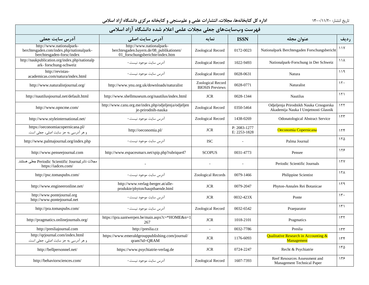| فهرست وبسايتهاى جعلى مجلات علمى اعلام شده دانشگاه آزاد اسلامى                                      |                                                                                                          |                                             |                              |                                                                                |                 |  |  |  |  |
|----------------------------------------------------------------------------------------------------|----------------------------------------------------------------------------------------------------------|---------------------------------------------|------------------------------|--------------------------------------------------------------------------------|-----------------|--|--|--|--|
| آدرس سایت جعلی                                                                                     | آدرس سایت اصلی                                                                                           | نمايه                                       | <b>ISSN</b>                  | عنوان مجله                                                                     | رديف            |  |  |  |  |
| http://www.nationalpark-<br>berchtesgaden.com/index.php/nationalpark-<br>berchtesgaden-forsc/index | http://www.nationalpark-<br>berchtesgaden.bayern.de/08_publikationen/<br>01_forschungsberichte/index.htm | Zoological Record                           | 0172-0023                    | Nationalpark Berchtesgaden Forschungsbericht                                   | 11Y             |  |  |  |  |
| http://naukpublication.org/index.php/nationalp<br>ark-forschung-schweiz                            | آدرس سايت موجود نيست.-                                                                                   | Zoological Record                           | 1022-9493                    | Nationalpark-Forschung in Der Schweiz                                          | 111             |  |  |  |  |
| http://revistas-<br>academicas.com/natura/index.html                                               | آدرس سایت موجود نیست.-                                                                                   | Zoological Record                           | 0028-0631                    | Natura                                                                         | ۱۱۹             |  |  |  |  |
| http://www.naturalistjournal.org/                                                                  | http://www.ynu.org.uk/downloads/naturalist                                                               | Zoological Record<br><b>BIOSIS</b> Previews | 0028-0771                    | Naturalist                                                                     | 15.             |  |  |  |  |
| http://nautilusjournal.net/default.html                                                            | http://www.shellmuseum.org/nautilus/index.html                                                           | <b>JCR</b>                                  | 0028-1344                    | <b>Nautilus</b>                                                                | 151             |  |  |  |  |
| http://www.opncme.com/                                                                             | http://www.canu.org.me/index.php/odjeljenja/odjeljen<br>je-prirodnih-nauka                               | Zoological Record                           | 0350-5464                    | Odjeljenja Prirodnikh Nauka Crnogorska<br>Akademija Nauka I Umjetnosti Glasnik | 155             |  |  |  |  |
| http://www.styleinternational.net/                                                                 | آدرس سايت موجود نيست.-                                                                                   | Zoological Record                           | 1438-0269                    | <b>Odonatological Abstract Service</b>                                         | 157             |  |  |  |  |
| https://oeconomiacopernicana.pl/<br>و هر آدرسی به جز سایت اصلی، جعلی است.                          | http://oeconomia.pl/                                                                                     | <b>JCR</b>                                  | P: 2083-1277<br>E: 2253-1828 | Oeconomia Copernicana                                                          | 15f             |  |  |  |  |
| http://www.palmajournal.org/index.php                                                              | آدرس سایت موجود نیست.-                                                                                   | <b>ISC</b>                                  | $\sim$                       | Palma Journal                                                                  | ۱۲۵             |  |  |  |  |
| http://www.penseejournal.com                                                                       | http://www.espacesmarx.net/spip.php?rubrique47                                                           | <b>SCOPUS</b>                               | 0031-4773                    | Pensee                                                                         | ۱۲۶             |  |  |  |  |
| مجلات ناشرPeriodic Scientific Journal جعلى هستند.<br>https://iadces.com/                           |                                                                                                          |                                             | $\sim$                       | Periodic Scientific Journals                                                   | 15Y             |  |  |  |  |
| http://psc.tomaspubs.com/                                                                          | آدرس سایت موجود نیست.-                                                                                   | Zoological Records                          | 0079-1466                    | Philippine Scientist                                                           | 15 <sub>A</sub> |  |  |  |  |
| http://www.engineeronline.net/                                                                     | http://www.verlag-berger.at/alle-<br>produkte/phyton/hauptbaende.html                                    | <b>JCR</b>                                  | 0079-2047                    | Phyton-Annales Rei Botanicae                                                   | 159             |  |  |  |  |
| http://www.pontejournal.org<br>http://www.pontejournal.net                                         | آدرس سایت موجود نیست.-                                                                                   | <b>JCR</b>                                  | 0032-423X                    | Ponte                                                                          | $\mathcal{N}$ . |  |  |  |  |
| http://pra.tomaspubs.com/                                                                          | آدرس سايت موجود نيست.-                                                                                   | Zoological Record                           | 0032-6542                    | Praeparator                                                                    | $\mathcal{L}$   |  |  |  |  |
| http://pragmatics.onlinejournals.org/                                                              | https://ipra.uantwerpen.be/main.aspx?c=*HOME&n=1<br>267                                                  | <b>JCR</b>                                  | 1018-2101                    | Pragmatics                                                                     | 155             |  |  |  |  |
| http://presliajournal.com                                                                          | http://preslia.cz                                                                                        | $\overline{\phantom{a}}$                    | 0032-7786                    | Preslia                                                                        | 155             |  |  |  |  |
| http://qrjournal.com/index.html<br>و هر آدرسی به جز سایت اصلی، جعلی است.                           | https://www.emeraldgrouppublishing.com/journal/<br>qram?id=QRAM                                          | <b>JCR</b>                                  | 1176-6093                    | <b>Qualitative Research in Accounting &amp;</b><br>Management                  | 156             |  |  |  |  |
| http://bellpersonnel.net/                                                                          | https://www.psychiatrie-verlag.de                                                                        | <b>JCR</b>                                  | 0724-2247                    | Recht & Psychiatrie                                                            | 150             |  |  |  |  |
| http://behaviorsciences.com/                                                                       | آدرس سایت موجود نیست.-                                                                                   | Zoological Record                           | 1607-7393                    | Reef Resources Assessment and<br>Management Technical Paper                    | 155             |  |  |  |  |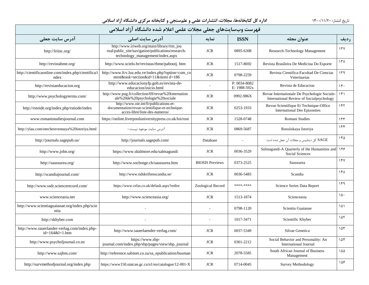| فهرست وبسايتهاى جعلى مجلات علمى اعلام شده دانشگاه آزاد اسلامى     |                                                                                                                                      |                        |                              |                                                                                          |                 |  |  |  |
|-------------------------------------------------------------------|--------------------------------------------------------------------------------------------------------------------------------------|------------------------|------------------------------|------------------------------------------------------------------------------------------|-----------------|--|--|--|
| آدرس سایت جعل <b>ی</b>                                            | آدرس سایت اصلی                                                                                                                       | نمايه                  | <b>ISSN</b>                  | عنوان مجله                                                                               | رديف            |  |  |  |
| http://lriinc.org/                                                | http://www.iriweb.org/main/library/rtm_jou<br>rnal/public_site/navigation/publications/research-<br>technology_management/index.aspx | <b>JCR</b>             | 0895-6308                    | Research-Technology Management                                                           | 177             |  |  |  |
| http://revistabme.org/                                            | http://www.scielo.br/revistas/rbme/paboutj.htm                                                                                       | <b>JCR</b>             | 1517-8692                    | Revista Brasileira De Medicina Do Esporte                                                | 15 <sub>h</sub> |  |  |  |
| http://cientificaonline.com/index.php/cientifica/i<br>ndex        | http://www.fcv.luz.edu.ve/index.php?option=com_co<br>ntent&task=section&id=11&itemi d=186                                            | <b>JCR</b>             | 0798-2259                    | Revista Científica-Facultad De Ciencias<br>Veterinarias                                  | ۱۳۹             |  |  |  |
| http://revistaeducacion.org                                       | http://www.educacionyfp.gob.es/revista-de-<br>educacion/inicio.html                                                                  |                        | P: 0034-8082<br>E: 1988-592x | Revista de Educacion                                                                     | 15.             |  |  |  |
| http://www.psychologyterms.com/                                   | http://www.pug.fr/collection/69/revue%20internation<br>ale%20de%20psychologie%20sociale                                              | <b>JCR</b>             | 0992-986X                    | Revue Internationale De Psychologie Sociale-<br>International Review of Socialpsychology | 151             |  |  |  |
| http://rstoide.org/index.php/rstiode/index                        | http://www.oie.int/fr/publications-et-<br>documentation/revue-scientifique-et-technique-<br>acces-libre/liste-des-numeros/           | <b>JCR</b>             | 0253-1933                    | Revue Scientifique Et Technique-Office<br><b>International Des Epizooties</b>            | ۱۴۲             |  |  |  |
| www.romanistudiesjournal.com                                      | https://online.liverpooluniversitypress.co.uk/loi/rost                                                                               | <b>JCR</b>             | 1528-0748                    | Romani Studies                                                                           | ۱۴۳             |  |  |  |
| http://ylau.com/otechestvennaya%20istoriya.html                   | آدرس سايت موجود نيست.-                                                                                                               | <b>JCR</b>             | 0869-5687                    | Rossiiskaya Istoriya                                                                     | 156             |  |  |  |
| http://journals.sagepub.us/                                       | http://journals.sagepub.com/                                                                                                         | Database               | $\overline{\phantom{a}}$     | SAGE كل دينابيس و مجلات أن جعل شده است.                                                  | ۱۴۵             |  |  |  |
| http://www.jobn.org/                                              | https://www.skidmore.edu/salmagundi                                                                                                  | <b>JCR</b>             | 0036-3529                    | Salmagundi-A Quarterly of the Humanities and<br>Social Sciences                          | 148             |  |  |  |
| http://saussurea.org/                                             | http://www.socbotge.ch/saussurea.htm                                                                                                 | <b>BIOSIS</b> Previews | 0373-2525                    | Saussurea                                                                                | 15V             |  |  |  |
| http://scandiajournal.com/                                        | http://www.tidskriftenscandia.se/                                                                                                    | <b>JCR</b>             | 0036-5483                    | Scandia                                                                                  | 141             |  |  |  |
| http://www.ssdr.sciencerecord.com/                                | https://www.cefas.co.uk/default.aspx?redire                                                                                          | Zoological Record      | ****_****                    | Science Series Data Report                                                               | ۱۴۹             |  |  |  |
| www.scienceasia.net                                               | http://www.scienceasia.org/                                                                                                          | <b>JCR</b>             | 1513-1874                    | Scienceasia                                                                              | 10.             |  |  |  |
| http://www.scientiaguaianae.org/index.php/scie<br>ntia            |                                                                                                                                      |                        | 0798-1120                    | Scientia Guaianae                                                                        | ۱۵۱             |  |  |  |
| http://skhyber.com                                                |                                                                                                                                      |                        | 1017-3471                    | Scientific Khyber                                                                        | 105             |  |  |  |
| http://www.sauerlander-verlag.com/index.php-<br>$id=164& l=1.htm$ | http://www.sauerlaender-verlag.com/                                                                                                  | <b>JCR</b>             | 0037-5349                    | Silvae Genetica                                                                          | 105             |  |  |  |
| http://www.psycholjournal.co.nz                                   | https://www.sbp-<br>journal.com/index.php/sbp/pages/view/sbp_journal                                                                 | $\rm JCR$              | 0301-2212                    | Social Behavior and Personality: An<br><b>International Journal</b>                      | 10f             |  |  |  |
| http://www.sajbm.com/                                             | http://reference.sabinet.co.za/sa_epublication/busman                                                                                | <b>JCR</b>             | 2078-5585                    | South African Journal of Business<br>Management                                          | ۱۵۵             |  |  |  |
| http://survmethodjournal.org/index.php                            | https://www150.statcan.gc.ca/n1/en/catalogue/12-001-X                                                                                | <b>JCR</b>             | 0714-0045                    | Survey Methodology                                                                       | ۱۵۶             |  |  |  |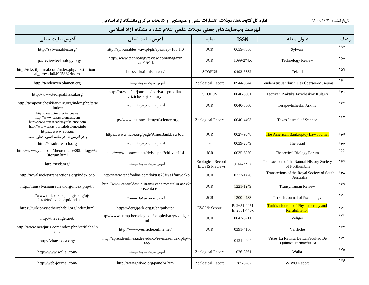| فهرست وبسايتهاى جعلى مجلات علمى اعلام شده دانشگاه آزاد اسلامى                                                                                |                                                                           |                                             |                              |                                                               |                       |  |  |  |
|----------------------------------------------------------------------------------------------------------------------------------------------|---------------------------------------------------------------------------|---------------------------------------------|------------------------------|---------------------------------------------------------------|-----------------------|--|--|--|
| آدرس سایت جعل <b>ی</b>                                                                                                                       | آدرس سایت اصلی                                                            | نمايه                                       | <b>ISSN</b>                  | عنوان مجله                                                    | رديف                  |  |  |  |
| http://sylwan.ibles.org/                                                                                                                     | http://sylwan.ibles.waw.pl/pls/apex/f?p=105:1:0                           | <b>JCR</b>                                  | 0039-7660                    | Sylwan                                                        | ۱۵۷                   |  |  |  |
| http://reviewtechnology.org/                                                                                                                 | http://www.technologyreview.com/magazin<br>e/2015/11/                     | <b>JCR</b>                                  | 1099-274X                    | <b>Technology Review</b>                                      | ۱۵۸                   |  |  |  |
| http://tekstiljournal.com/index.php/tekstil_journ<br>al_crovatia04925882/index                                                               | http://tekstil.hist.hr/en/                                                | <b>SCOPUS</b>                               | 0492-5882                    | Tekstil                                                       | ۱۵۹                   |  |  |  |
| http://tendenzen.plamen.org                                                                                                                  | آدرس سایت موجود نیست.-                                                    | Zoological Record                           | 0944-0844                    | Tendenzen: Jahrbuch Des Übersee-Museums                       | ۱۶۰                   |  |  |  |
| http://www.teorprakfizkul.org                                                                                                                | http://ores.su/en/journals/teoriya-i-praktika-<br>/fizicheskoj-kulturyi   | <b>SCOPUS</b>                               | 0040-3601                    | Teoriya i Praktika Fizicheskoy Kultury                        | ۱۶۱                   |  |  |  |
| http://terapevticheskiiarkhiv.org/index.php/tera/<br>index/                                                                                  | آدرس سایت موجود نیست.-                                                    | <b>JCR</b>                                  | 0040-3660                    | Terapevticheskii Arkhiv                                       | ۱۶۲                   |  |  |  |
| http://www.texassciences.us<br>http://www.texassciences.com<br>http://www.texasacademyofscience.com<br>http://www.texasjournalofscience.info | http://www.texasacademyofscience.org                                      | Zoological Record                           | 0040-4403                    | <b>Texas Journal of Science</b>                               | ۱۶۳                   |  |  |  |
| https://www.ablj.us<br>و هر آدرسی به جز سایت اصلی، جعلی است.                                                                                 | https://www.ncbj.org/page/AmerBankLawJour                                 | <b>JCR</b>                                  | 0027-9048                    | The American Bankruptcy Law Journal                           | ۱۶۴                   |  |  |  |
| http://stradresearch.org                                                                                                                     | آدرس سايت موجود نيست.-                                                    | $\omega$                                    | 0039-2049                    | The Strad                                                     | ١۶۵                   |  |  |  |
| http://www.ylau.com/theoretical%20biology%2<br>0forum.html                                                                                   | http://www.libraweb.net/riviste.php?chiave=114                            | <b>JCR</b>                                  | 0035-6050                    | Theoretical Biology Forum                                     | ۱۶۶                   |  |  |  |
| http://nsdt.org/                                                                                                                             | آدرس سايت موجود نيست.-                                                    | Zoological Record<br><b>BIOSIS Previews</b> | 0144-221X                    | Transactions of the Natural History Society<br>of Northumbria | ١۶٧                   |  |  |  |
| http://royalsocietytransactions.org/index.php                                                                                                | http://www.tandfonline.com/loi/trss20#.vg1fnuyqqkp                        | <b>JCR</b>                                  | 0372-1426                    | Transactions of the Royal Society of South<br>Australia       | ١۶٨                   |  |  |  |
| http://transylvanianreview.org/index.php/trr                                                                                                 | http://www.centruldestudiitransilvane.ro/detaliu.aspx?t<br>$=$ prezentare | <b>JCR</b>                                  | 1221-1249                    | Transylvanian Review                                          | ۱۶۹                   |  |  |  |
| http://www.turkpsikolojidergisi.org/ojs-<br>2.4.6/index.php/tpd/index                                                                        | آدرس سایت موجود نیست.-                                                    | <b>JCR</b>                                  | 1300-4433                    | Turkish Journal of Psychology                                 | $\gamma$ .            |  |  |  |
| https://turkjphysiotherrehabil.org/index.html                                                                                                | https://dergipark.org.tr/en/pub/tjpr                                      | <b>ESCI &amp; Scopus</b>                    | P: 2651-4451<br>E: 2651-446x | <b>Turkish Journal of Physiotherapy and</b><br>Rehabilitation | $\lambda$ Y $\lambda$ |  |  |  |
| http://theveliger.net/                                                                                                                       | http://www.ucmp.berkeley.edu/people/barryr/veliger.<br>html               | <b>JCR</b>                                  | 0042-3211                    | Veliger                                                       | 1YY                   |  |  |  |
| http://www.newjuris.com/index.php/verifiche/in<br>dex                                                                                        | http://www.verificheonline.net/                                           | <b>JCR</b>                                  | 0391-4186                    | Verifiche                                                     | $\gamma \gamma$       |  |  |  |
| http://vitae-udea.org/                                                                                                                       | http://aprendeenlinea.udea.edu.co/revistas/index.php/vi<br>tae/           |                                             | 0121-4004                    | Vitae, La Revista De La Facultad De<br>Química Farmacéutica   | 1Yf                   |  |  |  |
| http://www.waliaj.com/                                                                                                                       | آدرس سايت موجود نيست.-                                                    | Zoological Record                           | 1026-3861                    | Walia                                                         | $\sqrt{2}$            |  |  |  |
| http://web-journal.com/                                                                                                                      | http://www.wiwo.org/pane24.htm                                            | Zoological Record                           | 1385-3287                    | WIWO Report                                                   | 178                   |  |  |  |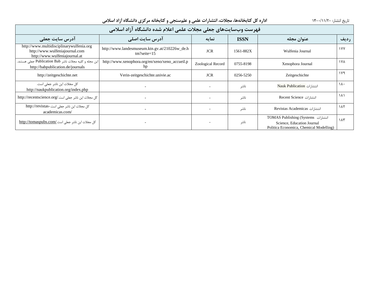| فهرست وبسايتهاي جعلى مجلات علمي اعلام شده دانشگاه آزاد اسلامي                                               |                                                                 |                   |             |                                                                                                              |                |  |  |  |
|-------------------------------------------------------------------------------------------------------------|-----------------------------------------------------------------|-------------------|-------------|--------------------------------------------------------------------------------------------------------------|----------------|--|--|--|
| <b>آدرس سایت جعلی</b>                                                                                       | آدرس سایت اصلی                                                  | نمايه             | <b>ISSN</b> | عنوان مجله                                                                                                   | رديف           |  |  |  |
| http://www.multidisciplinarywulfenia.org<br>http://www.wulfeniajournal.com<br>http://www.wulfeniajournal.at | http://www.landesmuseum.ktn.gv.at/210226w_de.h<br>$tm?seite=15$ | <b>JCR</b>        | 1561-882X   | Wulfenia Journal                                                                                             | <b>IVV</b>     |  |  |  |
| این مجله و کلیه مجلات ناشر Publication Bab جعلی هستند.<br>http://babpublication.de/journals                 | http://www.xenophora.org/en/xeno/xeno_accueil.p<br>hp           | Zoological Record | 0755-8198   | Xenophora Journal                                                                                            | ۱۷۸            |  |  |  |
| http://zeitgeschichte.net                                                                                   | Verin-zeitgeschichte.univie.ac                                  | <b>JCR</b>        | 0256-5250   | Zeitgeschichte                                                                                               | ۱۷۹            |  |  |  |
| كل مجلات اين ناشر جعلى است.<br>http://naukpublication.org/index.php                                         |                                                                 |                   | ناشر        | انتشا, ات Nauk Publication                                                                                   | ۱۸۰            |  |  |  |
| كل مجلات اين ناشر جعلى است./http://recentscience.org                                                        |                                                                 |                   | ناشر        | انتشا, ات Recent Science                                                                                     | ۱۸۱            |  |  |  |
| كل مجلات اين ناشر جعلى است.-http://revistas<br>academicas.com/                                              |                                                                 |                   | ناشر        | <b>Revistas Academicas</b> انتشا, ات                                                                         | $\lambda \tau$ |  |  |  |
| كل مجلات اين ناشر جعلى است./http://tomaspubs.com                                                            |                                                                 |                   | ناشر        | انتشا, ات TOMAS Publishing (Systems<br>Science, Education Journal<br>Politica Economica, Chemical Modelling) | ۱۸۳            |  |  |  |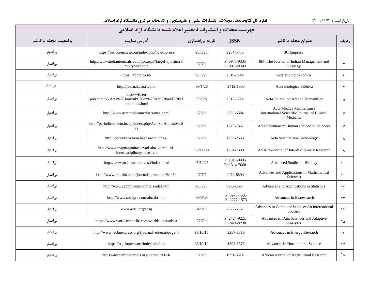| فهرست مجلات و انتشارات نامعتبر اعلام شده دانشگاه آزاد اسلامی |                                                                                    |                 |                                  |                                                                                      |               |  |  |  |  |
|--------------------------------------------------------------|------------------------------------------------------------------------------------|-----------------|----------------------------------|--------------------------------------------------------------------------------------|---------------|--|--|--|--|
| وضعيت مجله يا ناشر                                           | آدرس سايت                                                                          | تاریخ بیاعتباری | <b>ISSN</b>                      | عنوان مجله یا ناشر                                                                   | رديف          |  |  |  |  |
| بىاعتبار                                                     | https://ojs.3ciencias.com/index.php/3c-empresa                                     | 98/6/26         | 2254-3376                        | 3C Empresa                                                                           | $\lambda$     |  |  |  |  |
| بىاعتبار                                                     | http://www.indianjournals.com/ijor.aspx?target=ijor:jims8<br>m&type=home           | 97/7/1          | P: 0973-9335<br>E: 0973-9343     | 8M: The Journal of Indian Management and<br>Strategy                                 | $\mathsf{r}$  |  |  |  |  |
| بى عتبار                                                     | https://abindica.in/                                                               | 98/6/26         | 2319-1244                        | Acta Biologica Indica                                                                | $\mathbf{r}$  |  |  |  |  |
| بىاعتبار                                                     | http://journal.asu.ru/biol                                                         | 99/1/26         | 2412-1908                        | Acta Biologica Sibirica                                                              | $\mathbf{r}$  |  |  |  |  |
| بىاعتبار                                                     | http://wissen-<br>pub.com/86,Acta%20Journal%20on%20Art%20and%20H<br>umanities.html | 98/3/8          | 2315-122x                        | Acta Journal on Art and Humanities                                                   | ۵             |  |  |  |  |
| بىاعتبار                                                     | http://www.actamedicamediterranea.com/                                             | 97/7/1          | 0393-6384                        | Acta Medica Mediterranea<br>International Scientific Journal of Clinical<br>Medicine | ۶             |  |  |  |  |
| بىاعتبار                                                     | http://periodicos.uem.br/ojs/index.php/ActaSciHumanSocS<br>ci                      | 97/7/1          | 1679-7361                        | Acta Scientiarum Human and Social Sciences                                           | $\mathsf{v}$  |  |  |  |  |
| بى عتبار                                                     | http://periodicos.uem.br/ojs/acta/index/                                           | 97/7/1          | 1806-2563                        | Acta Scientiarum Technology                                                          | $\lambda$     |  |  |  |  |
| بىاعتبار                                                     | http://www.magnanimitas.cz/ad-alta-journal-of-<br>interdisciplinary-research       | 95/11/30        | 1804-7890                        | Ad Alta-Journal of Interdisciplinary Research                                        | ٩             |  |  |  |  |
| بىاعتبار                                                     | http://www.m-hikari.com/asb/index.html                                             | 95/12/21        | P: 1313-9495<br>E: 1314-7668     | Advanced Studies in Biology                                                          | $\mathcal{L}$ |  |  |  |  |
| بىاعتبار                                                     | http://www.mililink.com/journals_desc.php?id=59                                    | 97/7/1          | 0974-6803                        | Advances and Applications in Mathematical<br><b>Sciences</b>                         | $\mathcal{L}$ |  |  |  |  |
| بىاعتبار                                                     | http://www.pphmj.com/journals/adas.htm                                             | 98/6/26         | 0972-3617                        | Advances and Applications in Statistics                                              | $\mathcal{N}$ |  |  |  |  |
| بىاعتبار                                                     | http://www.soeagra.com/abr/abr.htm                                                 | 99/9/23         | P: 0976-4585<br>E: 2277-1573     | Advances in Bioresearch                                                              | $\gamma$      |  |  |  |  |
| بى عتبار                                                     | www.acsij.org/acsij                                                                | 94/8/17         | 2322-5157                        | Advances in Computer Science: An International<br>Journal                            | $\gamma$      |  |  |  |  |
| بىاعتبار                                                     | https://www.worldscientific.com/worldscinet/adsaa                                  | 97/7/1          | $P: 2424 - 922x$<br>E: 2424-9238 | Advances in Data Sciences and Adaptive<br>Analysis                                   | ١۵            |  |  |  |  |
| بىاعتبار                                                     | http://www.techno-press.org/?journal=eri&subpage=6                                 | 98/10/10        | 2287-6316                        | Advances in Energy Research                                                          | ۱۶            |  |  |  |  |
| بىاعتبار                                                     | https://oaj.fupress.net/index.php/ahs                                              | 98/10/10        | 1592-1573                        | Advances in Horticultural Science                                                    | $\gamma$      |  |  |  |  |
| بىاعتبار                                                     | https://academicjournals.org/journal/AJAR                                          | 97/7/1          | 1991-637x                        | African Journal of Agricultural Research                                             | ۱۸            |  |  |  |  |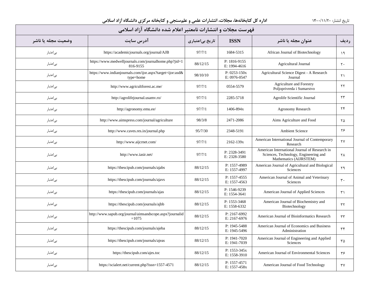| فهرست مجلات و انتشارات نامعتبر اعلام شده دانشگاه آزاد اسلامی |                                                                        |                 |                                  |                                                                                                                  |                        |  |  |  |  |
|--------------------------------------------------------------|------------------------------------------------------------------------|-----------------|----------------------------------|------------------------------------------------------------------------------------------------------------------|------------------------|--|--|--|--|
| وضعيت مجله يا ناشر                                           | آدرس سايت                                                              | تاریخ بیاعتباری | <b>ISSN</b>                      | عنوان مجله یا ناشر                                                                                               | رديف                   |  |  |  |  |
| بىاعتبار                                                     | https://academicjournals.org/journal/AJB                               | 97/7/1          | 1684-5315                        | African Journal of Biotechnology                                                                                 | $\lambda$              |  |  |  |  |
| بىاعتبار                                                     | https://www.medwelljournals.com/journalhome.php?jid=1<br>816-9155      | 88/12/15        | P: 1816-9155<br>E: 1994-4616     | Agricultural Journal                                                                                             | $\mathbf{r}$ .         |  |  |  |  |
| بىاعتبار                                                     | https://www.indianjournals.com/ijor.aspx?target=ijor:asd&<br>type=home | 98/10/10        | $P: 0253 - 150x$<br>E: 0976-0547 | Agricultural Science Digest - A Research<br>Journal                                                              | $\uparrow$ \           |  |  |  |  |
| بىاعتبار                                                     | http://www.agricultforest.ac.me/                                       | 97/7/1          | 0554-5579                        | Agriculture and Forestry<br>Poljoprivreda i Sumarstvo                                                            | ۲۲                     |  |  |  |  |
| بىاعتبار                                                     | http://agrolifejournal.usamv.ro/                                       | 97/7/1          | 2285-5718                        | Agrolife Scientific Journal                                                                                      | ۲۳                     |  |  |  |  |
| بىاعتبار                                                     | http://agronomy.emu.ee/                                                | 97/7/1          | 1406-894x                        | Agronomy Research                                                                                                | $\mathbf{Y}$           |  |  |  |  |
| بىاعتبار                                                     | http://www.aimspress.com/journal/agriculture                           | 98/3/8          | 2471-2086                        | Aims Agriculture and Food                                                                                        | ۲۵                     |  |  |  |  |
| بىاعتبار                                                     | http://www.caves.res.in/journal.php                                    | 95/7/30         | 2348-5191                        | Ambient Science                                                                                                  | ۲۶                     |  |  |  |  |
| بىاعتبار                                                     | http://www.aijcrnet.com/                                               | 97/7/1          | 2162-139x                        | American International Journal of Contemporary<br>Research                                                       | ٢٧                     |  |  |  |  |
| بىاعتبار                                                     | http://www.iasir.net/                                                  | 97/7/1          | P: 2328-3491<br>E: 2328-3580     | American International Journal of Research in<br>Sciences, Technology, Engineering and<br>Mathematics (AIJRSTEM) | ٢٨                     |  |  |  |  |
| بىاعتبار                                                     | https://thescipub.com/journals/ajabs                                   | 88/12/15        | P: 1557-4989<br>E: 1557-4997     | American Journal of Agricultural and Biological<br>Sciences                                                      | ۲۹                     |  |  |  |  |
| بىاعتبار                                                     | https://thescipub.com/journals/ajavs                                   | 88/12/15        | P: 1557-4555<br>E: 1557-4563     | American Journal of Animal and Veterinary<br>Sciences                                                            | $\mathbf{r}$ .         |  |  |  |  |
| بىاعتبار                                                     | https://thescipub.com/journals/ajas                                    | 88/12/15        | P: 1546-9239<br>E: 1554-3641     | American Journal of Applied Sciences                                                                             | $\uparrow$             |  |  |  |  |
| بىاعتبار                                                     | https://thescipub.com/journals/ajbb                                    | 88/12/15        | P: 1553-3468<br>E: 1558-6332     | American Journal of Biochemistry and<br>Biotechnology                                                            | $\tau\tau$             |  |  |  |  |
| بىاعتبار                                                     | http://www.sapub.org/journal/aimsandscope.aspx?journalid<br>$=1075$    | 88/12/15        | P: 2167-6992<br>E: 2167-6976     | American Journal of Bioinformatics Research                                                                      | $\tau\tau$             |  |  |  |  |
| بىاعتبار                                                     | https://thescipub.com/journals/ajeba                                   | 88/12/15        | P: 1945-5488<br>E: 1945-5496     | American Journal of Economics and Business<br>Administration                                                     | $\tau$                 |  |  |  |  |
| بىاعتبار                                                     | https://thescipub.com/journals/ajeas                                   | 88/12/15        | P: 1941-7020<br>E: 1941-7039     | American Journal of Engineering and Applied<br>Sciences                                                          | ٣۵                     |  |  |  |  |
| بىاعتبار                                                     | https://thescipub.com/ajes.toc                                         | 88/12/15        | P: 1553-345x<br>E: 1558-3910     | American Journal of Environmental Sciences                                                                       | ۳۶                     |  |  |  |  |
| بىاعتبار                                                     | https://scialert.net/current.php?issn=1557-4571                        | 88/12/15        | P: 1557-4571<br>E: 1557-458x     | American Journal of Food Technology                                                                              | $\mathsf{r}\mathsf{v}$ |  |  |  |  |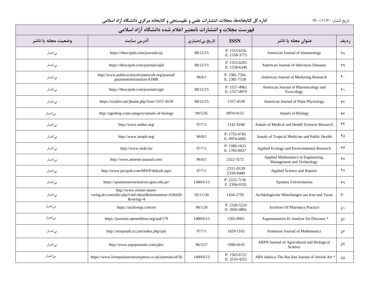| فهرست مجلات و انتشارات نامعتبر اعلام شده دانشگاه آزاد اسلامی |                                                                                                   |                 |                                  |                                                                  |                  |  |  |  |  |
|--------------------------------------------------------------|---------------------------------------------------------------------------------------------------|-----------------|----------------------------------|------------------------------------------------------------------|------------------|--|--|--|--|
| وضعيت مجله يا ناشر                                           | آدرس سايت                                                                                         | تاریخ بیاعتباری | <b>ISSN</b>                      | عنوان مجله یا ناشر                                               | رديف             |  |  |  |  |
| بى اعتبار                                                    | https://thescipub.com/journals/aji                                                                | 88/12/15        | $P: 1553-619x$<br>E: 1558-3775   | American Journal of Immunology                                   | ۳۸               |  |  |  |  |
| بىاعتبار                                                     | https://thescipub.com/journals/ajid                                                               | 88/12/15        | P: 1553-6203<br>E: 1558-6340     | American Journal of Infectious Diseases                          | ٣٩               |  |  |  |  |
| بىاعتبار                                                     | http://www.publicscienceframework.org/journal/<br>paymentinformation/AJMR                         | 96/6/1          | $P: 2381 - 750x$<br>E: 2381-7518 | American Journal of Marketing Research                           | $\mathfrak{r}$ . |  |  |  |  |
| بىاعتبار                                                     | https://thescipub.com/journals/ajpt                                                               | 88/12/15        | P: 1557-4962<br>E: 1557-4970     | American Journal of Pharmacology and<br>Toxicology               | $f \cap$         |  |  |  |  |
| بىاعتبار                                                     | https://scialert.net/jhome.php?issn=1557-4539                                                     | 88/12/15        | 1557-4539                        | American Journal of Plant Physiology                             | ۴۲               |  |  |  |  |
| بىاعتبار                                                     | http://agribiop.com/category/annals-of-biology                                                    | 99/5/26         | 0970-0153                        | <b>Annals of Biology</b>                                         | ۴٣               |  |  |  |  |
| بى عتبار                                                     | http://www.amhsr.org/                                                                             | 97/7/1          | 2141-9248                        | Annals of Medical and Health Sciences Research                   | ۴۴               |  |  |  |  |
| بىاعتبار                                                     | http://www.atmph.org/                                                                             | 96/8/1          | P: 1755-6783<br>E: 0974-6005     | Annals of Tropical Medicine and Public Health                    | ۴۵               |  |  |  |  |
| بىاعتبار                                                     | http://www.aloki.hu                                                                               | 97/7/1          | P: 1589-1623<br>E: 1785-0037     | Applied Ecology and Environmental Research                       | ۴۶               |  |  |  |  |
| بىاعتبار                                                     | http://www.amiemt-journal.com/                                                                    | 96/6/1          | 2322-5572                        | Applied Mathematics in Engineering,<br>Management and Technology | YY               |  |  |  |  |
| بىاعتبار                                                     | http://www.pscipub.com/MWP/default.aspx                                                           | 97/7/1          | 2311-0139<br>2310-9440           | Applied Science and Reports                                      | ۴۸               |  |  |  |  |
| بىاعتبار                                                     | https://apuntesuniversitarios.upeu.edu.pe/                                                        | 1400/6/13       | P: 2225-7136<br>E:2304-0335      | Apuntes Universitarios                                           | ۴۹               |  |  |  |  |
| بىاعتبار                                                     | http://www.reimer-mann-<br>verlag.de/controller.php?cmd=detail&titelnummer=630420<br>$&$ verlag=4 | 95/11/30        | 1434-2758                        | Archäologische Mitteilungen aus Iran und Turan                   | $\Delta \cdot$   |  |  |  |  |
| بىاعتبار                                                     | https://archivepp.com/en                                                                          | 99/1/26         | P: 2320-5210<br>$E: 2045 - 080x$ | Archives Of Pharmacy Practice                                    | ۵۱               |  |  |  |  |
| بىاعتبار                                                     | https://journals.openedition.org/aad/179                                                          | 1400/6/13       | 1565-8961                        | Argumentation Et Analyse Du Discours *                           | ۵٢               |  |  |  |  |
| بىاعتبار                                                     | http://armjmath.sci.am/index.php/ajm                                                              | 97/7/1          | 1829-1163                        | Armenian Journal of Mathematics                                  | ۵٣               |  |  |  |  |
| بىاعتبار                                                     | http://www.arpnjournals.com/jabs/                                                                 | 96/3/27         | 1990-6145                        | ARPN Journal of Agricultural and Biological<br>Science           | ۵۴               |  |  |  |  |
| بىاعتبار                                                     | https://www.liverpooluniversitypress.co.uk/journals/id/56                                         | 1400/6/13       | P: 1565-6721<br>E: 2516-4252     | ARS Judaica-The Bar Ilan Journal of Jewish Art *                 | ۵۵               |  |  |  |  |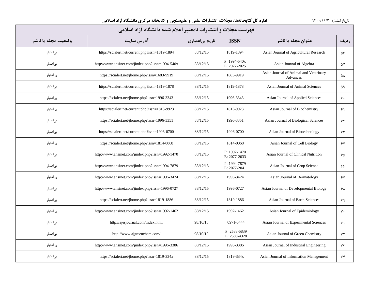| فهرست مجلات و انتشارات نامعتبر اعلام شده دانشگاه آزاد اسلامی |                                                  |                 |                              |                                                    |                |  |  |  |
|--------------------------------------------------------------|--------------------------------------------------|-----------------|------------------------------|----------------------------------------------------|----------------|--|--|--|
| وضعيت مجله يا ناشر                                           | آدرس سایت                                        | تاریخ بیاعتباری | <b>ISSN</b>                  | عنوان مجله یا ناشر                                 | رديف           |  |  |  |
| بىاعتبار                                                     | https://scialert.net/current.php?issn=1819-1894  | 88/12/15        | 1819-1894                    | Asian Journal of Agricultural Research             | ۵۶             |  |  |  |
| بىاعتبار                                                     | http://www.ansinet.com/jindex.php?issn=1994-540x | 88/12/15        | P: 1994-540x<br>E: 2077-2025 | Asian Journal of Algebra                           | ۵۷             |  |  |  |
| بىاعتبار                                                     | https://scialert.net/jhome.php?issn=1683-9919    | 88/12/15        | 1683-9919                    | Asian Journal of Animal and Veterinary<br>Advances | ۵٨             |  |  |  |
| بىاعتبار                                                     | https://scialert.net/current.php?issn=1819-1878  | 88/12/15        | 1819-1878                    | Asian Journal of Animal Sciences                   | ۵۹             |  |  |  |
| بىاعتبار                                                     | https://scialert.net/jhome.php?issn=1996-3343    | 88/12/15        | 1996-3343                    | Asian Journal of Applied Sciences                  | ۶۰             |  |  |  |
| بىاعتبار                                                     | https://scialert.net/current.php?issn=1815-9923  | 88/12/15        | 1815-9923                    | Asian Journal of Biochemistry                      | ۶۱             |  |  |  |
| بىاعتبار                                                     | https://scialert.net/jhome.php?issn=1996-3351    | 88/12/15        | 1996-3351                    | Asian Journal of Biological Sciences               | ۶۲             |  |  |  |
| بىاعتبار                                                     | https://scialert.net/current.php?issn=1996-0700  | 88/12/15        | 1996-0700                    | Asian Journal of Biotechnology                     | $\gamma\gamma$ |  |  |  |
| بىاعتبار                                                     | https://scialert.net/jhome.php?issn=1814-0068    | 88/12/15        | 1814-0068                    | Asian Journal of Cell Biology                      | ۶۴             |  |  |  |
| بىاعتبار                                                     | http://www.ansinet.com/jindex.php?issn=1992-1470 | 88/12/15        | P: 1992-1470<br>E: 2077-2033 | Asian Journal of Clinical Nutrition                | ۶۵             |  |  |  |
| بىاعتبار                                                     | http://www.ansinet.com/jindex.php?issn=1994-7879 | 88/12/15        | P: 1994-7879<br>E: 2077-2041 | Asian Journal of Crop Science                      | ۶۶             |  |  |  |
| بىاعتبار                                                     | http://www.ansinet.com/jindex.php?issn=1996-3424 | 88/12/15        | 1996-3424                    | Asian Journal of Dermatology                       | ۶۷             |  |  |  |
| بىاعتبار                                                     | http://www.ansinet.com/jindex.php?issn=1996-0727 | 88/12/15        | 1996-0727                    | Asian Journal of Developmental Biology             | ۶۸             |  |  |  |
| بىاعتبار                                                     | https://scialert.net/jhome.php?issn=1819-1886    | 88/12/15        | 1819-1886                    | Asian Journal of Earth Sciences                    | ۶۹             |  |  |  |
| بىاعتبار                                                     | http://www.ansinet.com/jindex.php?issn=1992-1462 | 88/12/15        | 1992-1462                    | Asian Journal of Epidemiology                      | $V \cdot$      |  |  |  |
| بىاعتبار                                                     | http://ajesjournal.com/index.html                | 98/10/10        | 0971-5444                    | Asian Journal of Experimental Sciences             | $Y \setminus$  |  |  |  |
| بىاعتبار                                                     | http://www.ajgreenchem.com/                      | 98/10/10        | P: 2588-5839<br>E: 2588-4328 | Asian Journal of Green Chemistry                   | $Y\Upsilon$    |  |  |  |
| بىاعتبار                                                     | http://www.ansinet.com/jindex.php?issn=1996-3386 | 88/12/15        | 1996-3386                    | Asian Journal of Industrial Engineering            | $Y\tau$        |  |  |  |
| بىاعتبار                                                     | https://scialert.net/jhome.php?issn=1819-334x    | 88/12/15        | 1819-334x                    | Asian Journal of Information Management            | ٧۴             |  |  |  |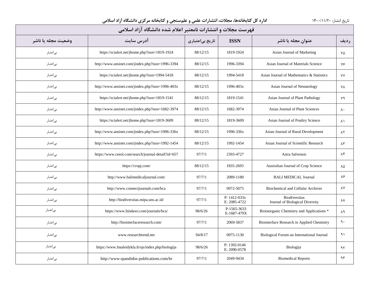| فهرست مجلات و انتشارات نامعتبر اعلام شده دانشگاه آزاد اسلامی |                                                    |                 |                                  |                                                         |                      |  |  |  |
|--------------------------------------------------------------|----------------------------------------------------|-----------------|----------------------------------|---------------------------------------------------------|----------------------|--|--|--|
| وضعيت مجله يا ناشر                                           | آدرس سایت                                          | تاریخ بیاعتباری | <b>ISSN</b>                      | عنوان مجله یا ناشر                                      | رديف                 |  |  |  |
| بىاعتبار                                                     | https://scialert.net/jhome.php?issn=1819-1924      | 88/12/15        | 1819-1924                        | Asian Journal of Marketing                              | ٧۵                   |  |  |  |
| بىاعتبار                                                     | http://www.ansinet.com/jindex.php?issn=1996-3394   | 88/12/15        | 1996-3394                        | Asian Journal of Materials Science                      | ٧۶                   |  |  |  |
| بى عتبار                                                     | https://scialert.net/jhome.php?issn=1994-5418      | 88/12/15        | 1994-5418                        | Asian Journal of Mathematics & Statistics               | ٧Y                   |  |  |  |
| بىاعتبار                                                     | http://www.ansinet.com/jindex.php?issn=1996-403x   | 88/12/15        | 1996-403x                        | Asian Journal of Nematology                             | ٧٨                   |  |  |  |
| بىاعتبار                                                     | https://scialert.net/jhome.php?issn=1819-1541      | 88/12/15        | 1819-1541                        | Asian Journal of Plant Pathology                        | ٧٩                   |  |  |  |
| بىاعتبار                                                     | http://www.ansinet.com/jindex.php?issn=1682-3974   | 88/12/15        | 1682-3974                        | Asian Journal of Plant Sciences                         | $\lambda \cdot$      |  |  |  |
| بىاعتبار                                                     | https://scialert.net/jhome.php?issn=1819-3609      | 88/12/15        | 1819-3609                        | Asian Journal of Poultry Science                        | ٨١                   |  |  |  |
| بىاعتبار                                                     | http://www.ansinet.com/jindex.php?issn=1996-336x   | 88/12/15        | 1996-336x                        | Asian Journal of Rural Development                      | $\lambda\Upsilon$    |  |  |  |
| بىاعتبار                                                     | http://www.ansinet.com/jindex.php?issn=1992-1454   | 88/12/15        | 1992-1454                        | Asian Journal of Scientific Research                    | $\Lambda \mathsf{r}$ |  |  |  |
| بىاعتبار                                                     | https://www.ceeol.com/search/journal-detail?id=657 | 97/7/1          | 2393-4727                        | Astra Salvensis                                         | ۸۴                   |  |  |  |
| بىاعتبار                                                     | https://cropj.com/                                 | 88/12/15        | 1835-2693                        | Australian Journal of Crop Science                      | ۸۵                   |  |  |  |
| بىاعتبار                                                     | http://www.balimedicaljournal.com/                 | 97/7/1          | 2089-1180                        | <b>BALI MEDICAL Journal</b>                             | ۸۶                   |  |  |  |
| بىاعتبار                                                     | http://www.connectjournals.com/bca                 | 97/7/1          | 0972-5075                        | <b>Biochemical and Cellular Archives</b>                | ۸۷                   |  |  |  |
| بى عتبار                                                     | http://biodiversitas.mipa.uns.ac.id/               | 97/7/1          | $P: 1412 - 033x$<br>E: 2085-4722 | <b>Biodiversitas</b><br>Journal of Biological Diversity | λV                   |  |  |  |
| بىاعتبار                                                     | https://www.hindawi.com/journals/bca/              | 98/6/26         | P-1565-3633<br>E-1687-479X       | Bioinorganic Chemistry and Applications <sup>*</sup>    | ۸۹                   |  |  |  |
| بىاعتبار                                                     | http://biointerfaceresearch.com/                   | 97/7/1          | 2069-5837                        | Biointerface Research in Applied Chemistry              | $\mathcal{L}$        |  |  |  |
| بىاعتبار                                                     | www.researchtrend.net                              | 94/8/17         | 0975-1130                        | Biological Forum-an International Journal               | ۹۱                   |  |  |  |
| بىاعتبار                                                     | https://www.lmaleidykla.lt/ojs/index.php/biologija | 98/6/26         | P: 1392-0146<br>E: 2090-0578     | Biologija                                               | ۹۲                   |  |  |  |
| بىاعتبار                                                     | http://www.spandidos-publications.com/br           | 97/7/1          | 2049-9434                        | <b>Biomedical Reports</b>                               | ۹۳                   |  |  |  |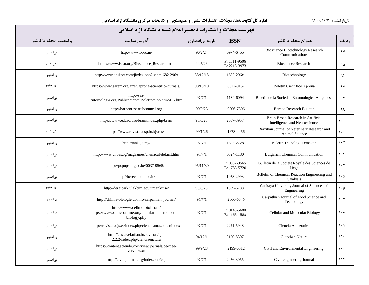| فهرست مجلات و انتشارات نامعتبر اعلام شده دانشگاه آزاد اسلامی |                                                                                                   |                 |                                  |                                                                     |                                 |  |  |  |  |
|--------------------------------------------------------------|---------------------------------------------------------------------------------------------------|-----------------|----------------------------------|---------------------------------------------------------------------|---------------------------------|--|--|--|--|
| وضعيت مجله يا ناشر                                           | آدرس سایت                                                                                         | تاریخ بیاعتباری | <b>ISSN</b>                      | عنوان مجله یا ناشر                                                  | <b>رديف</b>                     |  |  |  |  |
| بىاعتبار                                                     | http://www.bbrc.in/                                                                               | 96/2/24         | 0974-6455                        | <b>Bioscience Biotechnology Research</b><br>Communications          | ۹۴                              |  |  |  |  |
| بىاعتبار                                                     | https://www.isisn.org/Bioscience_Research.htm                                                     | 99/5/26         | P: 1811-9506<br>E: 2218-3973     | <b>Bioscience Research</b>                                          | ۹۵                              |  |  |  |  |
| بى عتبار                                                     | http://www.ansinet.com/jindex.php?issn=1682-296x                                                  | 88/12/15        | 1682-296x                        | Biotechnology                                                       | ۹۶                              |  |  |  |  |
| بىاعتبار                                                     | https://www.sarem.org.ar/en/aprona-scientific-journals/                                           | 98/10/10        | 0327-0157                        | Boletin Científico Aprona                                           | ٩٧                              |  |  |  |  |
| بىاعتبار                                                     | http://sea-<br>entomologia.org/Publicaciones/Boletines/boletinSEA.htm                             | 97/7/1          | 1134-6094                        | Boletin de la Sociedad Entomologica Aragonesa                       | ٩٨                              |  |  |  |  |
| بىاعتبار                                                     | http://borneoresearchcouncil.org                                                                  | 99/9/23         | 0006-7806                        | <b>Borneo Research Bulletin</b>                                     | ۹۹                              |  |  |  |  |
| بىاعتبار                                                     | https://www.edusoft.ro/brain/index.php/brain                                                      | 98/6/26         | 2067-3957                        | Brain-Broad Research in Artificial<br>Intelligence and Neuroscience | $\lambda$                       |  |  |  |  |
| بىاعتبار                                                     | https://www.revistas.usp.br/bjvras/                                                               | 99/1/26         | 1678-4456                        | Brazilian Journal of Veterinary Research and<br>Animal Science      | $\lambda$ . $\lambda$           |  |  |  |  |
| بىاعتبار                                                     | http://tankujs.my/                                                                                | 97/7/1          | 1823-2728                        | Buletin Teknologi Ternakan                                          | $\mathcal{N} \cdot \mathcal{N}$ |  |  |  |  |
| بىاعتبار                                                     | http://www.cl.bas.bg/magazines/chemical/default.htm                                               | 97/7/1          | 0324-1130                        | <b>Bulgarian Chemical Communication</b>                             | $\mathcal{N} \cdot \mathcal{N}$ |  |  |  |  |
| بىاعتبار                                                     | http://popups.ulg.ac.be/0037-9565/                                                                | 95/11/30        | P: 0037-9565<br>E: 1783-5720     | Bulletin de la Societe Royale des Sciences de<br>Liege              | 1.5                             |  |  |  |  |
| بىاعتبار                                                     | http://bcrec.undip.ac.id/                                                                         | 97/7/1          | 1978-2993                        | Bulletin of Chemical Reaction Engineering and<br>Catalysis          | $\mathcal{L} \cdot \Delta$      |  |  |  |  |
| بىاعتبار                                                     | http://dergipark.ulakbim.gov.tr/cankujse/                                                         | 98/6/26         | 1309-6788                        | Cankaya University Journal of Science and<br>Engineering            | $\lambda \cdot 5$               |  |  |  |  |
| بىاعتبار                                                     | http://chimie-biologie.ubm.ro/carpathian_journal/                                                 | 97/7/1          | 2066-6845                        | Carpathian Journal of Food Science and<br>Technology                | $\mathcal{N}$                   |  |  |  |  |
| بىاعتبار                                                     | http://www.cellmolbiol.com/<br>https://www.omicsonline.org/cellular-and-molecular-<br>biology.php | 97/7/1          | $P: 0145 - 5680$<br>E: 1165-158x | Cellular and Molecular Biology                                      | ١٠٨                             |  |  |  |  |
| بىاعتبار                                                     | http://revistas.ojs.es/index.php/cienciaamazonica/index                                           | 97/7/1          | 2221-5948                        | Ciencia Amazonica                                                   | $1 \cdot 9$                     |  |  |  |  |
| بىاعتبار                                                     | http://cascavel.ufsm.br/revistas/ojs-<br>2.2.2/index.php/cienciaenatura                           | 94/12/1         | 0100-8307                        | Ciencia e Natura                                                    | $\lambda \lambda$               |  |  |  |  |
| بىاعتبار                                                     | https://content.sciendo.com/view/journals/cee/cee-<br>overview.xml                                | 99/9/23         | 2199-6512                        | Civil and Environmental Engineering                                 | $\{\lambda\}$                   |  |  |  |  |
| بىاعتبار                                                     | http://civilejournal.org/index.php/cej                                                            | 97/7/1          | 2476-3055                        | Civil engineering Journal                                           | 115                             |  |  |  |  |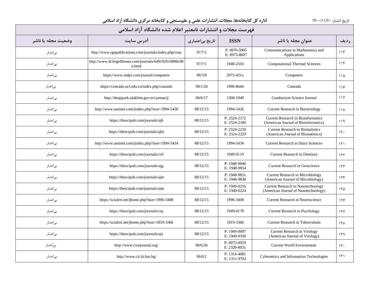| فهرست مجلات و انتشارات نامعتبر اعلام شده دانشگاه آزاد اسلامی |                                                                  |                 |                                  |                                                                                   |                 |  |  |  |  |
|--------------------------------------------------------------|------------------------------------------------------------------|-----------------|----------------------------------|-----------------------------------------------------------------------------------|-----------------|--|--|--|--|
| وضعيت مجله يا ناشر                                           | آدرس سایت                                                        | تاریخ بیاعتباری | <b>ISSN</b>                      | عنوان مجله یا ناشر                                                                | رديف            |  |  |  |  |
| بى اعتبار                                                    | http://www.rgnpublications.com/journals/index.php/cma            | 97/7/1          | P: 0976-5905<br>E: 0975-8607     | Communications in Mathematics and<br>Applications                                 | 115             |  |  |  |  |
| بىاعتبار                                                     | http://www.dl.begellhouse.com/journals/648192910890cd0<br>e.html | 97/7/1          | 1940-2503                        | <b>Computational Thermal Sciences</b>                                             | 115             |  |  |  |  |
| بىاعتبار                                                     | https://www.mdpi.com/journal/computers                           | 98/3/8          | $2073 - 431x$                    | Computers                                                                         | 110             |  |  |  |  |
| بىاعتبار                                                     | https://conrado.ucf.edu.cu/index.php/conrado                     | 99/1/26         | 1990-8644                        | Conrado                                                                           | 119             |  |  |  |  |
| بىاعتبار                                                     | http://dergipark.ulakbim.gov.tr/cumuscij                         | 94/6/17         | 1300-1949                        | Cumhuriyet Science Journal                                                        | $\frac{1}{1}$   |  |  |  |  |
| بى عتبار                                                     | http://www.ansinet.com/jindex.php?issn=1994-5426                 | 88/12/15        | 1994-5426                        | <b>Current Research in Bacteriology</b>                                           | <b>114</b>      |  |  |  |  |
| بىاعتبار                                                     | https://thescipub.com/journals/ajb                               | 88/12/15        | P: 2524-2172<br>E: 2524-2180     | <b>Current Research in Bioinformatics</b><br>(American Journal of Bioinformatics) | ۱۱۹             |  |  |  |  |
| بىاعتبار                                                     | https://thescipub.com/journals/ajbs                              | 88/12/15        | $P: 2524 - 2210$<br>E: 2524-2229 | <b>Current Research in Biostatistics</b><br>(American Journal of Biostatistics)   | 15.             |  |  |  |  |
| بىاعتبار                                                     | http://www.ansinet.com/jindex.php?issn=1994-5434                 | 88/12/15        | 1994-5434                        | <b>Current Research in Dairy Sciences</b>                                         | ۱۲۱             |  |  |  |  |
| بىاعتبار                                                     | https://thescipub.com/journals/crd                               | 88/12/15        | 1949-0119                        | Current Research in Dentistry                                                     | 157             |  |  |  |  |
| بىاعتبار                                                     | https://thescipub.com/journals/ajg                               | 88/12/15        | P: 1948-9846<br>E: 1948-9854     | Current Research in Geoscience                                                    | 155             |  |  |  |  |
| بىاعتبار                                                     | https://thescipub.com/journals/ajm                               | 88/12/15        | $P: 1948-982x$<br>E: 1948-9838   | Current Research in Microbiology<br>(American Journal of Microbiology)            | 156             |  |  |  |  |
| بىاعتبار                                                     | https://thescipub.com/journals/ajnt                              | 88/12/15        | P: 1949-0216<br>E: 1949-0224     | Current Research in Nanotechnology<br>(American Journal of Nanotechnology)        | 150             |  |  |  |  |
| بىاعتبار                                                     | https://scialert.net/jhome.php?issn=1996-3408                    | 88/12/15        | 1996-3408                        | Current Research in Neuroscience                                                  | ۱۲۶             |  |  |  |  |
| بىاعتبار                                                     | https://thescipub.com/journals/crp                               | 88/12/15        | 1949-0178                        | Current Research in Psychology                                                    | 151             |  |  |  |  |
| بىاعتبار                                                     | https://scialert.net/jhome.php?issn=1819-3366                    | 88/12/15        | 1819-3366                        | <b>Current Research in Tuberculosis</b>                                           | 15 <sub>A</sub> |  |  |  |  |
| بىاعتبار                                                     | https://thescipub.com/journals/ajv                               | 88/12/15        | P: 1949-0097<br>E: 1949-0100     | Current Research in Virology<br>(American Journal of Virology)                    | ۱۲۹             |  |  |  |  |
| بىاعتبار                                                     | http://www.cwejournal.org/                                       | 98/6/26         | P: 0973-4929<br>E: 2320-8031     | <b>Current World Environment</b>                                                  | 15.             |  |  |  |  |
| بىاعتبار                                                     | http://www.cit.iit.bas.bg/                                       | 96/6/1          | P: 1314-4081<br>E: 1311-9702     | Cybernetics and Information Technologies                                          | $\mathcal{N}$   |  |  |  |  |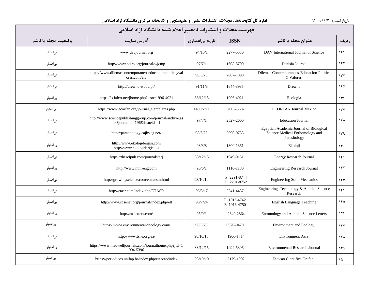| فهرست مجلات و انتشارات نامعتبر اعلام شده دانشگاه آزاد اسلامی |                                                                                         |                 |                              |                                                                                            |             |  |  |  |  |
|--------------------------------------------------------------|-----------------------------------------------------------------------------------------|-----------------|------------------------------|--------------------------------------------------------------------------------------------|-------------|--|--|--|--|
| وضعيت مجله يا ناشر                                           | آدرس سايت                                                                               | تاریخ بیاعتباری | <b>ISSN</b>                  | عنوان مجله یا ناشر                                                                         | رديف        |  |  |  |  |
| بى اعتبار                                                    | www.davjournal.org                                                                      | 94/10/1         | 2277-5536                    | DAV International Journal of Science                                                       | 157         |  |  |  |  |
| بى عتبار                                                     | http://www.scirp.org/journal/wjcmp                                                      | 97/7/1          | 1608-8700                    | Denisia Journal                                                                            | 157         |  |  |  |  |
| بىاعتبار                                                     | https://www.dilemascontemporaneoseducacionpoliticayval<br>ores.com/en/                  | 98/6/26         | 2007-7890                    | Dilemas Contemporaneos-Educacion Politica<br>Y Valores                                     | 156         |  |  |  |  |
| بىاعتبار                                                     | http://drewno-wood.pl/                                                                  | 91/11/3         | 1644-3985                    | Drewno                                                                                     | 150         |  |  |  |  |
| بىاعتبار                                                     | https://scialert.net/jhome.php?issn=1996-4021                                           | 88/12/15        | 1996-4021                    | Ecologia                                                                                   | ۱۳۶         |  |  |  |  |
| بىاعتبار                                                     | https://www.ecorfan.org/journal_ejemplares.php                                          | 1400/2/11       | 2007-3682                    | <b>ECORFAN Journal Mexico</b>                                                              | 17Y         |  |  |  |  |
| بىاعتبار                                                     | http://www.sciencepublishinggroup.com/journal/archive.as<br>px?journalid=196&issueid=-1 | 97/7/1          | 2327-2600                    | <b>Education Journal</b>                                                                   | $15\lambda$ |  |  |  |  |
| بىاعتبار                                                     | http://parasitology.eajbs.eg.net/                                                       | 98/6/26         | 2090-0783                    | Egyptian Academic Journal of Biological<br>Science Medical Enthomology and<br>Parasitology | ۱۳۹         |  |  |  |  |
| بىاعتبار                                                     | http://www.ekolojidergisi.com<br>http://www.ekolojidergisi.us                           | 98/3/8          | 1300-1361                    | Ekoloji                                                                                    | 15.         |  |  |  |  |
| بىاعتبار                                                     | https://thescipub.com/journals/erj                                                      | 88/12/15        | 1949-0151                    | <b>Energy Research Journal</b>                                                             | 151         |  |  |  |  |
| بىاعتبار                                                     | http://www.mnf-eng.com                                                                  | 96/6/1          | 1110-1180                    | <b>Engineering Research Journal</b>                                                        | 155         |  |  |  |  |
| بىاعتبار                                                     | http://growingscience.com/esm/esm.html                                                  | 98/10/10        | P: 2291-8744<br>E: 2291-8752 | <b>Engineering Solid Mechanics</b>                                                         | 155         |  |  |  |  |
| بىاعتبار                                                     | http://etasr.com/index.php/ETASR                                                        | 96/3/17         | 2241-4487                    | Engineering, Technology & Applied Science<br>Research                                      | 156         |  |  |  |  |
| بىاعتبار                                                     | http://www.ccsenet.org/journal/index.php/elt                                            | 96/7/24         | P: 1916-4742<br>E: 1916-4750 | <b>English Language Teaching</b>                                                           | ۱۴۵         |  |  |  |  |
| بىاعتبار                                                     | http://easletters.com/                                                                  | 95/9/1          | 2349-2864                    | Entomology and Applied Science Letters                                                     | ۱۴۶         |  |  |  |  |
| بىاعتبار                                                     | https://www.environmentandecology.com/                                                  | 98/6/26         | 0970-0420                    | <b>Environment and Ecology</b>                                                             | 14V         |  |  |  |  |
| بىاعتبار                                                     | http://www.tshe.org/ea/                                                                 | 98/10/10        | 1906-1714                    | <b>Environment Asia</b>                                                                    | ۱۴۸         |  |  |  |  |
| بىاعتبار                                                     | https://www.medwelljournals.com/journalhome.php?jid=1<br>994-5396                       | 88/12/15        | 1994-5396                    | Environmental Research Journal                                                             | ۱۴۹         |  |  |  |  |
| بىاعتبار                                                     | https://periodicos.unifap.br/index.php/estacao/index                                    | 98/10/10        | 2179-1902                    | Estacao Cientifica Unifap                                                                  | ۱۵۰         |  |  |  |  |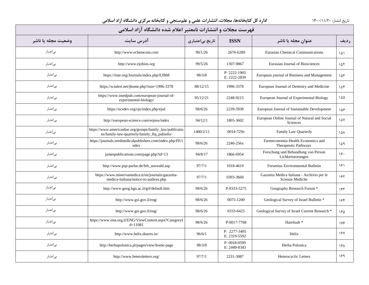| فهرست مجلات و انتشارات نامعتبر اعلام شده دانشگاه آزاد اسلامی |                                                                                                         |                 |                              |                                                                  |      |  |  |  |  |
|--------------------------------------------------------------|---------------------------------------------------------------------------------------------------------|-----------------|------------------------------|------------------------------------------------------------------|------|--|--|--|--|
| وضعيت مجله يا ناشر                                           | آدرس سایت                                                                                               | تاریخ بیاعتباری | <b>ISSN</b>                  | عنوان مجله یا ناشر                                               | رديف |  |  |  |  |
| بىاعتبار                                                     | http://www.echemcom.com                                                                                 | 99/1/26         | 2676-6280                    | <b>Eurasian Chemical Communications</b>                          | ۱۵۱  |  |  |  |  |
| بىاعتبار                                                     | http://www.ejobios.org                                                                                  | 99/5/26         | 1307-9867                    | Eurasian Journal of Biosciences                                  | ۱۵۲  |  |  |  |  |
| بىاعتبار                                                     | https://iiste.org/Journals/index.php/EJBM                                                               | 98/3/8          | P: 2222-1905<br>E: 2222-2839 | European journal of Business and Management                      | ۱۵۳  |  |  |  |  |
| بىاعتبار                                                     | https://scialert.net/jhome.php?issn=1996-3378                                                           | 88/12/15        | 1996-3378                    | European Journal of Dentistry and Medicine                       | ۱۵۴  |  |  |  |  |
| بىاعتبار                                                     | https://www.imedpub.com/european-journal-of-<br>experimental-biology/                                   | 95/12/21        | 2248-9215                    | European Journal of Experimental Biology                         | ۱۵۵  |  |  |  |  |
| بىاعتبار                                                     | https://ecsdev.org/ojs/index.php/ejsd                                                                   | 98/6/26         | 2239-5938                    | European Journal of Sustainable Development                      | ۱۵۶  |  |  |  |  |
| بىاعتبار                                                     | http://european-science.com/eojnss/index                                                                | 94/12/1         | 1805-3602                    | European Online Journal of Natural and Social<br><b>Sciences</b> | ١۵٧  |  |  |  |  |
| بىاعتبار                                                     | https://www.americanbar.org/groups/family_law/publicatio<br>ns/family-law-quarterly/family_flq_pubinfo/ | 1400/2/11       | 0014-729x                    | Family Law Quarterly                                             | ۱۵۸  |  |  |  |  |
| بىاعتبار                                                     | https://journals.seedmedicalpublishers.com/index.php/FE/i<br>ndex                                       | 98/6/26         | 2240-256x                    | Farmeconomia-Health Economics and<br>Therapeutic Pathways        | ۱۵۹  |  |  |  |  |
| بىاعتبار                                                     | jamespublications.com/page.php?id=13                                                                    | 94/8/17         | 1866-6954                    | Forschung und Behandlung von Person<br>Lichkeitstorungen         | ۱۶۰  |  |  |  |  |
| بىاعتبار                                                     | http://www.psp-parlar.de/feb_auswahl.asp                                                                | 97/7/1          | 1018-4619                    | Fresenius Environmental Bulletin                                 | ۱۶۱  |  |  |  |  |
| بىاعتبار                                                     | https://www.minervamedica.it/en/journals/gazzetta-<br>medica-italiana/notice-to-authors.php             | 97/7/1          | 0393-3660                    | Gazzetta Medica Italiana - Archivio per le<br>Scienze Mediche    | ۱۶۲  |  |  |  |  |
| بىاعتبار                                                     | http://www.geog.bgu.ac.il/grf/default.htm                                                               | 98/6/26         | P-0333-5275                  | Geography Research Forum *                                       | ۱۶۳  |  |  |  |  |
| بىاعتبار                                                     | http://www.gsi.gov.il/eng/                                                                              | 98/6/26         | 0075-1200                    | Geological Survey of Israel Bulletin *                           | ۱۶۴  |  |  |  |  |
| بىاعتبار                                                     | http://www.gsi.gov.il/eng/                                                                              | 98/6/26         | 0333-6425                    | Geological Survey of Israel Current Research *                   | ١۶۵  |  |  |  |  |
| بىاعتبار                                                     | https://www.ima.org.il/ENG/ViewContent.aspx?CategoryI<br>$d=11081$                                      | 98/6/26         | P-0017-7768                  | Harefuah <sup>*</sup>                                            | 188  |  |  |  |  |
| بىاعتبار                                                     | http://www.helix.dnares.in/                                                                             | 96/6/1          | P: 2277-3495<br>E: 2319-5592 | Helix                                                            | 187  |  |  |  |  |
| بىاعتبار                                                     | http://herbapolonica.pl/pages/view/home-page                                                            | 98/3/8          | P: 0018-0599<br>E: 2449-8343 | Herba Polonica                                                   | ۱۶۸  |  |  |  |  |
| بىاعتبار                                                     | http://www.heteroletters.org/                                                                           | 97/7/1          | 2231-3087                    | Heterocyclic Letters                                             | ۱۶۹  |  |  |  |  |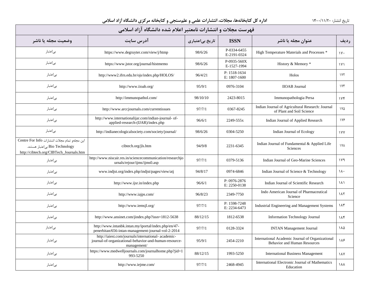| فهرست مجلات و انتشارات نامعتبر اعلام شده دانشگاه آزاد اسلامی                                                                |                                                                                                                              |                 |                              |                                                                                         |                        |  |  |  |
|-----------------------------------------------------------------------------------------------------------------------------|------------------------------------------------------------------------------------------------------------------------------|-----------------|------------------------------|-----------------------------------------------------------------------------------------|------------------------|--|--|--|
| وضعيت مجله يا ناشر                                                                                                          | آدرس سايت                                                                                                                    | تاریخ بیاعتباری | <b>ISSN</b>                  | عنوان مجله یا ناشر                                                                      | رديف                   |  |  |  |
| بىاعتبار                                                                                                                    | https://www.degruyter.com/view/j/htmp                                                                                        | 98/6/26         | P-0334-6455<br>E-2191-0324   | High Temperature Materials and Processes *                                              | $\gamma$ .             |  |  |  |
| بىاعتبار                                                                                                                    | https://www.jstor.org/journal/histmemo                                                                                       | 98/6/26         | $P-0935-560X$<br>E-1527-1994 | History & Memory *                                                                      | $\lambda$ Y $\lambda$  |  |  |  |
| بىاعتبار                                                                                                                    | http://www2.ifrn.edu.br/ojs/index.php/HOLOS/                                                                                 | 96/4/21         | P: 1518-1634<br>E: 1807-1600 | Holos                                                                                   | 1Y <sub>Y</sub>        |  |  |  |
| بىاعتبار                                                                                                                    | http://www.iioab.org/                                                                                                        | 95/9/1          | 0976-3104                    | <b>IIOAB</b> Journal                                                                    | $1Y\mu$                |  |  |  |
| بىاعتبار                                                                                                                    | http://immunopathol.com/                                                                                                     | 98/10/10        | 2423-8015                    | Immunopathologia Persa                                                                  | 1Yf                    |  |  |  |
| بىاعتبار                                                                                                                    | http://www.arccjournals.com/currentissues                                                                                    | 97/7/1          | 0367-8245                    | Indian Journal of Agricultural Research: Journal<br>of Plant and Soil Science           | ۱۷۵                    |  |  |  |
| بىاعتبار                                                                                                                    | http://www.internationalijar.com/indian-journal- of-<br>applied-research-(IJAR)/index.php                                    | 96/6/1          | 2249-555x                    | Indian Journal of Applied Research                                                      | 178                    |  |  |  |
| بىاعتبار                                                                                                                    | http://indianecologicalsociety.com/society/journal/                                                                          | 98/6/26         | 0304-5250                    | Indian Journal of Ecology                                                               | <b>IVY</b>             |  |  |  |
| اين مجلهو تمام مجلات انتشارات Centre For Info<br>Bio Technology بی اعتبار هستند.<br>http://cibtech.org/CIBTech_Journals.htm | cibtech.org/jls.htm                                                                                                          | 94/9/8          | 2231-6345                    | Indian Journal of Fundamental & Applied Life<br>Sciences                                | <b>IVA</b>             |  |  |  |
| بىاعتبار                                                                                                                    | http://www.niscair.res.in/sciencecommunication/researchjo<br>urnals/rejour/ijms/ijms0.asp                                    | 97/7/1          | 0379-5136                    | Indian Journal of Geo-Marine Sciences                                                   | ۱۷۹                    |  |  |  |
| بىاعتبار                                                                                                                    | www.indjst.org/index.php/indjst/pages/view/atj                                                                               | 94/8/17         | 0974-6846                    | Indian Journal of Science & Technology                                                  | ۱۸۰                    |  |  |  |
| بىاعتبار                                                                                                                    | http://www.ijsr.in/index.php                                                                                                 | 96/6/1          | P: 0976-2876<br>E: 2250-0138 | Indian Journal of Scientific Research                                                   | ۱۸۱                    |  |  |  |
| بىاعتبار                                                                                                                    | http://www.iajps.com/                                                                                                        | 96/8/23         | 2349-7750                    | Indo American Journal of Pharmaceutical<br>Science                                      | $\lambda \lambda \tau$ |  |  |  |
| بىاعتبار                                                                                                                    | http://www.iemsjl.org/                                                                                                       | 97/7/1          | P: 1598-7248<br>E: 2234-6473 | Industrial Engineering and Management Systems                                           | ۱۸۳                    |  |  |  |
| بىاعتبار                                                                                                                    | http://www.ansinet.com/jindex.php?issn=1812-5638                                                                             | 88/12/15        | 1812-6538                    | Information Technology Journal                                                          | ۱۸۴                    |  |  |  |
| بىاعتبار                                                                                                                    | http://www.intanbk.intan.my/iportal/index.php/en/47-<br>penerbitan/656-intan-management-journal-vol-2-2014                   | 97/7/1          | 0128-3324                    | <b>INTAN Management Journal</b>                                                         | ۱۸۵                    |  |  |  |
| بىاعتبار                                                                                                                    | http://iaiest.com/journals/international- academic-<br>journal-of-organizational-behavior-and-human-resource-<br>management/ | 95/9/1          | 2454-2210                    | International Academic Journal of Organizational<br><b>Behavior and Human Resources</b> | ۱۸۶                    |  |  |  |
| بىاعتبار                                                                                                                    | https://www.medwelljournals.com/journalhome.php?jid=1<br>993-5250                                                            | 88/12/15        | 1993-5250                    | <b>International Business Management</b>                                                | ١٨٧                    |  |  |  |
| بىاعتبار                                                                                                                    | http://www.iejme.com/                                                                                                        | 97/7/1          | 2468-4945                    | International Electronic Journal of Mathematics<br>Education                            | ነ ለለ                   |  |  |  |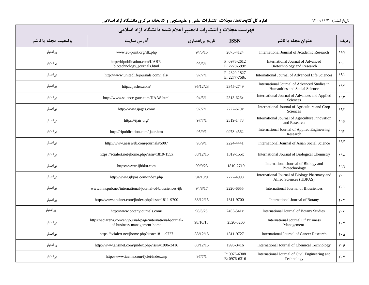| فهرست مجلات و انتشارات نامعتبر اعلام شده دانشگاه آزاد اسلامی |                                                                                            |                 |                              |                                                                               |                                    |  |  |  |
|--------------------------------------------------------------|--------------------------------------------------------------------------------------------|-----------------|------------------------------|-------------------------------------------------------------------------------|------------------------------------|--|--|--|
| وضعيت مجله يا ناشر                                           | آدرس سایت                                                                                  | تاریخ بیاعتباری | <b>ISSN</b>                  | عنوان مجله یا ناشر                                                            | رديف                               |  |  |  |
| بى عتبار                                                     | www.eu-print.org/ilk.php                                                                   | 94/5/15         | 2075-4124                    | International Journal of Academic Research                                    | ۱۸۹                                |  |  |  |
| بىاعتبار                                                     | http://bipublication.com/IJABR-<br>biotechnology_journals.html                             | 95/5/1          | P: 0976-2612<br>E: 2278-599x | International Journal of Advanced<br>Biotechnology and Research               | 19.                                |  |  |  |
| بىاعتبار                                                     | http://www.unitedlifejournals.com/ijals/                                                   | 97/7/1          | P: 2320-1827<br>E: 2277-758x | International Journal of Advanced Life Sciences                               | ۱۹۱                                |  |  |  |
| بىاعتبار                                                     | http://ijashss.com/                                                                        | 95/12/23        | 2345-2749                    | International Journal of Advanced Studies in<br>Humanities and Social Science | 195                                |  |  |  |
| بىاعتبار                                                     | http://www.science-gate.com/IJAAS.html                                                     | 94/5/1          | 2313-626x                    | International Journal of Advances and Applied<br>Sciences                     | 195                                |  |  |  |
| بىاعتبار                                                     | http://www.ijagcs.com/                                                                     | 97/7/1          | 2227-670x                    | International Journal of Agriculture and Crop<br>Sciences                     | 19f                                |  |  |  |
| بىاعتبار                                                     | https://ijair.org/                                                                         | 97/7/1          | 2319-1473                    | International Journal of Agriculture Innovation<br>and Research               | ۱۹۵                                |  |  |  |
| بىاعتبار                                                     | http://ripublication.com/ijaer.htm                                                         | 95/9/1          | 0973-4562                    | International Journal of Applied Engineering<br>Research                      | ۱۹۶                                |  |  |  |
| بىاعتبار                                                     | http://www.aessweb.com/journals/5007                                                       | 95/9/1          | 2224-4441                    | International Journal of Asian Social Science                                 | ۱۹۷                                |  |  |  |
| بىاعتبار                                                     | https://scialert.net/jhome.php?issn=1819-155x                                              | 88/12/15        | 1819-155x                    | International Journal of Biological Chemistry                                 | ۱۹۸                                |  |  |  |
| بىاعتبار                                                     | https://www.ijbbku.com                                                                     | 99/9/23         | 1810-2719                    | International Journal of Biology and<br>Biotechnology                         | ۱۹۹                                |  |  |  |
| بىاعتبار                                                     | http://www.ijbpas.com/index.php                                                            | 94/10/9         | 2277-4998                    | International Journal of Biology Pharmacy and<br>Allied Sciences (IJBPAS)     | $\mathbf{y}$ .                     |  |  |  |
| بىاعتبار                                                     | www.innspub.net/international-journal-of-biosciences-ijb                                   | 94/8/17         | 2220-6655                    | International Journal of Biosciences                                          | $\mathsf{r} \cdot \mathsf{r}$      |  |  |  |
| بىاعتبار                                                     | http://www.ansinet.com/jindex.php?issn=1811-9700                                           | 88/12/15        | 1811-9700                    | International Journal of Botany                                               | $\mathbf{Y} \cdot \mathbf{Y}$      |  |  |  |
| بىاعتبار                                                     | http://www.botanyjournals.com/                                                             | 98/6/26         | 2455-541x                    | International Journal of Botany Studies                                       | $\mathbf{y} \cdot \mathbf{r}$      |  |  |  |
| بىاعتبار                                                     | https://sciarena.com/en/journal-page/international-journal-<br>of-business-management-home | 98/10/10        | 2520-3266                    | <b>International Journal Of Business</b><br>Management                        | $\mathbf{y} \cdot \mathbf{r}$      |  |  |  |
| بىاعتبار                                                     | https://scialert.net/jhome.php?issn=1811-9727                                              | 88/12/15        | 1811-9727                    | International Journal of Cancer Research                                      | $\mathsf{r} \cdot \mathsf{\Delta}$ |  |  |  |
| بىاعتبار                                                     | http://www.ansinet.com/jindex.php?issn=1996-3416                                           | 88/12/15        | 1996-3416                    | International Journal of Chemical Technology                                  | $\mathbf{y} \cdot \mathbf{y}$      |  |  |  |
| بياعتبار                                                     | http://www.iaeme.com/ijciet/index.asp                                                      | 97/7/1          | P: 0976-6308<br>E: 0976-6316 | International Journal of Civil Engineering and<br>Technology                  | $Y \cdot Y$                        |  |  |  |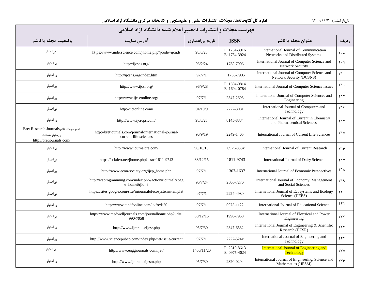| فهرست مجلات و انتشارات نامعتبر اعلام شده دانشگاه آزاد اسلامی                           |                                                                                 |                 |                              |                                                                              |                               |  |  |  |
|----------------------------------------------------------------------------------------|---------------------------------------------------------------------------------|-----------------|------------------------------|------------------------------------------------------------------------------|-------------------------------|--|--|--|
| وضعيت مجله يا ناشر                                                                     | آدرس سایت                                                                       | تاریخ بیاعتباری | <b>ISSN</b>                  | عنوان مجله یا ناشر                                                           | رديف                          |  |  |  |
| بىاعتبار                                                                               | https://www.inderscience.com/jhome.php?jcode=ijcnds                             | 98/6/26         | P: 1754-3916<br>E: 1754-3924 | International Journal of Communication<br>Networks and Distributed Systems   | $\mathsf{Y} \cdot \mathsf{A}$ |  |  |  |
| بىاعتبار                                                                               | http://ijcsns.org/                                                              | 96/2/24         | 1738-7906                    | International Journal of Computer Science and<br>Network Security            | $\mathbf{y} \cdot \mathbf{q}$ |  |  |  |
| بىاعتبار                                                                               | http://ijcsns.org/index.htm                                                     | 97/7/1          | 1738-7906                    | International Journal of Computer Science and<br>Network Security (IJCSNS)   | $\mathsf{Y}$                  |  |  |  |
| بىاعتبار                                                                               | http://www.ijcsi.org/                                                           | 96/9/28         | P: 1694-0814<br>E: 1694-0784 | International Journal of Computer Science Issues                             | ۲۱۱                           |  |  |  |
| بىاعتبار                                                                               | http://www.ijcseonline.org/                                                     | 97/7/1          | 2347-2693                    | International Journal of Computer Sciences and<br>Engineering                | $Y \setminus Y$               |  |  |  |
| بىاعتبار                                                                               | http://ijctonline.com/                                                          | 94/10/9         | 2277-3081                    | International Journal of Computers and<br>Technology                         | ۲۱۳                           |  |  |  |
| بىاعتبار                                                                               | http://www.ijcrcps.com/                                                         | 98/6/26         | 0145-8884                    | International Journal of Current in Chemistry<br>and Pharmaceutical Sciences | ۲۱۴                           |  |  |  |
| تمام مجلات ناشر Bret Research Journals<br>بے اعتبار هستند.<br>http://bretjournals.com/ | http://bretjournals.com/journal/international-journal-<br>current-life-sciences | 96/9/19         | 2249-1465                    | International Journal of Current Life Sciences                               | ۲۱۵                           |  |  |  |
| بىاعتبار                                                                               | http://www.journalcra.com/                                                      | 98/10/10        | 0975-833x                    | International Journal of Current Research                                    | ۲۱۶                           |  |  |  |
| بىاعتبار                                                                               | https://scialert.net/jhome.php?issn=1811-9743                                   | 88/12/15        | 1811-9743                    | International Journal of Dairy Science                                       | Y                             |  |  |  |
| بىاعتبار                                                                               | http://www.econ-society.org/ijep_home.php                                       | 97/7/1          | 1307-1637                    | International Journal of Economic Perspectives                               | ٢١٨                           |  |  |  |
| بىاعتبار                                                                               | http://waprogramming.com/index.php?action=journal&pag<br>e=home&jid=6           | 96/7/24         | 2306-7276                    | International Journal of Economy, Management<br>and Social Sciences          | ۲۱۹                           |  |  |  |
| بىاعتبار                                                                               | https://sites.google.com/site/injournalofecosystems/templat                     | 97/7/1          | 2224-4980                    | International Journal of Ecosystems and Ecology<br>Science (IJEES)           | ٢٢.                           |  |  |  |
| بىاعتبار                                                                               | http://www.tandfonline.com/loi/reds20                                           | 97/7/1          | 0975-1122                    | International Journal of Educational Science                                 | $\tau\tau$                    |  |  |  |
| بىاعتبار                                                                               | https://www.medwelljournals.com/journalhome.php?jid=1<br>990-7958               | 88/12/15        | 1990-7958                    | International Journal of Electrical and Power<br>Engineering                 | YYY                           |  |  |  |
| بىاعتبار                                                                               | http://www.ijmra.us/ijesr.php                                                   | 95/7/30         | 2347-6532                    | International Journal of Engineering & Scientific<br>Research (IJESR)        | $\tau\tau\tau$                |  |  |  |
| بىاعتبار                                                                               | http://www.sciencepubco.com/index.php/ijet/issue/current                        | 97/7/1          | 2227-524x                    | International Journal of Engineering and<br>Technology                       | $\tau\tau\tau$                |  |  |  |
| بىاعتبار                                                                               | http://www.enggjournals.com/ijet/                                               | 1400/11/20      | P: 2319-8613<br>E: 0975-4024 | <b>International Journal of Engineering and</b><br><b>Technology</b>         | ۲۲۵                           |  |  |  |
| بىاعتبار                                                                               | http://www.ijmra.us/ijesm.php                                                   | 95/7/30         | 2320-0294                    | International Journal of Engineering, Science and<br>Mathematics (IJESM)     | ۲۲۶                           |  |  |  |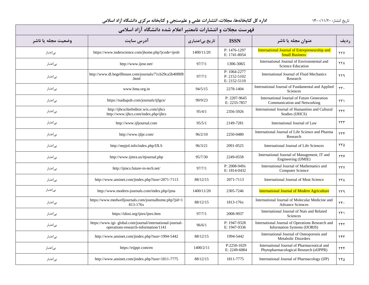| فهرست مجلات و انتشارات نامعتبر اعلام شده دانشگاه آزاد اسلامی |                                                                                                   |                 |                                              |                                                                                       |                         |  |  |  |  |
|--------------------------------------------------------------|---------------------------------------------------------------------------------------------------|-----------------|----------------------------------------------|---------------------------------------------------------------------------------------|-------------------------|--|--|--|--|
| وضعيت مجله يا ناشر                                           | آدرس سایت                                                                                         | تاریخ بیاعتباری | <b>ISSN</b>                                  | عنوان مجله یا ناشر                                                                    | رديف                    |  |  |  |  |
| بى اعتبار                                                    | https://www.inderscience.com/jhome.php?jcode=ijesb                                                | 1400/11/20      | P: 1476-1297<br>E: 1741-8054                 | <b>International Journal of Entrepreneurship and</b><br><b>Small Business</b>         | <b>TTV</b>              |  |  |  |  |
| بىاعتبار                                                     | http://www.ijese.net/                                                                             | 97/7/1          | 1306-3065                                    | International Journal of Environmental and<br><b>Science Education</b>                | <b>TTA</b>              |  |  |  |  |
| بىاعتبار                                                     | http://www.dl.begellhouse.com/journals/71cb29ca5b40f8f8<br>.html                                  | 97/7/1          | P: 1064-2277<br>P: 2152-5102<br>E: 2152-5110 | International Journal of Fluid Mechanics<br>Research                                  | YY9                     |  |  |  |  |
| بىاعتبار                                                     | www.bma.org.in                                                                                    | 94/5/15         | 2278-1404                                    | International Journal of Fundamental and Applied<br>Sciences                          | $\tau\tau$ .            |  |  |  |  |
| بى عتبار                                                     | https://nadiapub.com/journals/ijfgcn/                                                             | 99/9/23         | P: 2207-9645<br>E: 2233-7857                 | International Journal of Future Generation<br>Communication and Networking            | $\tau\tau$              |  |  |  |  |
| بىاعتبار                                                     | http://ijhcschiefeditor.wix.com/ijhcs<br>http://www.ijhcs.com/index.php/ijhcs                     | 95/4/1          | 2356-5926                                    | International Journal of Humanities and Cultural<br>Studies (IJHCS)                   | $\tau\tau\tau$          |  |  |  |  |
| بے اعتبار                                                    | http://www.ijljournal.com                                                                         | 95/5/1          | 2149-7281                                    | International Journal of Law                                                          | $\tau\tau\tau$          |  |  |  |  |
| بىاعتبار                                                     | http://www.ijlpr.com/                                                                             | 96/2/10         | 2250-0480                                    | International Journal of Life Science and Pharma<br>Research                          | $\tau\tau f$            |  |  |  |  |
| بى عتبار                                                     | http://nepjol.info/index.php/IJLS                                                                 | 96/3/21         | 2091-0525                                    | International Journal of Life Sciences                                                | ۲۳۵                     |  |  |  |  |
| بىاعتبار                                                     | http://www.ijmra.us/itjournal.php                                                                 | 95/7/30         | 2249-0558                                    | International Journal of Management, IT and<br>Engineering (IJMIE)                    | ٢٣۶                     |  |  |  |  |
| بىاعتبار                                                     | http://ijmcs.future-in-tech.net/                                                                  | 97/7/1          | $P: 2008 - 949x$<br>E: 1814-0432             | International Journal of Mathematics and<br>Computer Science                          | YYY                     |  |  |  |  |
| بىاعتبار                                                     | http://www.ansinet.com/jindex.php?issn=2071-7113                                                  | 88/12/15        | 2071-7113                                    | International Journal of Meat Science                                                 | <b>TTA</b>              |  |  |  |  |
| بىاعتبار                                                     | http://www.modern-journals.com/index.php/ijma                                                     | 1400/11/20      | 2305-7246                                    | <b>International Journal of Modern Agriculture</b>                                    | ۲۳۹                     |  |  |  |  |
| بىاعتبار                                                     | https://www.medwelljournals.com/journalhome.php?jid=1<br>813-176x                                 | 88/12/15        | 1813-176x                                    | International Journal of Molecular Medicine and<br><b>Advance Sciences</b>            | $\mathbf{Y} \mathbf{F}$ |  |  |  |  |
| بىاعتبار                                                     | https://idosi.org/ijnrs/ijnrs.htm                                                                 | 97/7/1          | 2008-9937                                    | International Journal of Nuts and Related<br>Sciences                                 | $\tau f$                |  |  |  |  |
| بى عتبار                                                     | https://www.igi-global.com/journal/international-journal-<br>operations-research-information/1141 | 96/6/1          | P: 1947-9328<br>E: 1947-9336                 | International Journal of Operations Research and<br>Information Systems (IJORIS)      | YYY                     |  |  |  |  |
| بىاعتبار                                                     | http://www.ansinet.com/jindex.php?issn=1994-5442                                                  | 88/12/15        | 1994-5442                                    | International Journal of Osteoporosis and<br>Metabolic Disorders                      | ٢۴٣                     |  |  |  |  |
| بىاعتبار                                                     | https://eijppr.com/en                                                                             | 1400/2/11       | P:2250-1029<br>E: 2249-6084                  | International Journal of Pharmaceutical and<br>Phytopharmacological Research (eIJPPR) | ۲۴۴                     |  |  |  |  |
| بىاعتبار                                                     | http://www.ansinet.com/jindex.php?issn=1811-7775                                                  | 88/12/15        | 1811-7775                                    | International Journal of Pharmacology (IJP)                                           | ٢۴۵                     |  |  |  |  |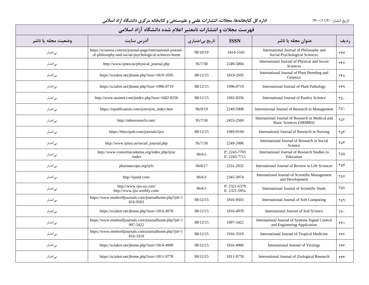| فهرست مجلات و انتشارات نامعتبر اعلام شده دانشگاه آزاد اسلامی |                                                                                                                     |                 |                              |                                                                                |             |  |  |  |
|--------------------------------------------------------------|---------------------------------------------------------------------------------------------------------------------|-----------------|------------------------------|--------------------------------------------------------------------------------|-------------|--|--|--|
| وضعيت مجله يا ناشر                                           | آدرس سايت                                                                                                           | تاریخ بیاعتباری | <b>ISSN</b>                  | عنوان مجله یا ناشر                                                             | رديف        |  |  |  |
| بى عتبار                                                     | https://sciarena.com/en/journal-page/international-journal-<br>of-philosophy-and-social-psychological-sciences-home | 98/10/10        | 2414-5343                    | International Journal of Philosophy and<br>Social-Psychological Sciences       | 397         |  |  |  |
| بىاعتبار                                                     | http://www.ijmra.us/physical_journal.php                                                                            | 95/7/30         | 2249-5894                    | International Journal of Physical and Social<br>Sciences                       | <b>TFV</b>  |  |  |  |
| بى عتبار                                                     | https://scialert.net/jhome.php?issn=1819-3595                                                                       | 88/12/15        | 1819-3595                    | International Journal of Plant Breeding and<br>Genetics                        | <b>٢۴٨</b>  |  |  |  |
| بىاعتبار                                                     | https://scialert.net/jhome.php?issn=1996-0719                                                                       | 88/12/15        | 1996-0719                    | International Journal of Plant Pathology                                       | ۲۴۹         |  |  |  |
| بى عتبار                                                     | http://www.ansinet.com/jindex.php?issn=1682-8356                                                                    | 88/12/15        | 1682-8356                    | International Journal of Poultry Science                                       | ٢۵٠         |  |  |  |
| بىاعتبار                                                     | https://rspublication.com/ijrm/ijrm_index.htm                                                                       | 96/9/19         | 2249-5908                    | International Journal of Research in Management                                | ۲۵۱         |  |  |  |
| بى عتبار                                                     | http://mbsresearch.com/                                                                                             | 95/7/30         | 2455-2569                    | International Journal of Research in Medical and<br>Basic Sciences (IJRMBS)    | ٢۵٢         |  |  |  |
| بىاعتبار                                                     | https://thescipub.com/journals/ijrn                                                                                 | 88/12/15        | 1949-0194                    | International Journal of Research in Nursing                                   | ۲۵۳         |  |  |  |
| بى عتبار                                                     | http://www.ijmra.us/social_journal.php                                                                              | 95/7/30         | 2249-2496                    | International Journal of Research in Social<br>Science                         | ۲۵۴         |  |  |  |
| بىاعتبار                                                     | http://www.consortiacademia.org/index.php/ijrse<br>/index                                                           | 96/6/1          | P: 2243-7703<br>E: 2243-7711 | International Journal of Research Studies in<br>Education                      | ۲۵۵         |  |  |  |
| بىاعتبار                                                     | pharmascope.org/ijrls                                                                                               | 94/8/17         | 2231-2935                    | International Journal of Review in Life Sciences                               | ۲۵۶         |  |  |  |
| بىاعتبار                                                     | http://ijsmd.com/                                                                                                   | 96/6/1          | 2345-3974                    | International Journal of Scientific Management<br>and Development              | $Y\Delta V$ |  |  |  |
| بىاعتبار                                                     | http://www.ijss-sn.com/<br>http://www.ijss.weebly.com/                                                              | 96/6/1          | P: 2321-6379<br>E: 2321-595x | International Journal of Scientific Study                                      | ۲۵۸         |  |  |  |
| بىاعتبار                                                     | https://www.medwelljournals.com/journalhome.php?jid=1<br>816-9503                                                   | 88/12/15        | 1816-9503                    | International Journal of Soft Computing                                        | ۲۵۹         |  |  |  |
| بىاعتبار                                                     | https://scialert.net/jhome.php?issn=1816-4978                                                                       | 88/12/15        | 1816-4978                    | International Journal of Soil Science                                          | ۲۶.         |  |  |  |
| بىاعتبار                                                     | https://www.medwelljournals.com/journalhome.php?jid=1<br>997-5422                                                   | 88/12/15        | 1997-5422                    | International Journal of Systems Signal Control<br>and Engineering Application | ۲۶۱         |  |  |  |
| بىاعتبار                                                     | https://www.medwelljournals.com/journalhome.php?jid=1<br>816-3319                                                   | 88/12/15        | 1916-3319                    | International Journal of Tropical Medicine                                     | ٢۶٢         |  |  |  |
| بىاعتبار                                                     | https://scialert.net/jhome.php?issn=1816-4900                                                                       | 88/12/15        | 1816-4900                    | International Journal of Virology                                              | ٢۶٣         |  |  |  |
| بىاعتبار                                                     | https://scialert.net/jhome.php?issn=1811-9778                                                                       | 88/12/15        | 1811-9778                    | International Journal of Zoological Research                                   | ۲۶۴         |  |  |  |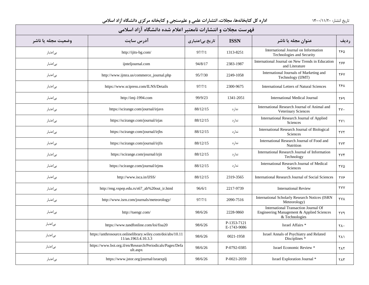| فهرست مجلات و انتشارات نامعتبر اعلام شده دانشگاه آزاد اسلامی |                                                                                   |                 |                            |                                                                                                     |                              |  |  |  |  |
|--------------------------------------------------------------|-----------------------------------------------------------------------------------|-----------------|----------------------------|-----------------------------------------------------------------------------------------------------|------------------------------|--|--|--|--|
| وضعيت مجله يا ناشر                                           | آدرس سايت                                                                         | تاریخ بیاعتباری | <b>ISSN</b>                | عنوان مجله یا ناشر                                                                                  | رديف                         |  |  |  |  |
| بى اعتبار                                                    | http://ijits-bg.com/                                                              | 97/7/1          | 1313-8251                  | International Journal on Information<br>Technologies and Security                                   | ۲۶۵                          |  |  |  |  |
| بىاعتبار                                                     | ijnteljournal.com                                                                 | 94/8/17         | 2383-1987                  | International Journal on New Trends in Education<br>and Literature                                  | ۲۶۶                          |  |  |  |  |
| بىاعتبار                                                     | http://www.ijmra.us/commerce_journal.php                                          | 95/7/30         | 2249-1058                  | International Journals of Marketing and<br>Technology (IJMT)                                        | <b>TEV</b>                   |  |  |  |  |
| بىاعتبار                                                     | https://www.scipress.com/ILNS/Details                                             | 97/7/1          | 2300-9675                  | <b>International Letters of Natural Sciences</b>                                                    | ٢۶٨                          |  |  |  |  |
| بىاعتبار                                                     | http://imj-1994.com                                                               | 99/9/23         | 1341-2051                  | International Medical Journal                                                                       | ۲۶۹                          |  |  |  |  |
| بىاعتبار                                                     | https://scirange.com/journal/irjavs                                               | 88/12/15        | ندارد                      | International Research Journal of Animal and<br><b>Veterinary Sciences</b>                          | $\mathsf{Y}\mathsf{Y}\cdot$  |  |  |  |  |
| بىاعتبار                                                     | https://scirange.com/journal/irjas                                                | 88/12/15        | ندارد                      | International Research Journal of Applied<br>Sciences                                               | ۲۷۱                          |  |  |  |  |
| بىاعتبار                                                     | https://scirange.com/journal/irjbs                                                | 88/12/15        | ندارد                      | International Research Journal of Biological<br>Sciences                                            | <b>TYT</b>                   |  |  |  |  |
| بىاعتبار                                                     | https://scirange.com/journal/irjfn                                                | 88/12/15        | ندار د                     | International Research Journal of Food and<br>Nutrition                                             | <b>TYT</b>                   |  |  |  |  |
| بىاعتبار                                                     | https://scirange.com/journal/irjit                                                | 88/12/15        | ندار د                     | International Research Journal of Information<br>Technology                                         | <b>٢٧۴</b>                   |  |  |  |  |
| بىاعتبار                                                     | https://scirange.com/journal/irjms                                                | 88/12/15        | ندارد                      | International Research Journal of Medical<br><b>Sciences</b>                                        | $\mathsf{Y}\mathsf{V}\Delta$ |  |  |  |  |
| بىاعتبار                                                     | http://www.isca.in/IJSS/                                                          | 88/12/15        | 2319-3565                  | International Research Journal of Social Sciences                                                   | <b>TVS</b>                   |  |  |  |  |
| بىاعتبار                                                     | http://eng.vspep.edu.rs/s67_ab%20out_ir.html                                      | 96/6/1          | 2217-9739                  | <b>International Review</b>                                                                         | <b>TYY</b>                   |  |  |  |  |
| بىاعتبار                                                     | http://www.isrn.com/journals/meteorology/                                         | 97/7/1          | 2090-7516                  | International Scholarly Research Notices (ISRN<br>Meteorology)                                      | <b>٢٧٨</b>                   |  |  |  |  |
| بىاعتبار                                                     | http://tuengr.com/                                                                | 98/6/26         | 2228-9860                  | International Transaction Journal Of<br>Engineering Management & Applied Sciences<br>& Technologies | ۲۷۹                          |  |  |  |  |
| بىاعتبار                                                     | https://www.tandfonline.com/loi/fisa20                                            | 98/6/26         | P-1353-7121<br>E-1743-9086 | Israel Affairs *                                                                                    | ٢٨٠                          |  |  |  |  |
| بىاعتبار                                                     | https://anthrosource.onlinelibrary.wiley.com/doi/abs/10.11<br>11/an.1963.4.10.3.3 | 98/6/26         | 0021-1958                  | Israel Annals of Psychiatry and Related<br>Disciplines *                                            | ۲۸۱                          |  |  |  |  |
| بىاعتبار                                                     | https://www.boi.org.il/en/Research/Periodicals/Pages/Defa<br>ult.aspx             | 98/6/26         | P-0792-0385                | Israel Economic Review *                                                                            | <b>TAT</b>                   |  |  |  |  |
| بى عتبار                                                     | https://www.jstor.org/journal/israexplj                                           | 98/6/26         | P-0021-2059                | Israel Exploration Journal *                                                                        | ٢٨٣                          |  |  |  |  |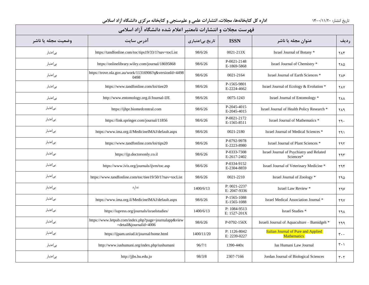| فهرست مجلات و انتشارات نامعتبر اعلام شده دانشگاه آزاد اسلامی |                                                                                 |                 |                              |                                                                  |                               |  |  |  |
|--------------------------------------------------------------|---------------------------------------------------------------------------------|-----------------|------------------------------|------------------------------------------------------------------|-------------------------------|--|--|--|
| وضعيت مجله يا ناشر                                           | آدرس سايت                                                                       | تاریخ بیاعتباری | <b>ISSN</b>                  | عنوان مجله یا ناشر                                               | <b>رديف</b>                   |  |  |  |
| بىاعتبار                                                     | https://tandfonline.com/toc/tips19/33/1?nav=tocList                             | 98/6/26         | 0021-213X                    | Israel Journal of Botany *                                       | <b>TAF</b>                    |  |  |  |
| بىاعتبار                                                     | https://onlinelibrary.wiley.com/journal/18695868                                | 98/6/26         | P-0021-2148<br>E-1869-5868   | Israel Journal of Chemistry *                                    | ٢٨٥                           |  |  |  |
| بىاعتبار                                                     | https://trove.nla.gov.au/work/11316906?q&versionId=4498<br>0498                 | 98/6/26         | 0021-2164                    | Israel Journal of Earth Sciences *                               | <b>TAS</b>                    |  |  |  |
| بى عتبار                                                     | https://www.tandfonline.com/loi/tiee20                                          | 98/6/26         | P-1565-9801<br>E-2224-4662   | Israel Journal of Ecology & Evolution *                          | <b>TAY</b>                    |  |  |  |
| بے اعتبار                                                    | http://www.entomology.org.il/Journal-IJE                                        | 98/6/26         | 0075-1243                    | Israel Journal of Entomology *                                   | <b>YAA</b>                    |  |  |  |
| بى عتبار                                                     | https://ijhpr.biomedcentral.com                                                 | 98/6/26         | P-2045-4015<br>E-2045-4015   | Israel Journal of Health Policy Research *                       | ۲۸۹                           |  |  |  |
| بىاعتبار                                                     | https://link.springer.com/journal/11856                                         | 98/6/26         | P-0021-2172<br>E-1565-8511   | Israel Journal of Mathematics *                                  | ٢٩٠                           |  |  |  |
| بى عتبار                                                     | https://www.ima.org.il/MedicineIMAJ/default.aspx                                | 98/6/26         | 0021-2180                    | Israel Journal of Medical Sciences *                             | ۲۹۱                           |  |  |  |
| بىاعتبار                                                     | https://www.tandfonline.com/loi/tips20                                          | 98/6/26         | P-0792-9978<br>E-2223-8980   | Israel Journal of Plant Sciences *                               | ۲۹۲                           |  |  |  |
| بىاعتبار                                                     | https://ijp.doctorsonly.co.il                                                   | 98/6/26         | P-0333-7308<br>E-2617-2402   | Israel Journal of Psychiatry and Related<br>Sciences*            | ۲۹۳                           |  |  |  |
| بىاعتبار                                                     | https://www.ivis.org/journals/ijvm/toc.asp                                      | 98/6/26         | P-0334-9152<br>E-2304-8859   | Israel Journal of Veterinary Medicine *                          | ۲۹۴                           |  |  |  |
| بىاعتبار                                                     | https://www.tandfonline.com/toc/tiee19/50/1?nav=tocList                         | 98/6/26         | 0021-2210                    | Israel Journal of Zoology *                                      | ۲۹۵                           |  |  |  |
| بىاعتبار                                                     | ندارد                                                                           | 1400/6/13       | P: 0021-2237<br>E: 2047-9336 | Israel Law Review *                                              | ۲۹۶                           |  |  |  |
| بىاعتبار                                                     | https://www.ima.org.il/MedicineIMAJ/default.aspx                                | 98/6/26         | P-1565-1088<br>E-1565-1088   | Israel Medical Association Journal *                             | <b>TAY</b>                    |  |  |  |
| بىاعتبار                                                     | https://iupress.org/journals/israelstudies/                                     | 1400/6/13       | P: 1084-9513<br>E: 1527-201X | Israel Studies <sup>*</sup>                                      | ۲۹۸                           |  |  |  |
| بىاعتبار                                                     | https://www.letpub.com/index.php?page=journalapp&view<br>=detail&journalid=4006 | 98/6/26         | $P-0792-156X$                | Israeli Journal of Aquaculture – Bamidgeh *                      | ۲۹۹                           |  |  |  |
| بىاعتبار                                                     | https://ijpam.uniud.it/journal/home.html                                        | 1400/11/20      | P: 1126-8042<br>E: 2239-0227 | <b>Italian Journal of Pure and Applied</b><br><b>Mathematics</b> | $\mathbf{r}$                  |  |  |  |
| بىاعتبار                                                     | http://www.iushumani.org/index.php/iushumani                                    | 96/7/1          | 1390-440x                    | Ius Humani Law Journal                                           | $\mathbf{r} \cdot \mathbf{y}$ |  |  |  |
| بىاعتبار                                                     | http://jjbs.hu.edu.jo                                                           | 98/3/8          | 2307-7166                    | Jordan Journal of Biological Sciences                            | $\mathbf{r} \cdot \mathbf{r}$ |  |  |  |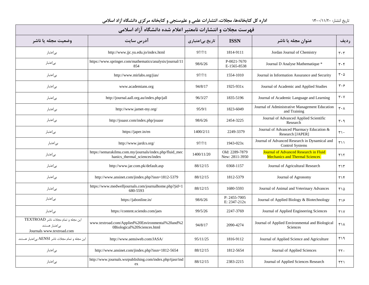| فهرست مجلات و انتشارات نامعتبر اعلام شده دانشگاه آزاد اسلامی                        |                                                                                          |                 |                                  |                                                                                |                               |  |  |  |
|-------------------------------------------------------------------------------------|------------------------------------------------------------------------------------------|-----------------|----------------------------------|--------------------------------------------------------------------------------|-------------------------------|--|--|--|
| وضعيت مجله يا ناشر                                                                  | آدرس سايت                                                                                | تاریخ بیاعتباری | <b>ISSN</b>                      | عنوان مجله یا ناشر                                                             | رديف                          |  |  |  |
| بىاعتبار                                                                            | http://www.jjc.yu.edu.jo/index.html                                                      | 97/7/1          | 1814-9111                        | Jordan Journal of Chemistry                                                    | $\mathbf{r} \cdot \mathbf{r}$ |  |  |  |
| بىاعتبار                                                                            | https://www.springer.com/mathematics/analysis/journal/11<br>854                          | 98/6/26         | P-0021-7670<br>E-1565-8538       | Journal D Analyse Mathematique *                                               | $\mathbf{r} \cdot \mathbf{r}$ |  |  |  |
| بىاعتبار                                                                            | http://www.mirlabs.org/jias/                                                             | 97/7/1          | 1554-1010                        | Journal in Information Assurance and Security                                  | $\mathbf{r} \cdot \mathbf{r}$ |  |  |  |
| بىاعتبار                                                                            | www.academians.org                                                                       | 94/8/17         | 1925-931x                        | Journal of Academic and Applied Studies                                        | $\mathbf{r} \cdot \mathbf{r}$ |  |  |  |
| بىاعتبار                                                                            | http://journal.aall.org.au/index.php/jall                                                | 96/3/27         | 1835-5196                        | Journal of Academic Language and Learning                                      | $\mathbf{r} \cdot \mathbf{v}$ |  |  |  |
| بىاعتبار                                                                            | http://www.jamet-my.org/                                                                 | 95/9/1          | 1823-6049                        | Journal of Administrative Management Education<br>and Training                 | $\mathbf{r} \cdot \mathbf{v}$ |  |  |  |
| بىاعتبار                                                                            | http://joaasr.com/index.php/joaasr                                                       | 98/6/26         | 2454-3225                        | Journal of Advanced Applied Scientific<br>Research                             | $\mathbf{r} \cdot \mathbf{q}$ |  |  |  |
| بىاعتبار                                                                            | https://japer.in/en                                                                      | 1400/2/11       | 2249-3379                        | Journal of Advanced Pharmacy Education &<br>Research [JAPER]                   | $\mathbf{r} \cdot$            |  |  |  |
| بىاعتبار                                                                            | http://www.jardcs.org/                                                                   | 97/7/1          | $1943 - 023x$                    | Journal of Advanced Research in Dynamical and<br><b>Control Systems</b>        | ۳۱۱                           |  |  |  |
| بىاعتبار                                                                            | https://semarakilmu.com.my/journals/index.php/fluid_mec<br>hanics_thermal_sciences/index | 1400/11/20      | Old: 2289-7879<br>New: 2811-3950 | Journal of Advanced Research in Fluid<br><b>Mechanics and Thermal Sciences</b> | $T\setminus Y$                |  |  |  |
| بى عتبار                                                                            | http://www.jar.com.pk/default.asp                                                        | 88/12/15        | 0368-1157                        | Journal of Agricultural Research                                               | $\uparrow \uparrow \uparrow$  |  |  |  |
| بىاعتبار                                                                            | http://www.ansinet.com/jindex.php?issn=1812-5379                                         | 88/12/15        | 1812-5379                        | Journal of Agronomy                                                            | $T \setminus F$               |  |  |  |
| بى عتبار                                                                            | https://www.medwelljournals.com/journalhome.php?jid=1<br>680-5593                        | 88/12/15        | 1680-5593                        | Journal of Animal and Veterinary Advances                                      | ۲۱۵                           |  |  |  |
| بىاعتبار                                                                            | https://jabonline.in/                                                                    | 98/6/26         | P: 2455-7005<br>E: 2347-212x     | Journal of Applied Biology & Biotechnology                                     | ٣١۶                           |  |  |  |
| بىاعتبار                                                                            | https://content.sciendo.com/jaes                                                         | 99/5/26         | 2247-3769                        | Journal of Applied Engineering Sciences                                        | $\uparrow \uparrow \uparrow$  |  |  |  |
| این مجله و تمام مجلات ناشر TEXTROAD<br>بى اعتبار هستند<br>Journals www.textroad.com | www.textroad.com/Applied%20Environmental%20and%2<br>0Biological%20Sciences.html          | 94/8/17         | 2090-4274                        | Journal of Applied Environmental and Biological<br><b>Sciences</b>             | ٣١٨                           |  |  |  |
| این مجله و تمام مجلات ناشر AENSI بی اعتبار هستند.                                   | http://www.aensiweb.com/JASA/                                                            | 95/11/25        | 1816-9112                        | Journal of Applied Science and Agriculture                                     | ۳۱۹                           |  |  |  |
| بىاعتبار                                                                            | http://www.ansinet.com/jindex.php?issn=1812-5654                                         | 88/12/15        | 1812-5654                        | Journal of Applied Sciences                                                    | $rrf$ .                       |  |  |  |
| بىاعتبار                                                                            | http://www.journals.wsrpublishing.com/index.php/tjasr/ind<br>ex                          | 88/12/15        | 2383-2215                        | Journal of Applied Sciences Research                                           | ۳۲۱                           |  |  |  |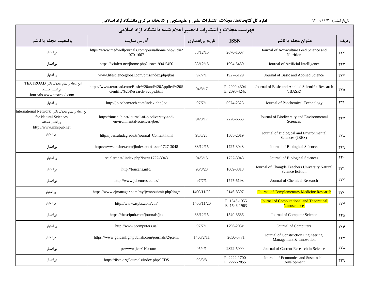| فهرست مجلات و انتشارات نامعتبر اعلام شده دانشگاه آزاد اسلامی                                                          |                                                                                       |                 |                                  |                                                                          |             |  |  |  |
|-----------------------------------------------------------------------------------------------------------------------|---------------------------------------------------------------------------------------|-----------------|----------------------------------|--------------------------------------------------------------------------|-------------|--|--|--|
| وضعيت مجله يا ناشر                                                                                                    | آدرس سايت                                                                             | تاریخ بیاعتباری | <b>ISSN</b>                      | عنوان مجله یا ناشر                                                       | <b>رديف</b> |  |  |  |
| بىاعتبار                                                                                                              | https://www.medwelljournals.com/journalhome.php?jid=2<br>070-1667                     | 88/12/15        | 2070-1667                        | Journal of Aquaculture Feed Science and<br>Nutrition                     | ٣٢٢         |  |  |  |
| بىاعتبار                                                                                                              | https://scialert.net/jhome.php?issn=1994-5450                                         | 88/12/15        | 1994-5450                        | Journal of Artificial Intelligence                                       | rrr         |  |  |  |
| بىاعتبار                                                                                                              | www.lifescienceglobal.com/pms/index.php/jbas                                          | 97/7/1          | 1927-5129                        | Journal of Basic and Applied Science                                     | rrf         |  |  |  |
| این مجله و تمام مجلات ناشر TEXTROAD<br>بى اعتبار هستند<br>Journals www.textroad.com                                   | https://www.textroad.com/Basic%20and%20Applied%20S<br>cientific%20Research-Scope.html | 94/8/17         | $P: 2090 - 4304$<br>E: 2090-424x | Journal of Basic and Applied Scientific Research<br>$(JBASR)$            | ۳۲۵         |  |  |  |
| بىاعتبار                                                                                                              | http://jbiochemtech.com/index.php/jbt                                                 | 97/7/1          | 0974-2328                        | Journal of Biochemical Technology                                        | ۳۲۶         |  |  |  |
| این مجله و تمام مجلات ناشر International Network<br>for Natural Sciences<br>ہے اعتبار هستند<br>http://www.innspub.net | https://innspub.net/journal-of-biodiversity-and-<br>environmental-sciences-jbes/      | 94/8/17         | 2220-6663                        | Journal of Biodiversity and Environmental<br>Sciences                    | rrv         |  |  |  |
| بىاعتبار                                                                                                              | http://jbes.uludag.edu.tr/journal_Content.html                                        | 98/6/26         | 1308-2019                        | Journal of Biological and Environmental<br>Sciences (JBES)               | <b>٣٢٨</b>  |  |  |  |
| بىاعتبار                                                                                                              | http://www.ansinet.com/jindex.php?issn=1727-3048                                      | 88/12/15        | 1727-3048                        | Journal of Biological Sciences                                           | ۳۲۹         |  |  |  |
| بىاعتبار                                                                                                              | scialert.net/jindex.php?issn=1727-3048                                                | 94/5/15         | 1727-3048                        | Journal of Biological Sciences                                           | ٣٣٠         |  |  |  |
| بىاعتبار                                                                                                              | http://toucans.info/                                                                  | 96/8/23         | 1009-3818                        | Journal of Changde Teachers University Natural<br><b>Science Edition</b> | ۳۳۱         |  |  |  |
| بىاعتبار                                                                                                              | http://www.jchemres.co.uk/                                                            | 97/7/1          | 1747-5198                        | Journal of Chemical Research                                             | rrr         |  |  |  |
| بىاعتبار                                                                                                              | https://www.ejmanager.com/my/jcmr/submit.php?lng=                                     | 1400/11/20      | 2146-8397                        | <b>Journal of Complementary Medicine Research</b>                        | ٣٣٣         |  |  |  |
| بىاعتبار                                                                                                              | http://www.aspbs.com/ctn/                                                             | 1400/11/20      | P: 1546-1955<br>E: 1546-1963     | <b>Journal of Computational and Theoretical</b><br><b>Nanoscience</b>    | rrf         |  |  |  |
| بىاعتبار                                                                                                              | https://thescipub.com/journals/jcs                                                    | 88/12/15        | 1549-3636                        | Journal of Computer Science                                              | ۳۳۵         |  |  |  |
| بى عتبار                                                                                                              | http://www.jcomputers.us/                                                             | 97/7/1          | 1796-203x                        | Journal of Computers                                                     | ٣٣۶         |  |  |  |
| بىاعتبار                                                                                                              | https://www.goldenlightpublish.com/journals/2/jcemi                                   | 1400/2/11       | 2630-5771                        | Journal of Construction Engineering,<br>Management & Innovation          | rrv         |  |  |  |
| بىاعتبار                                                                                                              | http://www.jcrs010.com/                                                               | 95/4/1          | 2322-5009                        | Journal of Current Research in Science                                   | ٣٣٨         |  |  |  |
| بىاعتبار                                                                                                              | https://iiste.org/Journals/index.php/JEDS                                             | 98/3/8          | P: 2222-1700<br>E: 2222-2855     | Journal of Economics and Sustainable<br>Development                      | ۳۳۹         |  |  |  |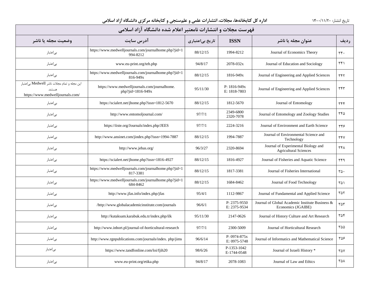| فهرست مجلات و انتشارات نامعتبر اعلام شده دانشگاه آزاد اسلامی                               |                                                                   |                 |                                  |                                                                       |            |  |  |  |
|--------------------------------------------------------------------------------------------|-------------------------------------------------------------------|-----------------|----------------------------------|-----------------------------------------------------------------------|------------|--|--|--|
| وضعيت مجله يا ناشر                                                                         | آدرس سايت                                                         | تاریخ بیاعتباری | <b>ISSN</b>                      | عنوان مجله یا ناشر                                                    | رديف       |  |  |  |
| بى عتبار                                                                                   | https://www.medwelljournals.com/journalhome.php?jid=1<br>994-8212 | 88/12/15        | 1994-8212                        | Journal of Economics Theory                                           | $rrf$ .    |  |  |  |
| بىاعتبار                                                                                   | www.eu-print.org/teh.php                                          | 94/8/17         | 2078-032x                        | Journal of Education and Sociology                                    | ۳۴۱        |  |  |  |
| بىاعتبار                                                                                   | https://www.medwelljournals.com/journalhome.php?jid=1<br>816-949x | 88/12/15        | 1816-949x                        | Journal of Engineering and Applied Sciences                           | ٣۴٢        |  |  |  |
| این مجله و تمام مجلات ناشر Medwell بی اعتبار<br>هستند.<br>https://www.medwelljournals.com/ | https://www.medwelljournals.com/journalhome.<br>php?jid=1816-949x | 95/11/30        | $P: 1816-949x$<br>E: 1818-7803   | Journal of Engineering and Applied Sciences                           | ٣۴٣        |  |  |  |
| بىاعتبار                                                                                   | https://scialert.net/jhome.php?issn=1812-5670                     | 88/12/15        | 1812-5670                        | Journal of Entomology                                                 | ٣۴۴        |  |  |  |
| بىاعتبار                                                                                   | http://www.entomoljournal.com/                                    | 97/7/1          | 2349-6800<br>2320-7078           | Journal of Entomology and Zoology Studies                             | ۳۴۵        |  |  |  |
| بى عتبار                                                                                   | https://iiste.org/Journals/index.php/JEES                         | 97/7/1          | 2224-3216                        | Journal of Environment and Earth Science                              | ۳۴۶        |  |  |  |
| بىاعتبار                                                                                   | http://www.ansinet.com/jindex.php?issn=1994-7887                  | 88/12/15        | 1994-7887                        | Journal of Environmental Science and<br>Technology                    | <b>٣۴٧</b> |  |  |  |
| بىاعتبار                                                                                   | http://www.jebas.org/                                             | 96/3/27         | 2320-8694                        | Journal of Experimental Biology and<br><b>Agricultural Sciences</b>   | <b>٣۴٨</b> |  |  |  |
| بىاعتبار                                                                                   | https://scialert.net/jhome.php?issn=1816-4927                     | 88/12/15        | 1816-4927                        | Journal of Fisheries and Aquatic Science                              | ٣۴٩        |  |  |  |
| بى عتبار                                                                                   | https://www.medwelljournals.com/journalhome.php?jid=1<br>817-3381 | 88/12/15        | 1817-3381                        | Journal of Fisheries International                                    | ٣۵٠        |  |  |  |
| بىاعتبار                                                                                   | https://www.medwelljournals.com/journalhome.php?jid=1<br>684-8462 | 88/12/15        | 1684-8462                        | Journal of Food Technology                                            | ۳۵۱        |  |  |  |
| بىاعتبار                                                                                   | http://www.jfas.info/index.php/jfas                               | 95/4/1          | 1112-9867                        | Journal of Fundamental and Applied Science                            | ۳۵۲        |  |  |  |
| بىاعتبار                                                                                   | /http://www.globalacademicinstitute.com/journals                  | 96/6/1          | P: 2375-9550<br>E: 2375-9534     | Journal of Global Academic Institute Business &<br>Economics (JGAIBE) | ٣۵٣        |  |  |  |
| بىاعتبار                                                                                   | http://kutaksam.karabuk.edu.tr/index.php/ilk                      | 95/11/30        | 2147-0626                        | Journal of History Culture and Art Research                           | ۳۵۴        |  |  |  |
| بىاعتبار                                                                                   | http://www.inhort.pl/journal-of-horticultural-research            | 97/7/1          | 2300-5009                        | Journal of Horticultural Research                                     | ۳۵۵        |  |  |  |
| بىاعتبار                                                                                   | http://www.rgnpublications.com/journals/index.php/jims            | 96/6/14         | $P: 0974 - 875x$<br>E: 0975-5748 | Journal of Informatics and Mathematical Science                       | ۳۵۶        |  |  |  |
| بىاعتبار                                                                                   | https://www.tandfonline.com/loi/fjih20                            | 98/6/26         | P-1353-1042<br>E-1744-0548       | Journal of Israeli History *                                          | ۳۵۷        |  |  |  |
| بى عتبار                                                                                   | www.eu-print.org/etika.php                                        | 94/8/17         | 2078-1083                        | Journal of Law and Ethics                                             | ۳۵۸        |  |  |  |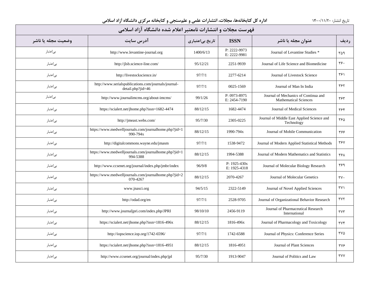| فهرست مجلات و انتشارات نامعتبر اعلام شده دانشگاه آزاد اسلامی |                                                                           |                 |                                  |                                                                      |                    |  |  |  |  |
|--------------------------------------------------------------|---------------------------------------------------------------------------|-----------------|----------------------------------|----------------------------------------------------------------------|--------------------|--|--|--|--|
| وضعيت مجله يا ناشر                                           | آدرس سايت                                                                 | تاریخ بیاعتباری | <b>ISSN</b>                      | عنوان مجله یا ناشر                                                   | رديف               |  |  |  |  |
| بے اعتبار                                                    | http://www.levantine-journal.org                                          | 1400/6/13       | P: 2222-9973<br>E: 2222-9981     | Journal of Levantine Studies *                                       | ۳۵۹                |  |  |  |  |
| بىاعتبار                                                     | http://jlsb.science-line.com/                                             | 95/12/21        | 2251-9939                        | Journal of Life Science and Biomedicine                              | $rrf$ .            |  |  |  |  |
| بىاعتبار                                                     | http://livestockscience.in/                                               | 97/7/1          | 2277-6214                        | Journal of Livestock Science                                         | ۳۶۱                |  |  |  |  |
| بىاعتبار                                                     | http://www.serialspublications.com/journals/journal-<br>detail.php?jid=46 | 97/7/1          | 0025-1569                        | Journal of Man In India                                              | ٣۶٢                |  |  |  |  |
| بىاعتبار                                                     | http://www.journalimems.org/about-imems/                                  | 99/1/26         | P: 0973-8975<br>E: 2454-7190     | Journal of Mechanics of Continua and<br><b>Mathematical Sciences</b> | ٣۶٣                |  |  |  |  |
| بىاعتبار                                                     | https://scialert.net/jhome.php?issn=1682-4474                             | 88/12/15        | 1682-4474                        | Journal of Medical Sciences                                          | ٣۶۴                |  |  |  |  |
| بىاعتبار                                                     | http://jmeast.webs.com/                                                   | 95/7/30         | 2305-0225                        | Journal of Middle East Applied Science and<br>Technology             | ۳۶۵                |  |  |  |  |
| بىاعتبار                                                     | https://www.medwelljournals.com/journalhome.php?jid=1<br>990-794x         | 88/12/15        | 1990-794x                        | Journal of Mobile Communication                                      | ۳۶۶                |  |  |  |  |
| بىاعتبار                                                     | http://digitalcommons.wayne.edu/jmasm                                     | 97/7/1          | 1538-9472                        | Journal of Modern Applied Statistical Methods                        | <b>٣۶٧</b>         |  |  |  |  |
| بى عتبار                                                     | https://www.medwelljournals.com/journalhome.php?jid=1<br>994-5388         | 88/12/15        | 1994-5388                        | Journal of Modern Mathematics and Statistics                         | ۳۶۸                |  |  |  |  |
| بىاعتبار                                                     | http://www.ccsenet.org/journal/index.php/jmbr/index                       | 96/9/8          | $P: 1925 - 430x$<br>E: 1925-4318 | Journal of Molecular Biology Research                                | ۳۶۹                |  |  |  |  |
| بىاعتبار                                                     | https://www.medwelljournals.com/journalhome.php?jid=2<br>070-4267         | 88/12/15        | 2070-4267                        | Journal of Molecular Genetics                                        | $\mathbf{y} \cdot$ |  |  |  |  |
| بىاعتبار                                                     | www.jnasci.org                                                            | 94/5/15         | 2322-5149                        | Journal of Novel Applied Sciences                                    | $\Upsilon$         |  |  |  |  |
| بىاعتبار                                                     | http://odad.org/en                                                        | 97/7/1          | 2528-9705                        | Journal of Organizational Behavior Research                          | ٣٧٢                |  |  |  |  |
| بىاعتبار                                                     | http://www.journaljpri.com/index.php/JPRI                                 | 98/10/10        | 2456-9119                        | Journal of Pharmaceutical Research<br>International                  | <b>TYT</b>         |  |  |  |  |
| بىاعتبار                                                     | https://scialert.net/jhome.php?issn=1816-496x                             | 88/12/15        | 1816-496x                        | Journal of Pharmacology and Toxicology                               | $\tau$             |  |  |  |  |
| بىاعتبار                                                     | http://iopscience.iop.org/1742-6596/                                      | 97/7/1          | 1742-6588                        | Journal of Physics: Conference Series                                | ۳۷۵                |  |  |  |  |
| بىاعتبار                                                     | https://scialert.net/jhome.php?issn=1816-4951                             | 88/12/15        | 1816-4951                        | Journal of Plant Sciences                                            | $\tau v$ ۶         |  |  |  |  |
| بىاعتبار                                                     | http://www.ccsenet.org/journal/index.php/jpl                              | 95/7/30         | 1913-9047                        | Journal of Politics and Law                                          | <b>TYY</b>         |  |  |  |  |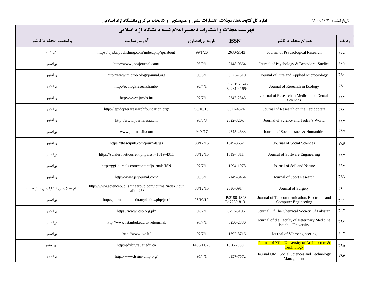| فهرست مجلات و انتشارات نامعتبر اعلام شده دانشگاه آزاد اسلامی |                                                                          |                 |                              |                                                                             |                         |  |  |  |
|--------------------------------------------------------------|--------------------------------------------------------------------------|-----------------|------------------------------|-----------------------------------------------------------------------------|-------------------------|--|--|--|
| وضعيت مجله يا ناشر                                           | آدرس سايت                                                                | تاریخ بیاعتباری | <b>ISSN</b>                  | عنوان مجله یا ناشر                                                          | رديف                    |  |  |  |
| بىاعتبار                                                     | https://ojs.bilpublishing.com/index.php/jpr/about                        | 99/1/26         | 2630-5143                    | Journal of Psychological Research                                           | <b>TVA</b>              |  |  |  |
| بىاعتبار                                                     | http://www.jpbsjournal.com/                                              | 95/9/1          | 2148-0664                    | Journal of Psychology & Behavioral Studies                                  | ۳۷۹                     |  |  |  |
| بىاعتبار                                                     | http://www.microbiologyjournal.org                                       | 95/5/1          | 0973-7510                    | Journal of Pure and Applied Microbiology                                    | $\mathsf{r}\wedge\cdot$ |  |  |  |
| بى عتبار                                                     | http://ecologyresearch.info/                                             | 96/4/1          | P: 2319-1546<br>E: 2319-1554 | Journal of Research in Ecology                                              | ۳۸۱                     |  |  |  |
| بىاعتبار                                                     | http://www.jrmds.in/                                                     | 97/7/1          | 2347-2545                    | Journal of Research in Medical and Dental<br>Sciences                       | TAT                     |  |  |  |
| بىاعتبار                                                     | http://lepidopteraresearchfoundation.org/                                | 98/10/10        | 0022-4324                    | Journal of Research on the Lepidoptera                                      | $T\Lambda T$            |  |  |  |
| بىاعتبار                                                     | http://www.journalsci.com                                                | 98/3/8          | 2322-326x                    | Journal of Science and Today's World                                        | ۳۸۴                     |  |  |  |
| بى عتبار                                                     | www.journalsih.com                                                       | 94/8/17         | 2345-2633                    | Journal of Social Issues & Humanities                                       | ۳۸۵                     |  |  |  |
| بىاعتبار                                                     | https://thescipub.com/journals/jss                                       | 88/12/15        | 1549-3652                    | Journal of Social Sciences                                                  | ٣٨۶                     |  |  |  |
| بى عتبار                                                     | https://scialert.net/current.php?issn=1819-4311                          | 88/12/15        | 1819-4311                    | Journal of Software Engineering                                             | <b>TAY</b>              |  |  |  |
| بىاعتبار                                                     | http://ggfjournals.com/content/journals/JSN                              | 97/7/1          | 1994-1978                    | Journal of Soil and Nature                                                  | <b>TAA</b>              |  |  |  |
| بىاعتبار                                                     | http://www.jsrjournal.com/                                               | 95/5/1          | 2149-3464                    | Journal of Sport Research                                                   | ٣٨٩                     |  |  |  |
| تمام مجلات این انتشارات بی اعتبار هستند.                     | http://www.sciencepublishinggroup.com/journal/index?jour<br>$nali d=253$ | 88/12/15        | 2330-0914                    | Journal of Surgery                                                          | $rrq$ .                 |  |  |  |
| بىاعتبار                                                     | http://journal.utem.edu.my/index.php/jtec/                               | 98/10/10        | P:2180-1843<br>E: 2289-8131  | Journal of Telecommunication, Electronic and<br><b>Computer Engineering</b> | ۳۹۱                     |  |  |  |
| بىاعتبار                                                     | https://www.jcsp.org.pk/                                                 | 97/7/1          | 0253-5106                    | Journal Of The Chemical Society Of Pakistan                                 | ۳۹۲                     |  |  |  |
| بىاعتبار                                                     | http://www.istanbul.edu.tr/vetjournal/                                   | 97/7/1          | 0250-2836                    | Journal of the Faculty of Veterinary Medicine<br>Istanbul University        | ٣٩٣                     |  |  |  |
| بى عتبار                                                     | http://www.jve.lt/                                                       | 97/7/1          | 1392-8716                    | Journal of Vibroengineering                                                 | rr9F                    |  |  |  |
| بىاعتبار                                                     | http://jdxbz.xauat.edu.cn                                                | 1400/11/20      | 1066-7930                    | Journal of Xi'an University of Architecture &<br>Technology                 | ۳۹۵                     |  |  |  |
| بىاعتبار                                                     | http://www.jsstm-ump.org/                                                | 95/4/1          | 0957-7572                    | Journal UMP Social Sciences and Technology<br>Management                    | ۳۹۶                     |  |  |  |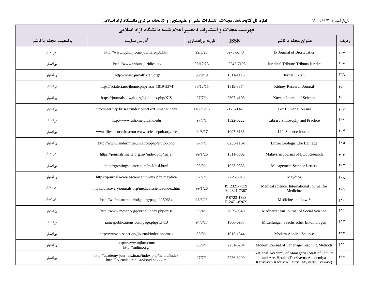| فهرست مجلات و انتشارات نامعتبر اعلام شده دانشگاه آزاد اسلامی |                                                                                               |                 |                              |                                                                                                                                           |                                 |  |  |  |
|--------------------------------------------------------------|-----------------------------------------------------------------------------------------------|-----------------|------------------------------|-------------------------------------------------------------------------------------------------------------------------------------------|---------------------------------|--|--|--|
| وضعيت مجله يا ناشر                                           | آدرس سايت                                                                                     | تاریخ بیاعتباری | <b>ISSN</b>                  | عنوان مجله یا ناشر                                                                                                                        | رديف                            |  |  |  |
| بىاعتبار                                                     | http://www.pphmj.com/journals/jpb.htm                                                         | 99/5/26         | 0973-5143                    | JP Journal of Biostatistics                                                                                                               | $Y^qV$                          |  |  |  |
| بىاعتبار                                                     | http://www.tribunajuridica.eu/                                                                | 95/12/23        | 2247-7195                    | Juridical Tribune-Tribuna Juridic                                                                                                         | ۳۹۸                             |  |  |  |
| بىاعتبار                                                     | http://www.jurnalfikrah.org/                                                                  | 96/9/19         | 1511-1113                    | Jurnal Fikrah                                                                                                                             | ٣٩٩                             |  |  |  |
| بىاعتبار                                                     | https://scialert.net/jhome.php?issn=1819-3374                                                 | 88/12/15        | 1819-3374                    | Kidney Research Journal                                                                                                                   | $\mathfrak{r}\cdot\mathfrak{r}$ |  |  |  |
| بىاعتبار                                                     | https://journalskuwait.org/kjs/index.php/KJS                                                  | 97/7/1          | 2307-4108                    | Kuwait Journal of Science                                                                                                                 | $f \cdot \gamma$                |  |  |  |
| بىاعتبار                                                     | http://seer.ucp.br/seer/index.php/LexHumana/index                                             | 1400/6/13       | 2175-0947                    | Lex Humana Journal                                                                                                                        | $F \cdot Y$                     |  |  |  |
| بىاعتبار                                                     | http://www.uihome.uidaho.edu                                                                  | 97/7/1          | 1522-0222                    | Library Philosophy and Practice                                                                                                           | $\mathbf{r} \cdot \mathbf{r}$   |  |  |  |
| بىاعتبار                                                     | www.lifesciencesite.com www.sciencepub.org/life                                               | 94/8/17         | 1097-8135                    | Life Science Journal                                                                                                                      | $f \cdot f$                     |  |  |  |
| بىاعتبار                                                     | http://www.landesmuseum.at/biophp/en/lbb.php                                                  | 97/7/1          | 0253-116x                    | Linzer Biologis Che Beitrage                                                                                                              | $f \cdot \Delta$                |  |  |  |
| بى عتبار                                                     | https://journals.melta.org.my/index.php/majer                                                 | 99/1/26         | 1511-8002                    | Malaysian Journal of ELT Research                                                                                                         | $f \cdot f$                     |  |  |  |
| بىاعتبار                                                     | http://growingscience.com/msl/msl.html                                                        | 95/9/1          | 1923-9335                    | <b>Management Science Letters</b>                                                                                                         | $\mathbf{r} \cdot \mathbf{v}$   |  |  |  |
| بىاعتبار                                                     | https://journals-crea.4science.it/index.php/maydica                                           | 97/7/1          | 2279-8013                    | Maydica                                                                                                                                   | $f \cdot \lambda$               |  |  |  |
| بىاعتبار                                                     | https://discoveryjournals.org/medicalscience/index.htm                                        | 99/1/26         | P: 2321-7359<br>E: 2321-7367 | Medical science: International Journal for<br>Medicine                                                                                    | F.9                             |  |  |  |
| بىاعتبار                                                     | http://wafml.memberlodge.org/page-1150634                                                     | 98/6/26         | P-0723-1393<br>E-2471-836X   | Medicine and Law *                                                                                                                        | $f \cdot$                       |  |  |  |
| بىاعتبار                                                     | http://www.mcser.org/journal/index.php/mjss                                                   | 95/4/1          | 2039-9340                    | Mediterranean Journal of Social Science                                                                                                   | $f \cup$                        |  |  |  |
| بىاعتبار                                                     | jamespublications.com/page.php?id=13                                                          | 94/8/17         | 1866-6957                    | Mitteilungen Saechsischer Entomologen                                                                                                     | ۴۱۲                             |  |  |  |
| بىاعتبار                                                     | http://www.ccsenet.org/journal/index.php/mas                                                  | 95/9/1          | 1913-1844                    | Modern Applied Science                                                                                                                    | ۴۱۳                             |  |  |  |
| بىاعتبار                                                     | http://www.mjltm.com/<br>http://mjltm.org/                                                    | 95/9/1          | 2251-6204                    | Modern Journal of Language Teaching Methods                                                                                               | ۴۱۴                             |  |  |  |
| بىاعتبار                                                     | http://academy-journals.in.ua/index.php/herald/index<br>http://journals.uran.ua/visnyknakkkim | 97/7/1          | 2226-3209                    | National Academy of Managerial Staff of Culture<br>and Arts Herald (Derzhavna Akademiya<br>Kerivnykh Kadriv Kul'tury i Mystetstv. Visnyk) | ۴۱۵                             |  |  |  |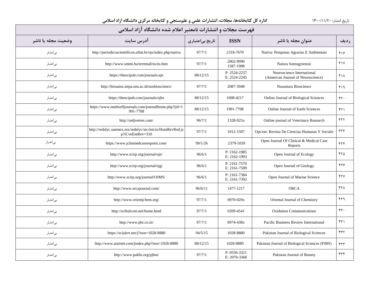| فهرست مجلات و انتشارات نامعتبر اعلام شده دانشگاه آزاد اسلامی |                                                                              |                 |                              |                                                                  |                 |  |  |  |
|--------------------------------------------------------------|------------------------------------------------------------------------------|-----------------|------------------------------|------------------------------------------------------------------|-----------------|--|--|--|
| وضعيت مجله يا ناشر                                           | آدرس سایت                                                                    | تاریخ بیاعتباری | <b>ISSN</b>                  | عنوان مجله یا ناشر                                               | رديف            |  |  |  |
| بىاعتبار                                                     | http://periodicoscientificos.ufmt.br/ojs/index.php/nativa                    | 97/7/1          | 2318-7670                    | Nativa: Pesquisas Agrarias E Ambientais                          | ۴۱۶             |  |  |  |
| بىاعتبار                                                     | http://www.smmi.hu/termtud/ns/ns.htm                                         | 97/7/1          | 2062-9990<br>1587-1908       | Natura Somogytensis                                              | $Y \setminus Y$ |  |  |  |
| بىاعتبار                                                     | https://thescipub.com/journals/ajn                                           | 88/12/15        | P: 2524-2237<br>E: 2524-2245 | Neuroscience International<br>(American Journal of Neuroscience) | ۴۱۸             |  |  |  |
| بىاعتبار                                                     | http://biosains.mipa.uns.ac.id/nusbioscience/                                | 97/7/1          | 2087-3948                    | Nusantara Bioscience                                             | ۴۱۹             |  |  |  |
| بىاعتبار                                                     | https://thescipub.com/journals/ojbs                                          | 88/12/15        | 1608-4217                    | Online Journal of Biological Sciences                            | rr.             |  |  |  |
| بىاعتبار                                                     | https://www.medwelljournals.com/journalhome.php?jid=1<br>991-7708            | 88/12/15        | 1991-7708                    | Online Journal of Earth Sciences                                 | FT1             |  |  |  |
| بىاعتبار                                                     | http://onljvetres.com/                                                       | 96/7/1          | 1328-925x                    | Online journal of Veterinary Research                            | 577             |  |  |  |
| بىاعتبار                                                     | http://redalyc.uaemex.mx/redalyc/src/inicio/HomRevRed.js<br>p?iCveEntRev=310 | 97/7/1          | 1012-1587                    | Opcion: Revista De Ciencias Humanas Y Sociale                    | ۴٢٣             |  |  |  |
| بىاعتبار                                                     | https://www.jclinmedcasereports.com/                                         | 99/1/26         | 2379-1039                    | Open Journal Of Clinical & Medical Case<br>Reports               | 577             |  |  |  |
| بىاعتبار                                                     | http://www.scirp.org/journal/oje/                                            | 96/6/1          | P: 2162-1985<br>E: 2162-1993 | Open Journal of Ecology                                          | ۴۲۵             |  |  |  |
| بىاعتبار                                                     | http://www.scirp.org/journal/ojg/                                            | 96/6/1          | P: 2161-7570<br>E: 2161-7589 | Open Journal of Geology                                          | ۴۲۶             |  |  |  |
| بىاعتبار                                                     | http://www.scirp.org/journal/OJMS/                                           | 96/6/1          | P: 2161-7384<br>E: 2161-7392 | Open Journal of Marine Science                                   | 477             |  |  |  |
| بىاعتبار                                                     | http://www.orcajournal.com/                                                  | 96/6/11         | 1477-1217                    | <b>ORCA</b>                                                      | 471             |  |  |  |
| بىاعتبار                                                     | http://www.orientjchem.org/                                                  | 97/7/1          | 0970-020x                    | Oriental Journal of Chemistry                                    | ۴۲۹             |  |  |  |
| بىاعتبار                                                     | http://scibulcom.net/home.html                                               | 97/7/1          | 0209-4541                    | <b>Oxidation Communications</b>                                  | rr.             |  |  |  |
| بىاعتبار                                                     | http://www.pbr.co.in/                                                        | 97/7/1          | 0974-438x                    | Pacific Business Review International                            | 571             |  |  |  |
| بىاعتبار                                                     | https://scialert.net/j?issn=1028-8880                                        | 94/5/15         | 1028-8880                    | Pakistan Journal of Biological Sciences                          | FTT             |  |  |  |
| بىاعتبار                                                     | http://www.ansinet.com/jindex.php?issn=1028-8880                             | 88/12/15        | 1028-8880                    | Pakistan Journal of Biological Sciences (PJBS)                   | ۴٣٣             |  |  |  |
| بىاعتبار                                                     | http://www.pakbs.org/pjbot/                                                  | 97/7/1          | P: 0556-3321<br>E: 2070-3368 | Pakistan Journal of Botany                                       | ۴٣۴             |  |  |  |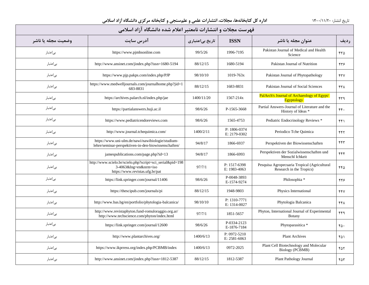| فهرست مجلات و انتشارات نامعتبر اعلام شده دانشگاه آزاد اسلامی |                                                                                                                       |                 |                              |                                                                          |      |  |  |  |  |
|--------------------------------------------------------------|-----------------------------------------------------------------------------------------------------------------------|-----------------|------------------------------|--------------------------------------------------------------------------|------|--|--|--|--|
| وضعيت مجله يا ناشر                                           | آدرس سايت                                                                                                             | تاریخ بیاعتباری | <b>ISSN</b>                  | عنوان مجله یا ناشر                                                       | رديف |  |  |  |  |
| بى اعتبار                                                    | https://www.pjmhsonline.com                                                                                           | 99/5/26         | 1996-7195                    | Pakistan Journal of Medical and Health<br>Science                        | ۴۳۵  |  |  |  |  |
| بىاعتبار                                                     | http://www.ansinet.com/jindex.php?issn=1680-5194                                                                      | 88/12/15        | 1680-5194                    | Pakistan Journal of Nutrition                                            | ۴۳۶  |  |  |  |  |
| بىاعتبار                                                     | https://www.pjp.pakps.com/index.php/PJP                                                                               | 98/10/10        | $1019 - 763x$                | Pakistan Journal of Phytopathology                                       | ۴۳۷  |  |  |  |  |
| بىاعتبار                                                     | https://www.medwelljournals.com/journalhome.php?jid=1<br>683-8831                                                     | 88/12/15        | 1683-8831                    | Pakistan Journal of Social Sciences                                      | ۴۳۸  |  |  |  |  |
| بى عتبار                                                     | https://archives.palarch.nl/index.php/jae                                                                             | 1400/11/20      | 1567-214x                    | PalArch's Journal of Archaeology of Egypt/<br><b>Egyptology</b>          | ۴۳۹  |  |  |  |  |
| بے اعتبار                                                    | https://partialanswers.huji.ac.il                                                                                     | 98/6/26         | P-1565-3668                  | Partial Answers-Journal of Literature and the<br>History of Ideas *      | ۴۴.  |  |  |  |  |
| بىاعتبار                                                     | https://www.pediatricendoreviews.com                                                                                  | 98/6/26         | 1565-4753                    | Pediatric Endocrinology Reviews *                                        | f(f) |  |  |  |  |
| بى عتبار                                                     | http://www.journal.tchequimica.com/                                                                                   | 1400/2/11       | P: 1806-0374<br>E: 2179-0302 | Periodico Tche Quimica                                                   | ۴۴۲  |  |  |  |  |
| بى عتبار                                                     | https://www.uni-ulm.de/nawi/nawibiologie/studium-<br>lehre/seminar-perspektiven-in-den-biowissenschaften/             | 94/8/17         | 1866-6937                    | Perspektiven der Biowissenschaften                                       | ۴۴۳  |  |  |  |  |
| بىاعتبار                                                     | jamespublications.com/page.php?id=13                                                                                  | 94/8/17         | 1866-6993                    | Perspektiven der Sozialwissenschaften und<br>Menschl Ichkeit             | ۴۴۴  |  |  |  |  |
| بىاعتبار                                                     | http://www.scielo.br/scielo.php?script=sci_serial&pid=198<br>3-4063&lng=en&nrm=iso<br>https://www.revistas.ufg.br/pat | 97/7/1          | P: 1517-6398<br>E: 1983-4063 | Pesquisa Agropecuaria Tropical (Agricultural<br>Research in the Tropics) | ۴۴۵  |  |  |  |  |
| بىاعتبار                                                     | https://link.springer.com/journal/11406                                                                               | 98/6/26         | P-0048-3893<br>E-1574-9274   | Philosophia *                                                            | ۴۴۶  |  |  |  |  |
| بى عتبار                                                     | https://thescipub.com/journals/pi                                                                                     | 88/12/15        | 1948-9803                    | Physics International                                                    | 447  |  |  |  |  |
| بىاعتبار                                                     | http://www.bas.bg/en/portfolio/phytologia-balcanica/                                                                  | 98/10/10        | P: 1310-7771<br>E: 1314-0027 | Phytologia Balcanica                                                     | ۴۴۸  |  |  |  |  |
| بىاعتبار                                                     | http://www.revistaphyton.fund-romuloraggio.org.ar/<br>http://www.techscience.com/phyton/index.html                    | 97/7/1          | 1851-5657                    | Phyton, International Journal of Experimental<br><b>Botany</b>           | ۴۴۹  |  |  |  |  |
| بىاعتبار                                                     | https://link.springer.com/journal/12600                                                                               | 98/6/26         | P-0334-2123<br>E-1876-7184   | Phytoparasitica *                                                        | ۴۵۰  |  |  |  |  |
| بىاعتبار                                                     | http://www.plantarchives.org/                                                                                         | 1400/6/13       | P: 0972-5210<br>E: 2581-6063 | <b>Plant Archives</b>                                                    | ۴۵۱  |  |  |  |  |
| بىاعتبار                                                     | https://www.ikprress.org/index.php/PCBMB/index                                                                        | 1400/6/13       | 0972-2025                    | Plant Cell Biotechnology and Molecular<br><b>Biology (PCBMB)</b>         | ۴۵٢  |  |  |  |  |
| بىاعتبار                                                     | http://www.ansinet.com/jindex.php?issn=1812-5387                                                                      | 88/12/15        | 1812-5387                    | Plant Pathology Journal                                                  | ۴۵٣  |  |  |  |  |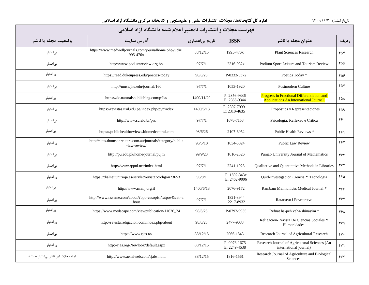| فهرست مجلات و انتشارات نامعتبر اعلام شده دانشگاه آزاد اسلامی |                                                                             |                 |                                  |                                                                                                   |          |  |  |  |  |
|--------------------------------------------------------------|-----------------------------------------------------------------------------|-----------------|----------------------------------|---------------------------------------------------------------------------------------------------|----------|--|--|--|--|
| وضعيت مجله يا ناشر                                           | آدرس سايت                                                                   | تاریخ بیاعتباری | <b>ISSN</b>                      | عنوان مجله یا ناشر                                                                                | رديف     |  |  |  |  |
| بى عتبار                                                     | https://www.medwelljournals.com/journalhome.php?jid=1<br>995-476x           | 88/12/15        | 1995-476x                        | <b>Plant Sciences Research</b>                                                                    | ۴۵۴      |  |  |  |  |
| بى عتبار                                                     | http://www.podiumreview.org.br/                                             | 97/7/1          | 2316-932x                        | Podium Sport Leisure and Tourism Review                                                           | ۴۵۵      |  |  |  |  |
| بىاعتبار                                                     | https://read.dukeupress.edu/poetics-today                                   | 98/6/26         | P-0333-5372                      | Poetics Today *                                                                                   | ۴۵۶      |  |  |  |  |
| بىاعتبار                                                     | http://muse.jhu.edu/journal/160                                             | 97/7/1          | 1053-1920                        | Postmodern Culture                                                                                | ۴۵۷      |  |  |  |  |
| بىاعتبار                                                     | https://dc.naturalspublishing.com/pfda/                                     | 1400/11/20      | P: 2356-9336<br>E: 2356-9344     | <b>Progress in Fractional Differentiation and</b><br><b>Applications An International Journal</b> | ۴۵۸      |  |  |  |  |
| بىاعتبار                                                     | https://revistas.usil.edu.pe/index.php/pyr/index                            | 1400/6/13       | P: 2307-7999<br>E: 2310-4635     | Propósitos y Representaciones                                                                     | ۴۵۹      |  |  |  |  |
| بىاعتبار                                                     | http://www.scielo.br/prc                                                    | 97/7/1          | 1678-7153                        | Psicologia: Reflexao e Critica                                                                    | ۴۶۰      |  |  |  |  |
| بىاعتبار                                                     | https://publichealthreviews.biomedcentral.com                               | 98/6/26         | 2107-6952                        | Public Health Reviews *                                                                           | ۴۶۱      |  |  |  |  |
| بىاعتبار                                                     | http://sites.thomsonreuters.com.au/journals/category/public<br>-law-review/ | 96/5/10         | 1034-3024                        | Public Law Review                                                                                 | ۴۶۲      |  |  |  |  |
| بىاعتبار                                                     | http://pu.edu.pk/home/journal/pujm                                          | 99/9/23         | 1016-2526                        | Punjab University Journal of Mathematics                                                          | ۴۶۳      |  |  |  |  |
| بىاعتبار                                                     | http://www.qqml.net/index.html                                              | 97/7/1          | 2241-1925                        | <b>Oualitative and Ouantitative Methods in Libraries</b>                                          | ۴۶۴      |  |  |  |  |
| بىاعتبار                                                     | https://dialnet.unirioja.es/servlet/revista?codigo=23653                    | 96/8/1          | $P: 1692 - 343x$<br>E: 2462-9006 | Quid-Investigacion Ciencia Y Tecnologia                                                           | ۴۶۵      |  |  |  |  |
| بىاعتبار                                                     | http://www.rmmj.org.il                                                      | 1400/6/13       | 2076-9172                        | Rambam Maimonides Medical Journal *                                                               | ۴۶۶      |  |  |  |  |
| بىاعتبار                                                     | http://www.nsseme.com/about/?opt=casopisi/ratpov&cat=a<br>bout              | 97/7/1          | 1821-3944<br>2217-8932           | Ratarstvo i Povrtarstvo                                                                           | 487      |  |  |  |  |
| بىاعتبار                                                     | https://www.medscape.com/viewpublication/11626_24                           | 98/6/26         | P-0792-9935                      | Refuat ha-peh veha-shinayim *                                                                     | ۴۶۸      |  |  |  |  |
| بىاعتبار                                                     | http://revista.religacion.com/index.php/about                               | 98/6/26         | 2477-9083                        | Religacion-Revista De Ciencias Sociales Y<br>Humanidades                                          | ۴۶۹      |  |  |  |  |
| بىاعتبار                                                     | https://www.rjas.ro/                                                        | 88/12/15        | 2066-1843                        | Research Journal of Agricultural Research                                                         | $\gamma$ |  |  |  |  |
| بىاعتبار                                                     | http://rjas.org/Newlook/default.aspx                                        | 88/12/15        | P: 0976-1675<br>E: 2249-4538     | Research Journal of Agricultural Sciences (An<br>international journal)                           | fY       |  |  |  |  |
| تمام مجلات این ناشر بی عتبار هستند.                          | http://www.aensiweb.com/rjabs.html                                          | 88/12/15        | 1816-1561                        | Research Journal of Agriculture and Biological<br>Sciences                                        | YY       |  |  |  |  |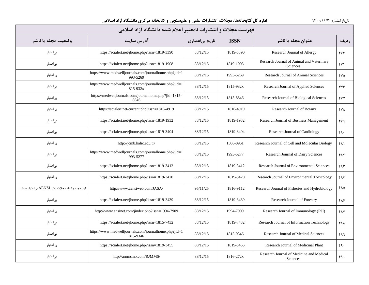| فهرست مجلات و انتشارات نامعتبر اعلام شده دانشگاه آزاد اسلامی |                                                                   |                 |             |                                                             |            |  |  |  |
|--------------------------------------------------------------|-------------------------------------------------------------------|-----------------|-------------|-------------------------------------------------------------|------------|--|--|--|
| وضعيت مجله يا ناشر                                           | آدرس سایت                                                         | تاریخ بیاعتباری | <b>ISSN</b> | عنوان مجله یا ناشر                                          | رديف       |  |  |  |
| بىاعتبار                                                     | https://scialert.net/jhome.php?issn=1819-3390                     | 88/12/15        | 1819-3390   | Research Journal of Allergy                                 | YY         |  |  |  |
| بى عتبار                                                     | https://scialert.net/jhome.php?issn=1819-1908                     | 88/12/15        | 1819-1908   | Research Journal of Animal and Veterinary<br>Sciences       | 474        |  |  |  |
| بىاعتبار                                                     | https://www.medwelljournals.com/journalhome.php?jid=1<br>993-5269 | 88/12/15        | 1993-5269   | Research Journal of Animal Sciences                         | ۴۷۵        |  |  |  |
| بىاعتبار                                                     | https://www.medwelljournals.com/journalhome.php?jid=1<br>815-932x | 88/12/15        | 1815-932x   | Research Journal of Applied Sciences                        | 474        |  |  |  |
| بىاعتبار                                                     | https://medwelljournals.com/journalhome.php?jid=1815-<br>8846     | 88/12/15        | 1815-8846   | Research Journal of Biological Sciences                     | <b>FYY</b> |  |  |  |
| بى عتبار                                                     | https://scialert.net/current.php?issn=1816-4919                   | 88/12/15        | 1816-4919   | Research Journal of Botany                                  | <b>FYA</b> |  |  |  |
| بىاعتبار                                                     | https://scialert.net/jhome.php?issn=1819-1932                     | 88/12/15        | 1819-1932   | Research Journal of Business Management                     | ۴۷۹        |  |  |  |
| بىاعتبار                                                     | https://scialert.net/jhome.php?issn=1819-3404                     | 88/12/15        | 1819-3404   | Research Journal of Cardiology                              | ۴۸۰        |  |  |  |
| بى عتبار                                                     | http://jcmb.halic.edu.tr/                                         | 88/12/15        | 1306-0961   | Research Journal of Cell and Molecular Biology              | ۴۸۱        |  |  |  |
| بى عتبار                                                     | https://www.medwelljournals.com/journalhome.php?jid=1<br>993-5277 | 88/12/15        | 1993-5277   | Research Journal of Dairy Sciences                          | ۴۸٢        |  |  |  |
| بىاعتبار                                                     | https://scialert.net/jhome.php?issn=1819-3412                     | 88/12/15        | 1819-3412   | Research Journal of Environmental Sciences                  | ۴۸۳        |  |  |  |
| بىاعتبار                                                     | https://scialert.net/jhome.php?issn=1819-3420                     | 88/12/15        | 1819-3420   | Research Journal of Environmental Toxicology                | ۴۸۴        |  |  |  |
| این مجله و تمام مجلات ناشر AENSI بی اعتبار هستند.            | http://www.aensiweb.com/JASA/                                     | 95/11/25        | 1816-9112   | Research Journal of Fisheries and Hydrobiology              | ۴۸۵        |  |  |  |
| بىاعتبار                                                     | https://scialert.net/jhome.php?issn=1819-3439                     | 88/12/15        | 1819-3439   | Research Journal of Forestry                                | ۴۸۶        |  |  |  |
| بىاعتبار                                                     | http://www.ansinet.com/jindex.php?issn=1994-7909                  | 88/12/15        | 1994-7909   | Research Journal of Immunology (RJI)                        | <b>FAY</b> |  |  |  |
| بىاعتبار                                                     | https://scialert.net/jhome.php?issn=1815-7432                     | 88/12/15        | 1819-7432   | Research Journal of Information Technology                  | <b>FAA</b> |  |  |  |
| بىاعتبار                                                     | https://www.medwelljournals.com/journalhome.php?jid=1<br>815-9346 | 88/12/15        | 1815-9346   | Research Journal of Medical Sciences                        | ۴۸۹        |  |  |  |
| بىاعتبار                                                     | https://scialert.net/jhome.php?issn=1819-3455                     | 88/12/15        | 1819-3455   | Research Journal of Medicinal Plant                         | 49.        |  |  |  |
| بى عتبار                                                     | http://arnmsmb.com/RJMMS/                                         | 88/12/15        | 1816-272x   | Research Journal of Medicine and Medical<br><b>Sciences</b> | ۴۹۱        |  |  |  |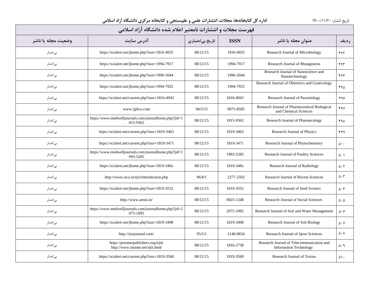| فهرست مجلات و انتشارات نامعتبر اعلام شده دانشگاه آزاد اسلامی |                                                                           |                 |             |                                                                            |                            |  |  |  |
|--------------------------------------------------------------|---------------------------------------------------------------------------|-----------------|-------------|----------------------------------------------------------------------------|----------------------------|--|--|--|
| وضعيت مجله يا ناشر                                           | آدرس سايت                                                                 | تاریخ بیاعتباری | <b>ISSN</b> | عنوان مجله با ناشر                                                         | رديف                       |  |  |  |
| بى عتبار                                                     | https://scialert.net/jhome.php?issn=1816-4935                             | 88/12/15        | 1816-4935   | Research Journal of Microbiology                                           | ۴۹۲                        |  |  |  |
| بىاعتبار                                                     | https://scialert.net/jhome.php?issn=1994-7917                             | 88/12/15        | 1994-7917   | Research Journal of Mutagenesis                                            | ۴۹۳                        |  |  |  |
| بىاعتبار                                                     | https://scialert.net/jhome.php?issn=1996-5044                             | 88/12/15        | 1996-5044   | Research Journal of Nanoscience and<br>Nanotechnology                      | ۴۹۴                        |  |  |  |
| بى عتبار                                                     | https://scialert.net/jhome.php?issn=1994-7925                             | 88/12/15        | 1994-7925   | Research Journal of Obstetrics and Gynecology                              | ۴۹۵                        |  |  |  |
| بىاعتبار                                                     | https://scialert.net/current.php?issn=1816-4943                           | 88/12/15        | 1816-4943   | Research Journal of Parasitology                                           | ۴۹۶                        |  |  |  |
| بىاعتبار                                                     | www.rjpbcs.com                                                            | 94/5/15         | 0975-8585   | Research Journal of Pharmaceutical Biological<br>and Chemical Sciences     | <b>FAV</b>                 |  |  |  |
| بىاعتبار                                                     | https://www.medwelljournals.com/journalhome.php?jid=1<br>815-9362         | 88/12/15        | 1815-9362   | Research Journal of Pharmacology                                           | ۴۹۸                        |  |  |  |
| بىاعتبار                                                     | https://scialert.net/current.php?issn=1819-3463                           | 88/12/15        | 1819-3463   | Research Journal of Physics                                                | ۴۹۹                        |  |  |  |
| بى عتبار                                                     | https://scialert.net/current.php?issn=1819-3471                           | 88/12/15        | 1819-3471   | Research Journal of Phytochemistry                                         | $\Delta \cdot \cdot$       |  |  |  |
| بىاعتبار                                                     | https://www.medwelljournals.com/journalhome.php?jid=1<br>993-5285         | 88/12/15        | 1993-5285   | Research Journal of Poultry Sciences                                       | $\Delta \cdot 1$           |  |  |  |
| بىاعتبار                                                     | https://scialert.net/jhome.php?issn=1819-348x                             | 88/12/15        | 1819-348x   | <b>Research Journal of Radiology</b>                                       | $\Delta \cdot 5$           |  |  |  |
| بىاعتبار                                                     | http://www.isca.in/rjrs/Introduction.php                                  | 96/8/1          | 2277-2502   | Research Journal of Recent Sciences                                        | $\Delta \cdot \tau$        |  |  |  |
| بىاعتبار                                                     | https://scialert.net/jhome.php?issn=1819-3552                             | 88/12/15        | 1819-3552   | Research Journal of Seed Science                                           | $\Delta \cdot \mathcal{F}$ |  |  |  |
| بىاعتبار                                                     | http://www.aensi.in/                                                      | 88/12/15        | 0025-1348   | Research Journal of Social Sciences                                        | $\Delta \cdot \Delta$      |  |  |  |
| بى عتبار                                                     | https://www.medwelljournals.com/journalhome.php?jid=2<br>075-1095         | 88/12/15        | 2075-1095   | Research Journal of Soil and Water Management                              | $\Delta \cdot \epsilon$    |  |  |  |
| بے اعتبار                                                    | https://scialert.net/jhome.php?issn=1819-3498                             | 88/12/15        | 1819-3498   | Research Journal of Soil Biology                                           | $\Delta \cdot V$           |  |  |  |
| بىاعتبار                                                     | http://rjssjournal.com/                                                   | 95/5/1          | 2148-0834   | Research Journal of Sport Sciences                                         | $\Delta \cdot \lambda$     |  |  |  |
| بىاعتبار                                                     | https://premierpublishers.org/irjtit<br>http://www.insinet.net/rjtit.html | 88/12/15        | 1816-2738   | Research Journal of Telecommunication and<br><b>Information Technology</b> | $\Delta \cdot \mathcal{A}$ |  |  |  |
| بى عتبار                                                     | https://scialert.net/current.php?issn=1819-3560                           | 88/12/15        | 1819-3560   | Research Journal of Toxins                                                 | $\Delta \setminus \cdot$   |  |  |  |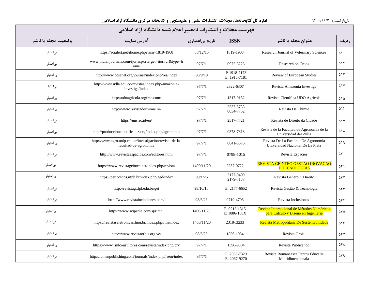| فهرست مجلات و انتشارات نامعتبر اعلام شده دانشگاه آزاد اسلامی |                                                                                   |                 |                                  |                                                                                   |                     |  |
|--------------------------------------------------------------|-----------------------------------------------------------------------------------|-----------------|----------------------------------|-----------------------------------------------------------------------------------|---------------------|--|
| وضعيت مجله يا ناشر                                           | آدرس سایت                                                                         | تاریخ بیاعتباری | <b>ISSN</b>                      | عنوان مجله یا ناشر                                                                | رديف                |  |
| بىاعتبار                                                     | https://scialert.net/jhome.php?issn=1819-1908                                     | 88/12/15        | 1819-1908                        | Research Journal of Veterinary Sciences                                           | ۵۱۱                 |  |
| بىاعتبار                                                     | www.indianjournals.com/ijor.aspx?target=ijor:rcr&type=h<br>ome                    | 97/7/1          | 0972-3226                        | Research on Crops                                                                 | ۵۱۲                 |  |
| بىاعتبار                                                     | http://www.ccsenet.org/journal/index.php/res/index                                | 96/9/19         | P-1918-7173<br>E: 1918-7181      | Review of European Studies                                                        | ۵۱۳                 |  |
| بىاعتبار                                                     | http://www.udla.edu.co/revistas/index.php/amazonia-<br>investiga/index            | 97/7/1          | 2322-6307                        | Revista Amazonia Investiga                                                        | ۵۱۴                 |  |
| بىاعتبار                                                     | http://udoagricola.orgfree.com/                                                   | 97/7/1          | 1317-9152                        | Revista Científica UDO Agricola                                                   | ۵۱۵                 |  |
| بىاعتبار                                                     | http://www.revistadechimie.ro/                                                    | 97/7/1          | 2537-5733<br>0034-7752           | Revista De Chimie                                                                 | ۵۱۶                 |  |
| بىاعتبار                                                     | https://uns.ac.id/en/                                                             | 97/7/1          | 2317-7721                        | Revista de Direito da Cidade                                                      | $\Delta$ \ $\vee$   |  |
| بىاعتبار                                                     | http://produccioncientificaluz.org/index.php/agronomia                            | 97/7/1          | 0378-7818                        | Revista de la Facultad de Agronomia de la<br>Universidad del Zulia                | ۵۱۸                 |  |
| بىاعتبار                                                     | http://www.agro.unlp.edu.ar/investigacion/revista-de-la-<br>facultad-de-agronomia | 97/7/1          | 0041-8676                        | Revista De La Facultad De Agronomia<br>Universidad Nacional De La Plata           | ۵۱۹                 |  |
| بى عتبار                                                     | http://www.revistaespacios.com/editores.html                                      | 97/7/1          | 0798-1015                        | Revista Espacios                                                                  | $\Delta \Upsilon$ . |  |
| بىاعتبار                                                     | https://www.revistageintec.net/index.php/revista                                  | 1400/11/20      | 2237-0722                        | REVISTA GEINTEC-GESTAO INOVACAO<br><b>E TECNOLOGIAS</b>                           | ۵۲۱                 |  |
| بىاعتبار                                                     | https://periodicos.ufpb.br/index.php/ged/index                                    | 99/1/26         | 2177-0409<br>2179-7137           | Revista Genero E Direito                                                          | ۵۲۲                 |  |
| بىاعتبار                                                     | http://revistagt.fpl.edu.br/get                                                   | 98/10/10        | E: 2177-6652                     | Revista Gestão & Tecnologia                                                       | ۵۲۳                 |  |
| بىاعتبار                                                     | http://www.revistainclusiones.com/                                                | 98/6/26         | 0719-4706                        | Revista Inclusiones                                                               | ۵۲۴                 |  |
| بىاعتبار                                                     | https://www.scipedia.com/sj/rimni                                                 | 1400/11/20      | $P: 0213 - 1315$<br>E: 1886-158X | Revista Internacional de Métodos Numéricos<br>para Cálculo y Diseño en Ingeniería | ۵۲۵                 |  |
| بىاعتبار                                                     | https://revistaseletronicas.fmu.br/index.php/rms/index                            | 1400/11/20      | 2318-.3233                       | Revista Metropolitana De Sustentabilidade                                         | $\Delta \Upsilon$   |  |
| بىاعتبار                                                     | http://www.revistaorbis.org.ve/                                                   | 98/6/26         | 1856-1954                        | Revista Orbis                                                                     | <b>ATY</b>          |  |
| بىاعتبار                                                     | https://www.rmlconsultores.com/revista/index.php/crv                              | 97/7/1          | 1390-9304                        | Revista Publicando                                                                | <b>ATA</b>          |  |
| بياعتبار                                                     | http://lumenpublishing.com/journals/index.php/rrem/index                          | 97/7/1          | P: 2066-7329<br>E: 2067-9270     | Revista Romaneasca Pentru Educatie<br>Multidimensionala                           | ۵۲۹                 |  |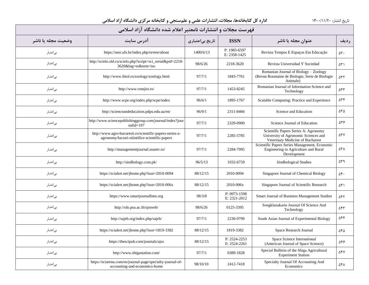| فهرست مجلات و انتشارات نامعتبر اعلام شده دانشگاه آزاد اسلامی |                                                                                                            |                 |                              |                                                                                                                  |                       |  |  |
|--------------------------------------------------------------|------------------------------------------------------------------------------------------------------------|-----------------|------------------------------|------------------------------------------------------------------------------------------------------------------|-----------------------|--|--|
| وضعيت مجله يا ناشر                                           | آدرس سايت                                                                                                  | تاریخ بیاعتباری | <b>ISSN</b>                  | عنوان مجله یا ناشر                                                                                               | رديف                  |  |  |
| بىاعتبار                                                     | https://seer.ufs.br/index.php/revtee/about                                                                 | 1400/6/13       | P: 1983-6597<br>E: 2358-1425 | Revista Tempos E Espaços Em Educação                                                                             | $\Delta \mathbf{r}$ . |  |  |
| بىاعتبار                                                     | http://scielo.sld.cu/scielo.php?script=sci_serial&pid=2218-<br>3620&lng=es&nrm=iso                         | 98/6/26         | 2218-3620                    | Revista Universidad Y Sociedad                                                                                   | ۵۳۱                   |  |  |
| بىاعتبار                                                     | http://www.ibiol.ro/zoology/zoology.html                                                                   | 97/7/1          | 1843-7761                    | Romanian Journal of Biology - Zoology<br>(Revue Roumaine de Biologie, Serie de Biologie<br>Animale)              | ۵۳۲                   |  |  |
| بىاعتبار                                                     | http://www.romjist.ro/                                                                                     | 97/7/1          | 1453-8245                    | Romanian Journal of Information Science and<br>Technology                                                        | $\Delta \tau \tau$    |  |  |
| بىاعتبار                                                     | http://www.scpe.org/index.php/scpe/index                                                                   | 96/6/1          | 1895-1767                    | Scalable Computing: Practice and Experience                                                                      | ۵۳۴                   |  |  |
| بىاعتبار                                                     | http://scienceandeducation.pdpu.edu.ua/en/                                                                 | 96/9/1          | 2311-8466                    | Science and Education                                                                                            | ۵۳۵                   |  |  |
| بىاعتبار                                                     | http://www.sciencepublishinggroup.com/journal/index?jour<br>$nali d=197$                                   | 97/7/1          | 2329-0900                    | Science Journal of Education                                                                                     | 536                   |  |  |
| بىاعتبار                                                     | http://www.agro-bucuresti.ro/scientific-papers-series-a-<br>agronomy/lucrari-stiintifice-scientific-papers | 97/7/1          | 2285-5785                    | Scientific Papers Series A: Agronomy<br>University of Agronomic Sciences and<br>Veterinary Medicine of Bucharest | ۵۳۷                   |  |  |
| بىاعتبار                                                     | http://managementjournal.usamv.ro/                                                                         | 97/7/1          | 2284-7995                    | Scientific Papers Series Management, Economic<br>Engineering in Agriculture and Rural<br>Development             | ۵۳۸                   |  |  |
| بىاعتبار                                                     | http://sindhology.com.pk/                                                                                  | 96/5/13         | 1032-6759                    | Sindhological Studies                                                                                            | ۵۳۹                   |  |  |
| بىاعتبار                                                     | https://scialert.net/jhome.php?issn=2010-0094                                                              | 88/12/15        | 2010-0094                    | Singapore Journal of Chemical Biology                                                                            | ۵۴.                   |  |  |
| بىاعتبار                                                     | https://scialert.net/jhome.php?issn=2010-006x                                                              | 88/12/15        | 2010-006x                    | Singapore Journal of Scientific Research                                                                         | ۵۴۱                   |  |  |
| بىاعتبار                                                     | https://www.smartjournalbms.org                                                                            | 98/3/8          | P: 0973-1598<br>E: 2321-2012 | Smart Journal of Business Management Studies                                                                     | ۵۴۲                   |  |  |
| بىاعتبار                                                     | http://rdo.psu.ac.th/sjstweb/                                                                              | 98/6/26         | 0125-3395                    | Songklanakarin Journal Of Science And<br>Technology                                                              | ۵۴۳                   |  |  |
| بىاعتبار                                                     | http://sajeb.org/index.php/sajeb/                                                                          | 97/7/1          | 2230-9799                    | South Asian Journal of Experimental Biology                                                                      | ۵۴۴                   |  |  |
| بىاعتبار                                                     | https://scialert.net/jhome.php?issn=1819-3382                                                              | 88/12/15        | 1819-3382                    | Space Research Journal                                                                                           | ۵۴۵                   |  |  |
| بىاعتبار                                                     | https://thescipub.com/journals/ajss                                                                        | 88/12/15        | P: 2524-2253<br>E: 2524-2261 | Space Science International<br>(American Journal of Space Science)                                               | 548                   |  |  |
| بىاعتبار                                                     | http://www.shigastation.com/                                                                               | 97/7/1          | 0389-1828                    | Special Bulletin of the Shiga Agricultural<br><b>Experiment Station</b>                                          | ۵۴۷                   |  |  |
| بىاعتبار                                                     | https://sciarena.com/en/journal-page/specialty-journal-of-<br>accounting-and-economics-home                | 98/10/10        | 2412-7418                    | Specialty Journal Of Accounting And<br>Economics                                                                 | 541                   |  |  |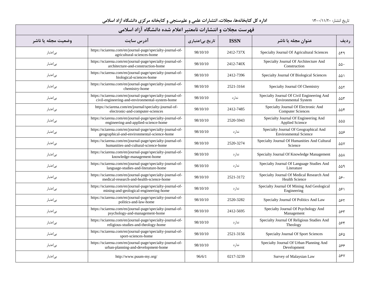| فهرست مجلات و انتشارات نامعتبر اعلام شده دانشگاه آزاد اسلامی |                                                                                                               |                 |             |                                                                           |                      |  |
|--------------------------------------------------------------|---------------------------------------------------------------------------------------------------------------|-----------------|-------------|---------------------------------------------------------------------------|----------------------|--|
| وضعيت مجله يا ناشر                                           | آدرس سايت                                                                                                     | تاریخ بیاعتباری | <b>ISSN</b> | عنوان مجله یا ناشر                                                        | رديف                 |  |
| بى اعتبار                                                    | https://sciarena.com/en/journal-page/specialty-journal-of-<br>agricultural-sciences-home                      | 98/10/10        | 2412-737X   | Specialty Journal Of Agricultural Sciences                                | ۵۴۹                  |  |
| بىاعتبار                                                     | https://sciarena.com/en/journal-page/specialty-journal-of-<br>architecture-and-construction-home              | 98/10/10        | 2412-740X   | Specialty Journal Of Architecture And<br>Construction                     | ۵۵٠                  |  |
| بىاعتبار                                                     | https://sciarena.com/en/journal-page/specialty-journal-of-<br>biological-sciences-home                        | 98/10/10        | 2412-7396   | Specialty Journal Of Biological Sciences                                  | ۵۵۱                  |  |
| بىاعتبار                                                     | https://sciarena.com/en/journal-page/specialty-journal-of-<br>chemistry-home                                  | 98/10/10        | 2521-3164   | Specialty Journal Of Chemistry                                            | ۵۵۲                  |  |
| بىاعتبار                                                     | https://sciarena.com/en/journal-page/specialty-journal-of-<br>civil-engineering-and-environmental-system-home | 98/10/10        | ندار د      | Specialty Journal Of Civil Engineering And<br><b>Environmental System</b> | $\Delta \Delta \tau$ |  |
| بىاعتبار                                                     | https://sciarena.com/en/journal/specialty-journal-of-<br>electronic-and-computer-sciences                     | 98/10/10        | 2412-7485   | Specialty Journal Of Electronic And<br><b>Computer Sciences</b>           | ۵۵۴                  |  |
| بىاعتبار                                                     | https://sciarena.com/en/journal-page/specialty-journal-of-<br>engineering-and-applied-science-home            | 98/10/10        | 2520-5943   | Specialty Journal Of Engineering And<br>Applied Science                   | $\Delta\Delta\Delta$ |  |
| بىاعتبار                                                     | https://sciarena.com/en/journal-page/specialty-journal-of-<br>geographical-and-environmental-science-home     | 98/10/10        | ندارد       | Specialty Journal Of Geographical And<br><b>Environmental Science</b>     | $\Delta \Delta \xi$  |  |
| بىاعتبار                                                     | https://sciarena.com/en/journal-page/specialty-journal-of-<br>humanities-and-cultural-science-home            | 98/10/10        | 2520-3274   | Specialty Journal Of Humanities And Cultural<br>Science                   | $\Delta \Delta V$    |  |
| بىاعتبار                                                     | https://sciarena.com/en/journal-page/specialty-journal-of-<br>knowledge-management-home                       | 98/10/10        | ندار د      | Specialty Journal Of Knowledge Management                                 | ۵۵۸                  |  |
| بىاعتبار                                                     | https://sciarena.com/en/journal-page/specialty-journal-of-<br>language-studies-and-literature-home            | 98/10/10        | ندار د      | Specialty Journal Of Language Studies And<br>Literature                   | ۵۵۹                  |  |
| بىاعتبار                                                     | https://sciarena.com/en/journal-page/specialty-journal-of-<br>medical-research-and-health-science-home        | 98/10/10        | 2521-3172   | Specialty Journal Of Medical Research And<br><b>Health Science</b>        | ۵۶۰                  |  |
| بىاعتبار                                                     | https://sciarena.com/en/journal-page/specialty-journal-of-<br>mining-and-geological-engineering-home          | 98/10/10        | ندار د      | Specialty Journal Of Mining And Geological<br>Engineering                 | ۵۶۱                  |  |
| بىاعتبار                                                     | https://sciarena.com/en/journal-page/specialty-journal-of-<br>politics-and-law-home                           | 98/10/10        | 2520-3282   | Specialty Journal Of Politics And Law                                     | ۵۶۲                  |  |
| بىاعتبار                                                     | https://sciarena.com/en/journal-page/specialty-journal-of-<br>psychology-and-management-home                  | 98/10/10        | 2412-5695   | Specialty Journal Of Psychology And<br>Management                         | 585                  |  |
| بىاعتبار                                                     | https://sciarena.com/en/journal-page/specialty-journal-of-<br>religious-studies-and-theology-home             | 98/10/10        | ندار د      | Specialty Journal Of Religious Studies And<br>Theology                    | ۵۶۴                  |  |
| بىاعتبار                                                     | https://sciarena.com/en/journal-page/specialty-journal-of-<br>sport-sciences-home                             | 98/10/10        | 2521-3156   | Specialty Journal Of Sport Sciences                                       | ۵۶۵                  |  |
| بىاعتبار                                                     | https://sciarena.com/en/journal-page/specialty-journal-of-<br>urban-planning-and-development-home             | 98/10/10        | ندارد       | Specialty Journal Of Urban Planning And<br>Development                    | 566                  |  |
| بىاعتبار                                                     | http://www.puum-my.org/                                                                                       | 96/6/1          | 0217-3239   | Survey of Malaysian Law                                                   | ۵۶۷                  |  |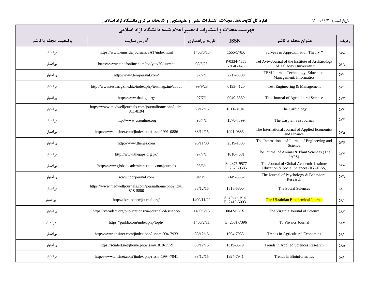| فهرست مجلات و انتشارات نامعتبر اعلام شده دانشگاه آزاد اسلامی |                                                                   |                 |                              |                                                                                   |            |  |  |
|--------------------------------------------------------------|-------------------------------------------------------------------|-----------------|------------------------------|-----------------------------------------------------------------------------------|------------|--|--|
| وضعيت مجله يا ناشر                                           | آدرس سایت                                                         | تاریخ بیاعتباری | <b>ISSN</b>                  | عنوان مجله یا ناشر                                                                | رديف       |  |  |
| بى اعتبار                                                    | https://www.emis.de/journals/SAT/index.html                       | 1400/6/13       | 1555-578X                    | Surveys in Approximation Theory *                                                 | ۵۶۸        |  |  |
| بىاعتبار                                                     | https://www.tandfonline.com/toc/ytav20/current                    | 98/6/26         | P-0334-4355<br>E-2040-4786   | Tel Aviv-Journal of the Institute of Archaeology<br>of Tel Aviv University *      | ۵۶۹        |  |  |
| بىاعتبار                                                     | http://www.temjournal.com/                                        | 97/7/1          | 2217-8309                    | TEM Journal: Technology, Education,<br>Management, Informatics                    | ۵٧٠        |  |  |
| بىاعتبار                                                     | http://www.testmagzine.biz/index.php/testmagzine/about            | 99/9/23         | 0193-4120                    | Test Engineering & Management                                                     | ۵۷۱        |  |  |
| بىاعتبار                                                     | http://www.thaiagj.org/                                           | 97/7/1          | 0049-3589                    | Thai Journal of Agricultural Science                                              | ۵۷۲        |  |  |
| بىاعتبار                                                     | https://www.medwelljournals.com/journalhome.php?jid=1<br>811-8194 | 88/12/15        | 1811-8194                    | The Cardiology                                                                    | ۵۷۳        |  |  |
| بىاعتبار                                                     | http://www.csjonline.org                                          | 95/4/1          | 1578-7899                    | The Caspian Sea Journal                                                           | <b>AVF</b> |  |  |
| بىاعتبار                                                     | http://www.ansinet.com/jindex.php?issn=1991-0886                  | 88/12/15        | 1991-0886                    | The International Journal of Applied Economics<br>and Finance                     | ۵۷۵        |  |  |
| بىاعتبار                                                     | http://www.theijes.com                                            | 95/11/30        | 2319-1805                    | The International of Journal of Engineering and<br>Science                        | ۵٧۶        |  |  |
| بىاعتبار                                                     | http://www.thejaps.org.pk/                                        | 97/7/1          | 1018-7081                    | The Journal of Animal & Plant Sciences (The<br>JAPS)                              | ۵٧٧        |  |  |
| بىاعتبار                                                     | /http://www.globalacademicinstitute.com/journals                  | 96/6/1          | E: 2375-9577<br>P: 2375-9585 | The Journal of Global Academic Institute<br>Education & Social Sciences (JGAIESS) | ۵۷۸        |  |  |
| بىاعتبار                                                     | www.jpbrjournal.com                                               | 94/8/17         | 2149-3332                    | The Journal of Psychology & Behavioral<br>Research                                | Δ٧٩        |  |  |
| بىاعتبار                                                     | https://www.medwelljournals.com/journalhome.php?jid=1<br>818-5800 | 88/12/15        | 1818-5800                    | The Social Sciences                                                               | ۵٨٠        |  |  |
| بىاعتبار                                                     | http://ukrbiochemjournal.org/                                     | 1400/11/20      | P: 2409-4943<br>E: 2413-5003 | The Ukrainian Biochemical Journal                                                 | ۵۸۱        |  |  |
| بىاعتبار                                                     | https://vacadsci.org/publications/va-journal-of-science/          | 1400/6/13       | 0042-658X                    | The Virginia Journal of Science                                                   | ۵۸۲        |  |  |
| بىاعتبار                                                     | https://purkh.com/index.php/tophy                                 | 1400/2/11       | E: 2581-7396                 | To Physics Journal                                                                | ۵λ٣        |  |  |
| بىاعتبار                                                     | http://www.ansinet.com/jindex.php?issn=1994-7933                  | 88/12/15        | 1994-7933                    | Trends in Agricultural Economics                                                  | ۵۸۴        |  |  |
| بىاعتبار                                                     | https://scialert.net/jhome.php?issn=1819-3579                     | 88/12/15        | 1819-3579                    | Trends in Applied Sciences Research                                               | ۵۸۵        |  |  |
| بياعتبار                                                     | http://www.ansinet.com/jindex.php?issn=1994-7941                  | 88/12/15        | 1994-7941                    | Trends in Bioinformatics                                                          | ۵۸۶        |  |  |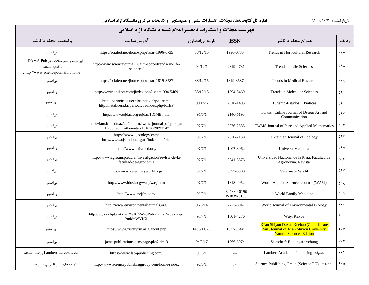| فهرست مجلات و انتشارات نامعتبر اعلام شده دانشگاه آزاد اسلامی                                       |                                                                                                 |                 |                             |                                                                                                                       |           |  |
|----------------------------------------------------------------------------------------------------|-------------------------------------------------------------------------------------------------|-----------------|-----------------------------|-----------------------------------------------------------------------------------------------------------------------|-----------|--|
| وضعيت مجله يا ناشر                                                                                 | آدرس سايت                                                                                       | تاریخ بیاعتباری | <b>ISSN</b>                 | عنوان مجله یا ناشر                                                                                                    | رديف      |  |
| بىاعتبار                                                                                           | https://scialert.net/jhome.php?issn=1996-0735                                                   | 88/12/15        | 1996-0735                   | Trends in Horticultural Research                                                                                      | ΔΑΥ       |  |
| این مجله و تمام مجلات ناشر Int. DAMA Pub<br>بى اعتبار هستند.<br>/http://www.sciencejournal.in/home | http://www.sciencejournal.in/aim-scope/trends- in-life-<br>sciences/                            | 94/12/1         | 2319-4731                   | Trends in Life Sciences                                                                                               | ۵۸۸       |  |
| بىاعتبار                                                                                           | https://scialert.net/jhome.php?issn=1819-3587                                                   | 88/12/15        | 1819-3587                   | Trends in Medical Research                                                                                            | ۵۸۹       |  |
| بىاعتبار                                                                                           | http://www.ansinet.com/jindex.php?issn=1994-5469                                                | 88/12/15        | 1994-5469                   | Trends in Molecular Sciences                                                                                          | ۵۹۰       |  |
| بىاعتبار                                                                                           | http://periodicos.uern.br/index.php/turismo<br>http://natal.uern.br/periodicos/index.php/RTEP   | 99/1/26         | 2316-1493                   | Turismo-Estudos E Praticas                                                                                            | ۵۹۱       |  |
| بىاعتبار                                                                                           | http://www.tojdac.org/tojdac/HOME.html                                                          | 95/6/1          | 2146-5193                   | Turkish Online Journal of Design Art and<br>Communication                                                             | ۵۹۲       |  |
| بىاعتبار                                                                                           | http://iam.bsu.edu.az/en/content/twms_journal_of_pure_an<br>d_applied_mathematics15102009091142 | 97/7/1          | 2076-2585                   | TWMS Journal of Pure and Applied Mathematics                                                                          | ۵۹۳       |  |
| بىاعتبار                                                                                           | https://www.ujecology.com/<br>http://www.ojs.mdpu.org.ua/index.php/biol                         | 97/7/1          | 2520-2138                   | Ukrainian Journal of Ecology                                                                                          | ۵۹۴       |  |
| بىاعتبار                                                                                           | http://www.univmed.org/                                                                         | 97/7/1          | 1907-3062                   | Universa Medicina                                                                                                     | ۵۹۵       |  |
| بىاعتبار                                                                                           | http://www.agro.unlp.edu.ar/investigacion/revista-de-la-<br>facultad-de-agronomia               | 97/7/1          | 0041-8676                   | Universidad Nacional de la Plata. Facultad de<br>Agronomia. Revista                                                   | 598       |  |
| بىاعتبار                                                                                           | http://www.veterinaryworld.org/                                                                 | 97/7/1          | 0972-8988                   | Veterinary World                                                                                                      | ۵۹۷       |  |
| بىاعتبار                                                                                           | http://www.idosi.org/wasj/wasj.htm                                                              | 97/7/1          | 1818-4952                   | World Applied Sciences Journal (WASJ)                                                                                 | ۵۹۸       |  |
| بىاعتبار                                                                                           | http://www.mejfm.com/                                                                           | 96/9/1          | E: 1839-0196<br>P-1839-0188 | World Family Medicine                                                                                                 | ۵۹۹       |  |
| بىاعتبار                                                                                           | http://www.environmentaljournals.org/                                                           | 96/6/14         | 2277-8047                   | World Journal of Environmental Biology                                                                                | $\zeta$ . |  |
| بىاعتبار                                                                                           | http://wykx.cbpt.cnki.net/WKC/WebPublication/index.aspx<br>?mid=WYKX                            | 97/7/1          | 1001-4276                   | Wuyi Kexue                                                                                                            | 5.1       |  |
| بىاعتبار                                                                                           | https://www.xisdxjxsu.asia/about.php                                                            | 1400/11/20      | 1673-064x                   | Xi'an Shiyou Daxue Xuebao (Ziran Kexue<br>Ban)/Journal of Xi'an Shiyou University,<br><b>Natural Sciences Edition</b> | 5.5       |  |
| بىاعتبار                                                                                           | jamespublications.com/page.php?id=13                                                            | 94/8/17         | 1866-6974                   | Zeitschrift Bildungsforschung                                                                                         | 5.7       |  |
| تمام مجلات ناشر Lambert بى اعتبار هستند.                                                           | https://www.lap-publishing.com/                                                                 | 96/6/1          | ناشر                        | Lambert Academic Publishing انتشارات                                                                                  | 5.5       |  |
| تمام مجلات این ناشر بی اعتبار هستند.                                                               | http://www.sciencepublishinggroup.com/home/i ndex                                               | 96/6/1          | ناشر                        | Science Publishing Group (Science PG) انتشارات                                                                        | 5.0       |  |
|                                                                                                    |                                                                                                 |                 |                             |                                                                                                                       |           |  |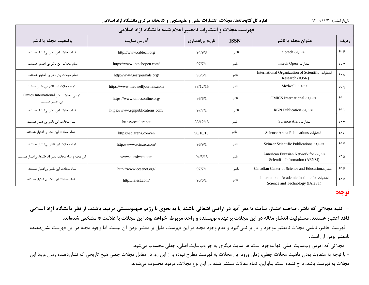| فهرست مجلات و انتشارات نامعتبر اعلام شده دانشگاه آزاد اسلامی |                                  |                 |             |                                                                                  |      |  |
|--------------------------------------------------------------|----------------------------------|-----------------|-------------|----------------------------------------------------------------------------------|------|--|
| وضعيت مجله يا ناشر                                           | آدرس سايت                        | تاریخ بیاعتباری | <b>ISSN</b> | عنوان مجله یا ناشر                                                               | رديف |  |
| تمام مجلات این ناشر بیاعتبار هستند.                          | http://www.cibtech.org           | 94/9/8          | ناشر        | انتشا,ات cibtech                                                                 | ۶۰۶  |  |
| تمام مجلات این ناشر بی اعتبار هستند.                         | https://www.intechopen.com/      | 97/7/1          | ناشر        | انتشارات Intech Open                                                             | 5.7  |  |
| تمام مجلات این ناشر بی اعتبار هستند.                         | http://www.iosrjournals.org/     | 96/6/1          | ناشر        | International Organization of Scientific انتشارات<br>Research (IOSR)             | 5.1  |  |
| تمام مجلات این ناشر بی عتبار هستند.                          | https://www.medwelljournals.com  | 88/12/15        | ناشر        | انتشارات Medwell                                                                 | 9.9  |  |
| تمامی مجلات ناشر Omics International<br>بی اعتبار هستند.     | https://www.omicsonline.org/     | 96/6/1          | ناشر        | انتشارات OMICS International                                                     | 5    |  |
| تمام مجلات این ناشر بی عتبار هستند.                          | https://www.rgnpublications.com/ | 97/7/1          | ناشر        | RGN Publication انتشارات                                                         | 511  |  |
| تمام مجلات این ناشر بی عتبار هستند.                          | https://scialert.net             | 88/12/15        | ناشر        | انتشا, ات Science Alert                                                          | 515  |  |
| تمام مجلات این ناشر بی عتبار هستند.                          | https://sciarena.com/en          | 98/10/10        | ناشر        | Science Arena Publications انتشارات                                              | 515  |  |
| تمام مجلات این ناشر بیاعتبار هستند.                          | http://www.scinzer.com/          | 96/9/1          | ناشر        | Scinzer Scientific Publications                                                  | ۶۱۴  |  |
| این مجله و تمام مجلات ناشر AENSI بی اعتبار هستند.            | www.aensiweb.com                 | 94/5/15         | ناشر        | American Eurasian Network for انتشارات<br>Scientific Information (AENSI)         | ۶۱۵  |  |
| تمام مجلات این ناشر بیاعتبار هستند.                          | http://www.ccsenet.org/          | 97/7/1          | ناشر        | Canadian Center of Science and Education                                         | ۶۱۶  |  |
| تمام مجلات این ناشر بی عتبار هستند.                          | http://iaiest.com/               | 96/6/1          | ناشر        | International Academic Institute for انتشارات<br>Science and Technology (IAIeST) | 51V  |  |

## **توجه:**

**- کلیه مجالتی که ناشر، صاحب امتیاز، سایت یا مقر آنها در اراضی اشغالی باشند یا به نحوي با رژیم صهیونیستی مرتبط باشند، از نظر دانشگاه آزاد اسالمی فاقد اعتبار هستند. مسئولیت انتشار مقاله در این مجالت برعهده نویسنده و واحد مربوطه خواهد بود. این مجالت با عالمت \* مشخص شدهاند.**

- فهرست حاضر، تمامی مجلات نامعتبر موجود را در بر نمیگیرد و عدم وجود مجله در این فهرست، دلیل بر معتبر بودن آن نیست. اما وجود مجله در این فهرست نشاندهنده نامعتبر بودن آن است.

- مجلاتی که آدرس وبسایت اصلی آنها موجود است، هر سایت دیگري به جز وبسایت اصلی، جعلی محسوب میشود.

- با توجه به متفاوت بودن ماهیت مجلات جعلی، زمان ورود این مجلات به فهرست مطرح نبوده و از این رو، در مقابل مجلات جعلی هیچ تاریخی که نشاندهنده زمان ورود این مجلات به فهرست باشد، درج نشده است. بنابراین، تمام مقاالت منتشر شده در این نوع مجلات، مردود محسوب میشوند.